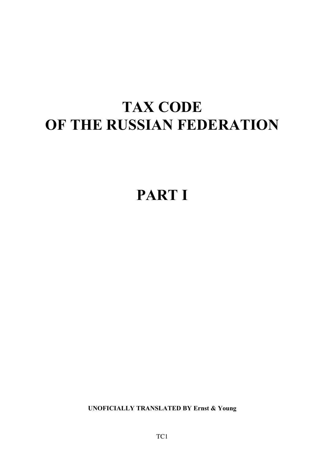# **TAX CODE OF THE RUSSIAN FEDERATION**

# **PART I**

**UNOFICIALLY TRANSLATED BY Ernst & Young**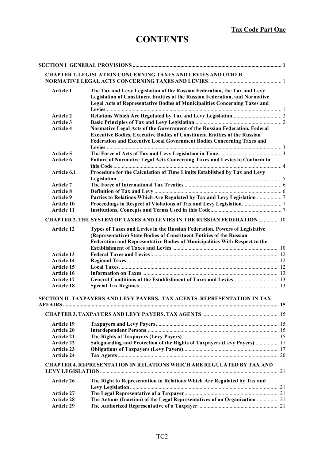# **CONTENTS**

|                   | <b>CHAPTER 1. LEGISLATION CONCERNING TAXES AND LEVIES AND OTHER</b>              |  |
|-------------------|----------------------------------------------------------------------------------|--|
|                   |                                                                                  |  |
| <b>Article 1</b>  | The Tax and Levy Legislation of the Russian Federation, the Tax and Levy         |  |
|                   | Legislation of Constituent Entities of the Russian Federation, and Normative     |  |
|                   | Legal Acts of Representative Bodies of Municipalities Concerning Taxes and       |  |
|                   |                                                                                  |  |
| <b>Article 2</b>  |                                                                                  |  |
| <b>Article 3</b>  |                                                                                  |  |
| <b>Article 4</b>  | Normative Legal Acts of the Government of the Russian Federation, Federal        |  |
|                   | <b>Executive Bodies, Executive Bodies of Constituent Entities of the Russian</b> |  |
|                   | Federation and Executive Local Government Bodies Concerning Taxes and            |  |
|                   |                                                                                  |  |
| Article 5         |                                                                                  |  |
| Article 6         | Failure of Normative Legal Acts Concerning Taxes and Levies to Conform to        |  |
|                   |                                                                                  |  |
| Article 6.1       | Procedure for the Calculation of Time Limits Established by Tax and Levy         |  |
|                   |                                                                                  |  |
| Article 7         |                                                                                  |  |
| <b>Article 8</b>  |                                                                                  |  |
| <b>Article 9</b>  | Parties to Relations Which Are Regulated by Tax and Levy Legislation  7          |  |
| <b>Article 10</b> |                                                                                  |  |
| <b>Article 11</b> |                                                                                  |  |
|                   | <b>CHAPTER 2. THE SYSTEM OF TAXES AND LEVIES IN THE RUSSIAN FEDERATION  10</b>   |  |
| <b>Article 12</b> | Types of Taxes and Levies in the Russian Federation. Powers of Legislative       |  |
|                   | (Representative) State Bodies of Constituent Entities of the Russian             |  |
|                   | Federation and Representative Bodies of Municipalities With Respect to the       |  |
|                   |                                                                                  |  |
| Article 13        |                                                                                  |  |
| <b>Article 14</b> |                                                                                  |  |
| <b>Article 15</b> |                                                                                  |  |
| <b>Article 16</b> |                                                                                  |  |
| <b>Article 17</b> |                                                                                  |  |
| <b>Article 18</b> |                                                                                  |  |
|                   |                                                                                  |  |
|                   | SECTION II TAXPAYERS AND LEVY PAYERS. TAX AGENTS. REPRESENTATION IN TAX          |  |
|                   |                                                                                  |  |
|                   |                                                                                  |  |
| <b>Article 19</b> |                                                                                  |  |
| <b>Article 20</b> |                                                                                  |  |
| <b>Article 21</b> |                                                                                  |  |
| <b>Article 22</b> | Safeguarding and Protection of the Rights of Taxpayers (Levy Payers) 17          |  |
| <b>Article 23</b> |                                                                                  |  |
| <b>Article 24</b> |                                                                                  |  |
|                   |                                                                                  |  |
|                   | <b>CHAPTER 4. REPRESENTATION IN RELATIONS WHICH ARE REGULATED BY TAX AND</b>     |  |
|                   |                                                                                  |  |
| Article 26        | The Right to Representation in Relations Which Are Regulated by Tax and          |  |
|                   |                                                                                  |  |
| <b>Article 27</b> |                                                                                  |  |
| <b>Article 28</b> | The Actions (Inaction) of the Legal Representatives of an Organization  21       |  |
| <b>Article 29</b> |                                                                                  |  |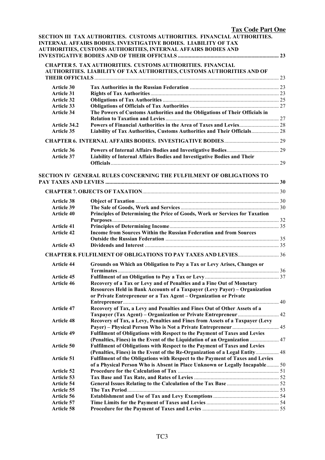|                   | <b>Tax Code Part One</b>                                                      |  |
|-------------------|-------------------------------------------------------------------------------|--|
|                   | SECTION III TAX AUTHORITIES. CUSTOMS AUTHORITIES. FINANCIAL AUTHORITIES.      |  |
|                   | <b>INTERNAL AFFAIRS BODIES. INVESTIGATIVE BODIES. LIABILITY OF TAX</b>        |  |
|                   | AUTHORITIES, CUSTOMS AUTHORITIES, INTERNAL AFFAIRS BODIES AND                 |  |
|                   |                                                                               |  |
|                   |                                                                               |  |
|                   | <b>CHAPTER 5. TAX AUTHORITIES. CUSTOMS AUTHORITIES. FINANCIAL</b>             |  |
|                   | AUTHORITIES. LIABILITY OF TAX AUTHORITIES, CUSTOMS AUTHORITIES AND OF         |  |
|                   |                                                                               |  |
| <b>Article 30</b> |                                                                               |  |
| <b>Article 31</b> |                                                                               |  |
| <b>Article 32</b> |                                                                               |  |
| Article 33        |                                                                               |  |
| <b>Article 34</b> | The Powers of Customs Authorities and the Obligations of Their Officials in   |  |
|                   |                                                                               |  |
| Article 34.2      |                                                                               |  |
| Article 35        | Liability of Tax Authorities, Customs Authorities and Their Officials 28      |  |
|                   |                                                                               |  |
|                   |                                                                               |  |
| <b>Article 36</b> |                                                                               |  |
| <b>Article 37</b> | Liability of Internal Affairs Bodies and Investigative Bodies and Their       |  |
|                   |                                                                               |  |
|                   |                                                                               |  |
|                   | <b>SECTION IV GENERAL RULES CONCERNING THE FULFILMENT OF OBLIGATIONS TO</b>   |  |
|                   |                                                                               |  |
|                   |                                                                               |  |
|                   |                                                                               |  |
| <b>Article 38</b> |                                                                               |  |
| <b>Article 39</b> |                                                                               |  |
| <b>Article 40</b> | Principles of Determining the Price of Goods, Work or Services for Taxation   |  |
|                   |                                                                               |  |
| <b>Article 41</b> |                                                                               |  |
| <b>Article 42</b> | Income from Sources Within the Russian Federation and from Sources            |  |
|                   |                                                                               |  |
| <b>Article 43</b> |                                                                               |  |
|                   |                                                                               |  |
| <b>Article 44</b> | Grounds on Which an Obligation to Pay a Tax or Levy Arises, Changes or        |  |
|                   |                                                                               |  |
| <b>Article 45</b> |                                                                               |  |
| <b>Article 46</b> | Recovery of a Tax or Levy and of Penalties and a Fine Out of Monetary         |  |
|                   | Resources Held in Bank Accounts of a Taxpayer (Levy Payer) - Organization     |  |
|                   | or Private Entrepreneur or a Tax Agent - Organization or Private              |  |
|                   |                                                                               |  |
| <b>Article 47</b> | Recovery of Tax, a Levy and Penalties and Fines Out of Other Assets of a      |  |
|                   |                                                                               |  |
| <b>Article 48</b> | Recovery of Tax, a Levy, Penalties and Fines from Assets of a Taxpayer (Levy  |  |
|                   |                                                                               |  |
| <b>Article 49</b> | Fulfilment of Obligations with Respect to the Payment of Taxes and Levies     |  |
|                   | (Penalties, Fines) in the Event of the Liquidation of an Organization  47     |  |
| Article 50        | Fulfilment of Obligations with Respect to the Payment of Taxes and Levies     |  |
|                   | (Penalties, Fines) in the Event of the Re-Organization of a Legal Entity 48   |  |
| <b>Article 51</b> | Fulfilment of the Obligations with Respect to the Payment of Taxes and Levies |  |
|                   | of a Physical Person Who is Absent in Place Unknown or Legally Incapable 50   |  |
| <b>Article 52</b> |                                                                               |  |
| Article 53        |                                                                               |  |
| <b>Article 54</b> |                                                                               |  |
| Article 55        |                                                                               |  |
| Article 56        |                                                                               |  |
| <b>Article 57</b> |                                                                               |  |
| Article 58        |                                                                               |  |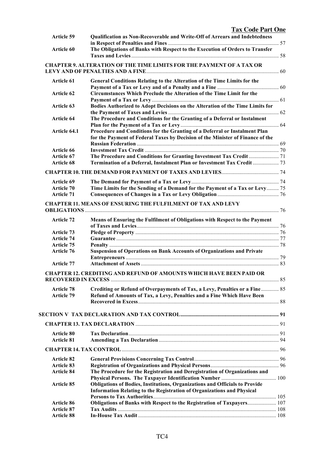| <b>Tax Code Part One</b> |  |
|--------------------------|--|
|                          |  |

| <b>Article 59</b>                      | Qualification as Non-Recoverable and Write-Off of Arrears and Indebtedness                                                                                   |  |
|----------------------------------------|--------------------------------------------------------------------------------------------------------------------------------------------------------------|--|
| <b>Article 60</b>                      | The Obligations of Banks with Respect to the Execution of Orders to Transfer                                                                                 |  |
|                                        |                                                                                                                                                              |  |
|                                        | <b>CHAPTER 9. ALTERATION OF THE TIME LIMITS FOR THE PAYMENT OF A TAX OR</b>                                                                                  |  |
|                                        |                                                                                                                                                              |  |
| <b>Article 61</b>                      | General Conditions Relating to the Alteration of the Time Limits for the                                                                                     |  |
|                                        |                                                                                                                                                              |  |
| Article 62                             | Circumstances Which Preclude the Alteration of the Time Limit for the                                                                                        |  |
|                                        |                                                                                                                                                              |  |
| Article 63                             | Bodies Authorized to Adopt Decisions on the Alteration of the Time Limits for                                                                                |  |
| Article 64                             | The Procedure and Conditions for the Granting of a Deferral or Instalment                                                                                    |  |
|                                        |                                                                                                                                                              |  |
| Article 64.1                           | Procedure and Conditions for the Granting of a Deferral or Instalment Plan<br>for the Payment of Federal Taxes by Decision of the Minister of Finance of the |  |
| <b>Article 66</b>                      |                                                                                                                                                              |  |
| Article 67                             |                                                                                                                                                              |  |
| Article 68                             | Termination of a Deferral, Instalment Plan or Investment Tax Credit  73                                                                                      |  |
|                                        |                                                                                                                                                              |  |
|                                        |                                                                                                                                                              |  |
| Article 69                             |                                                                                                                                                              |  |
| <b>Article 70</b>                      | Time Limits for the Sending of a Demand for the Payment of a Tax or Levy 75                                                                                  |  |
| <b>Article 71</b>                      |                                                                                                                                                              |  |
|                                        | <b>CHAPTER 11. MEANS OF ENSURING THE FULFILMENT OF TAX AND LEVY</b>                                                                                          |  |
|                                        |                                                                                                                                                              |  |
| <b>Article 72</b>                      | Means of Ensuring the Fulfilment of Obligations with Respect to the Payment                                                                                  |  |
|                                        |                                                                                                                                                              |  |
| <b>Article 73</b>                      |                                                                                                                                                              |  |
| <b>Article 74</b>                      |                                                                                                                                                              |  |
| <b>Article 75</b>                      |                                                                                                                                                              |  |
| <b>Article 76</b>                      | <b>Suspension of Operations on Bank Accounts of Organizations and Private</b>                                                                                |  |
|                                        |                                                                                                                                                              |  |
| <b>Article 77</b>                      |                                                                                                                                                              |  |
|                                        | <b>CHAPTER 12. CREDITING AND REFUND OF AMOUNTS WHICH HAVE BEEN PAID OR</b>                                                                                   |  |
|                                        |                                                                                                                                                              |  |
| <b>Article 78</b>                      | Crediting or Refund of Overpayments of Tax, a Levy, Penalties or a Fine 85                                                                                   |  |
| <b>Article 79</b>                      | Refund of Amounts of Tax, a Levy, Penalties and a Fine Which Have Been                                                                                       |  |
|                                        |                                                                                                                                                              |  |
|                                        |                                                                                                                                                              |  |
|                                        |                                                                                                                                                              |  |
|                                        |                                                                                                                                                              |  |
| <b>Article 80</b>                      |                                                                                                                                                              |  |
| <b>Article 81</b>                      |                                                                                                                                                              |  |
|                                        |                                                                                                                                                              |  |
|                                        |                                                                                                                                                              |  |
| <b>Article 82</b>                      |                                                                                                                                                              |  |
| <b>Article 83</b>                      |                                                                                                                                                              |  |
| <b>Article 84</b>                      | The Procedure for the Registration and Deregistration of Organizations and                                                                                   |  |
|                                        |                                                                                                                                                              |  |
| <b>Article 85</b>                      | Obligations of Bodies, Institutions, Organizations and Officials to Provide                                                                                  |  |
|                                        | Information Relating to the Registration of Organizations and Physical                                                                                       |  |
|                                        |                                                                                                                                                              |  |
| <b>Article 86</b>                      | Obligations of Banks with Respect to the Registration of Taxpayers 107                                                                                       |  |
| <b>Article 87</b><br><b>Article 88</b> |                                                                                                                                                              |  |
|                                        |                                                                                                                                                              |  |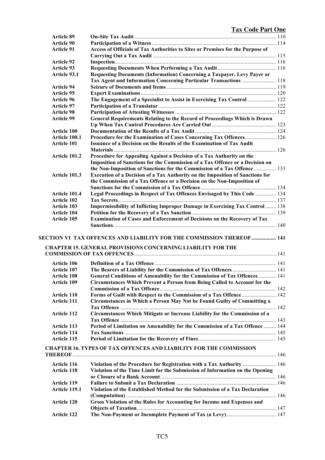| <b>Article 89</b>    |                                                                                                                                                   |  |
|----------------------|---------------------------------------------------------------------------------------------------------------------------------------------------|--|
| <b>Article 90</b>    |                                                                                                                                                   |  |
| <b>Article 91</b>    | Access of Officials of Tax Authorities to Sites or Premises for the Purpose of                                                                    |  |
|                      |                                                                                                                                                   |  |
| <b>Article 92</b>    |                                                                                                                                                   |  |
| <b>Article 93</b>    |                                                                                                                                                   |  |
| Article 93.1         | Requesting Documents (Information) Concerning a Taxpayer, Levy Payer or                                                                           |  |
|                      | Tax Agent and Information Concerning Particular Transactions  118                                                                                 |  |
| <b>Article 94</b>    |                                                                                                                                                   |  |
| <b>Article 95</b>    |                                                                                                                                                   |  |
| <b>Article 96</b>    | The Engagement of a Specialist to Assist in Exercising Tax Control  122                                                                           |  |
| <b>Article 97</b>    |                                                                                                                                                   |  |
| <b>Article 98</b>    |                                                                                                                                                   |  |
| <b>Article 99</b>    | General Requirements Relating to the Record of Proceedings Which is Drawn                                                                         |  |
|                      |                                                                                                                                                   |  |
|                      |                                                                                                                                                   |  |
| <b>Article 100</b>   |                                                                                                                                                   |  |
| Article 100.1        | Procedure for the Examination of Cases Concerning Tax Offences 126                                                                                |  |
| <b>Article 101</b>   | Issuance of a Decision on the Results of the Examination of Tax Audit                                                                             |  |
|                      |                                                                                                                                                   |  |
| <b>Article 101.2</b> | Procedure for Appealing Against a Decision of a Tax Authority on the                                                                              |  |
|                      | Imposition of Sanctions for the Commission of a Tax Offence or a Decision on                                                                      |  |
|                      | the Non-Imposition of Sanctions for the Commission of a Tax Offence  133                                                                          |  |
| Article 101.3        | Execution of a Decision of a Tax Authority on the Imposition of Sanctions for                                                                     |  |
|                      | the Commission of a Tax Offence or a Decision on the Non-Imposition of                                                                            |  |
|                      |                                                                                                                                                   |  |
| Article 101.4        | Legal Proceedings in Respect of Tax Offences Envisaged by This Code  134                                                                          |  |
| <b>Article 102</b>   |                                                                                                                                                   |  |
| <b>Article 103</b>   | <b>Impermissibility of Inflicting Improper Damage in Exercising Tax Control  138</b>                                                              |  |
| <b>Article 104</b>   |                                                                                                                                                   |  |
| <b>Article 105</b>   | <b>Examination of Cases and Enforcement of Decisions on the Recovery of Tax</b>                                                                   |  |
|                      | <b>SECTION VI TAX OFFENCES AND LIABILITY FOR THE COMMISSION THEREOF 141</b><br><b>CHAPTER 15. GENERAL PROVISIONS CONCERNING LIABILITY FOR THE</b> |  |
|                      |                                                                                                                                                   |  |
| <b>Article 106</b>   |                                                                                                                                                   |  |
| <b>Article 107</b>   |                                                                                                                                                   |  |
| <b>Article 108</b>   | General Conditions of Amenability for the Commission of Tax Offences  141                                                                         |  |
| <b>Article 109</b>   | Circumstances Which Prevent a Person from Being Called to Account for the                                                                         |  |
|                      |                                                                                                                                                   |  |
| <b>Article 110</b>   | Forms of Guilt with Respect to the Commission of a Tax Offence  142                                                                               |  |
| <b>Article 111</b>   | Circumstances in Which a Person May Not be Found Guilty of Committing a                                                                           |  |
|                      |                                                                                                                                                   |  |
| <b>Article 112</b>   | Circumstances Which Mitigate or Increase Liability for the Commission of a                                                                        |  |
|                      |                                                                                                                                                   |  |
| <b>Article 113</b>   | Period of Limitation on Amenability for the Commission of a Tax Offence  144                                                                      |  |
| <b>Article 114</b>   |                                                                                                                                                   |  |
| <b>Article 115</b>   |                                                                                                                                                   |  |
|                      |                                                                                                                                                   |  |
|                      | <b>CHAPTER 16. TYPES OF TAX OFFENCES AND LIABILITY FOR THE COMMISSION</b>                                                                         |  |
| <b>Article 116</b>   | Violation of the Procedure for Registration with a Tax Authority 146                                                                              |  |
| <b>Article 118</b>   | Violation of the Time Limit for the Submission of Information on the Opening                                                                      |  |
|                      |                                                                                                                                                   |  |
| <b>Article 119</b>   |                                                                                                                                                   |  |
| Article 119.1        | Violation of the Established Method for the Submission of a Tax Declaration                                                                       |  |
|                      |                                                                                                                                                   |  |
| <b>Article 120</b>   | Gross Violation of the Rules for Accounting for Income and Expenses and                                                                           |  |
|                      |                                                                                                                                                   |  |
| <b>Article 122</b>   |                                                                                                                                                   |  |
|                      |                                                                                                                                                   |  |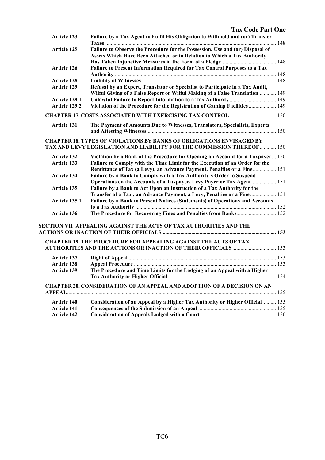| <b>Tax Code Part One</b> |  |
|--------------------------|--|
|                          |  |

| <b>Article 123</b> | Failure by a Tax Agent to Fulfil His Obligation to Withhold and (or) Transfer                                                                            |  |  |  |
|--------------------|----------------------------------------------------------------------------------------------------------------------------------------------------------|--|--|--|
| <b>Article 125</b> | Failure to Observe the Procedure for the Possession, Use and (or) Disposal of<br>Assets Which Have Been Attached or in Relation to Which a Tax Authority |  |  |  |
|                    |                                                                                                                                                          |  |  |  |
| <b>Article 126</b> | Failure to Present Information Required for Tax Control Purposes to a Tax                                                                                |  |  |  |
|                    |                                                                                                                                                          |  |  |  |
| Article 128        |                                                                                                                                                          |  |  |  |
| <b>Article 129</b> | Refusal by an Expert, Translator or Specialist to Participate in a Tax Audit,                                                                            |  |  |  |
|                    | Wilful Giving of a False Report or Wilful Making of a False Translation  149                                                                             |  |  |  |
| Article 129.1      |                                                                                                                                                          |  |  |  |
| Article 129.2      | Violation of the Procedure for the Registration of Gaming Facilities  149                                                                                |  |  |  |
|                    |                                                                                                                                                          |  |  |  |
| Article 131        | The Payment of Amounts Due to Witnesses, Translators, Specialists, Experts                                                                               |  |  |  |
|                    | <b>CHAPTER 18. TYPES OF VIOLATIONS BY BANKS OF OBLIGATIONS ENVISAGED BY</b><br>TAX AND LEVY LEGISLATION AND LIABILITY FOR THE COMMISSION THEREOF  150    |  |  |  |
| <b>Article 132</b> | Violation by a Bank of the Procedure for Opening an Account for a Taxpayer 150                                                                           |  |  |  |
| Article 133        | Failure to Comply with the Time Limit for the Execution of an Order for the                                                                              |  |  |  |
|                    | Remittance of Tax (a Levy), an Advance Payment, Penalties or a Fine 151                                                                                  |  |  |  |
| Article 134        | Failure by a Bank to Comply with a Tax Authority's Order to Suspend                                                                                      |  |  |  |
|                    | Operations on the Accounts of a Taxpayer, Levy Payer or Tax Agent 151                                                                                    |  |  |  |
| <b>Article 135</b> | Failure by a Bank to Act Upon an Instruction of a Tax Authority for the                                                                                  |  |  |  |
|                    | Transfer of a Tax, an Advance Payment, a Levy, Penalties or a Fine 151                                                                                   |  |  |  |
| Article 135.1      | Failure by a Bank to Present Notices (Statements) of Operations and Accounts                                                                             |  |  |  |
|                    |                                                                                                                                                          |  |  |  |
| Article 136        |                                                                                                                                                          |  |  |  |
|                    | SECTION VII APPEALING AGAINST THE ACTS OF TAX AUTHORITIES AND THE                                                                                        |  |  |  |
|                    |                                                                                                                                                          |  |  |  |
|                    | <b>CHAPTER 19. THE PROCEDURE FOR APPEALING AGAINST THE ACTS OF TAX</b>                                                                                   |  |  |  |
|                    |                                                                                                                                                          |  |  |  |
| <b>Article 137</b> |                                                                                                                                                          |  |  |  |
| <b>Article 138</b> |                                                                                                                                                          |  |  |  |
| Article 139        | The Procedure and Time Limits for the Lodging of an Appeal with a Higher                                                                                 |  |  |  |
|                    |                                                                                                                                                          |  |  |  |
|                    | <b>CHAPTER 20. CONSIDERATION OF AN APPEAL AND ADOPTION OF A DECISION ON AN</b>                                                                           |  |  |  |
|                    |                                                                                                                                                          |  |  |  |
| Article 140        | Consideration of an Appeal by a Higher Tax Authority or Higher Official 155                                                                              |  |  |  |
| <b>Article 141</b> |                                                                                                                                                          |  |  |  |
| <b>Article 142</b> |                                                                                                                                                          |  |  |  |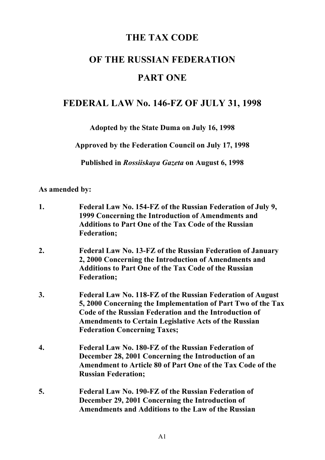# **THE TAX CODE**

# **OF THE RUSSIAN FEDERATION PART ONE**

# **FEDERAL LAW No. 146-FZ OF JULY 31, 1998**

**Adopted by the State Duma on July 16, 1998**

**Approved by the Federation Council on July 17, 1998**

**Published in** *Rossiiskaya Gazeta* **on August 6, 1998**

# **As amended by:**

- **1. Federal Law No. 154-FZ of the Russian Federation of July 9, 1999 Concerning the Introduction of Amendments and Additions to Part One of the Tax Code of the Russian Federation;**
- **2. Federal Law No. 13-FZ of the Russian Federation of January 2, 2000 Concerning the Introduction of Amendments and Additions to Part One of the Tax Code of the Russian Federation;**
- **3. Federal Law No. 118-FZ of the Russian Federation of August 5, 2000 Concerning the Implementation of Part Two of the Tax Code of the Russian Federation and the Introduction of Amendments to Certain Legislative Acts of the Russian Federation Concerning Taxes;**
- **4. Federal Law No. 180-FZ of the Russian Federation of December 28, 2001 Concerning the Introduction of an Amendment to Article 80 of Part One of the Tax Code of the Russian Federation;**
- **5. Federal Law No. 190-FZ of the Russian Federation of December 29, 2001 Concerning the Introduction of Amendments and Additions to the Law of the Russian**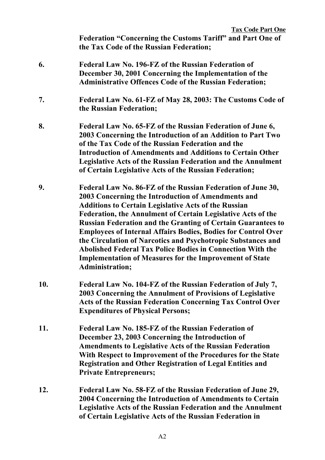- **6. Federal Law No. 196-FZ of the Russian Federation of December 30, 2001 Concerning the Implementation of the Administrative Offences Code of the Russian Federation;**
- **7. Federal Law No. 61-FZ of May 28, 2003: The Customs Code of the Russian Federation;**
- **8. Federal Law No. 65-FZ of the Russian Federation of June 6, 2003 Concerning the Introduction of an Addition to Part Two of the Tax Code of the Russian Federation and the Introduction of Amendments and Additions to Certain Other Legislative Acts of the Russian Federation and the Annulment of Certain Legislative Acts of the Russian Federation;**
- **9. Federal Law No. 86-FZ of the Russian Federation of June 30, 2003 Concerning the Introduction of Amendments and Additions to Certain Legislative Acts of the Russian Federation, the Annulment of Certain Legislative Acts of the Russian Federation and the Granting of Certain Guarantees to Employees of Internal Affairs Bodies, Bodies for Control Over the Circulation of Narcotics and Psychotropic Substances and Abolished Federal Tax Police Bodies in Connection With the Implementation of Measures for the Improvement of State Administration;**
- **10. Federal Law No. 104-FZ of the Russian Federation of July 7, 2003 Concerning the Annulment of Provisions of Legislative Acts of the Russian Federation Concerning Tax Control Over Expenditures of Physical Persons;**
- **11. Federal Law No. 185-FZ of the Russian Federation of December 23, 2003 Concerning the Introduction of Amendments to Legislative Acts of the Russian Federation With Respect to Improvement of the Procedures for the State Registration and Other Registration of Legal Entities and Private Entrepreneurs;**
- **12. Federal Law No. 58-FZ of the Russian Federation of June 29, 2004 Concerning the Introduction of Amendments to Certain Legislative Acts of the Russian Federation and the Annulment of Certain Legislative Acts of the Russian Federation in**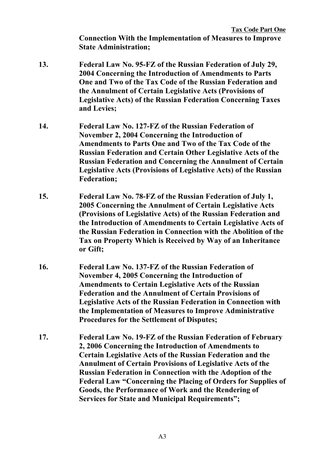**Connection With the Implementation of Measures to Improve State Administration;**

- **13. Federal Law No. 95-FZ of the Russian Federation of July 29, 2004 Concerning the Introduction of Amendments to Parts One and Two of the Tax Code of the Russian Federation and the Annulment of Certain Legislative Acts (Provisions of Legislative Acts) of the Russian Federation Concerning Taxes and Levies;**
- **14. Federal Law No. 127-FZ of the Russian Federation of November 2, 2004 Concerning the Introduction of Amendments to Parts One and Two of the Tax Code of the Russian Federation and Certain Other Legislative Acts of the Russian Federation and Concerning the Annulment of Certain Legislative Acts (Provisions of Legislative Acts) of the Russian Federation;**
- **15. Federal Law No. 78-FZ of the Russian Federation of July 1, 2005 Concerning the Annulment of Certain Legislative Acts (Provisions of Legislative Acts) of the Russian Federation and the Introduction of Amendments to Certain Legislative Acts of the Russian Federation in Connection with the Abolition of the Tax on Property Which is Received by Way of an Inheritance or Gift;**
- **16. Federal Law No. 137-FZ of the Russian Federation of November 4, 2005 Concerning the Introduction of Amendments to Certain Legislative Acts of the Russian Federation and the Annulment of Certain Provisions of Legislative Acts of the Russian Federation in Connection with the Implementation of Measures to Improve Administrative Procedures for the Settlement of Disputes;**
- **17. Federal Law No. 19-FZ of the Russian Federation of February 2, 2006 Concerning the Introduction of Amendments to Certain Legislative Acts of the Russian Federation and the Annulment of Certain Provisions of Legislative Acts of the Russian Federation in Connection with the Adoption of the Federal Law "Concerning the Placing of Orders for Supplies of Goods, the Performance of Work and the Rendering of Services for State and Municipal Requirements";**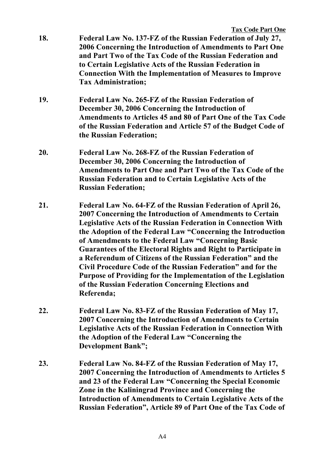- **18. Federal Law No. 137-FZ of the Russian Federation of July 27, 2006 Concerning the Introduction of Amendments to Part One and Part Two of the Tax Code of the Russian Federation and to Certain Legislative Acts of the Russian Federation in Connection With the Implementation of Measures to Improve Tax Administration;**
- **19. Federal Law No. 265-FZ of the Russian Federation of December 30, 2006 Concerning the Introduction of Amendments to Articles 45 and 80 of Part One of the Tax Code of the Russian Federation and Article 57 of the Budget Code of the Russian Federation;**
- **20. Federal Law No. 268-FZ of the Russian Federation of December 30, 2006 Concerning the Introduction of Amendments to Part One and Part Two of the Tax Code of the Russian Federation and to Certain Legislative Acts of the Russian Federation;**
- **21. Federal Law No. 64-FZ of the Russian Federation of April 26, 2007 Concerning the Introduction of Amendments to Certain Legislative Acts of the Russian Federation in Connection With the Adoption of the Federal Law "Concerning the Introduction of Amendments to the Federal Law "Concerning Basic Guarantees of the Electoral Rights and Right to Participate in a Referendum of Citizens of the Russian Federation" and the Civil Procedure Code of the Russian Federation" and for the Purpose of Providing for the Implementation of the Legislation of the Russian Federation Concerning Elections and Referenda;**
- **22. Federal Law No. 83-FZ of the Russian Federation of May 17, 2007 Concerning the Introduction of Amendments to Certain Legislative Acts of the Russian Federation in Connection With the Adoption of the Federal Law "Concerning the Development Bank";**
- **23. Federal Law No. 84-FZ of the Russian Federation of May 17, 2007 Concerning the Introduction of Amendments to Articles 5 and 23 of the Federal Law "Concerning the Special Economic Zone in the Kaliningrad Province and Concerning the Introduction of Amendments to Certain Legislative Acts of the Russian Federation", Article 89 of Part One of the Tax Code of**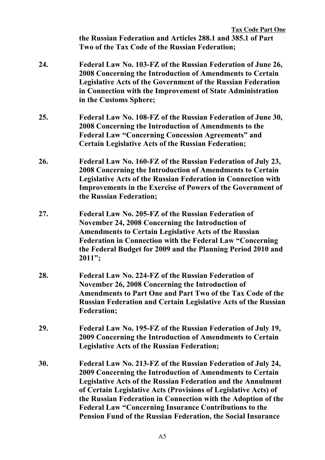|     | <b>Tax Code Part One</b><br>the Russian Federation and Articles 288.1 and 385.1 of Part<br>Two of the Tax Code of the Russian Federation;                                                                                                                                                                                                                                                                                                                                    |
|-----|------------------------------------------------------------------------------------------------------------------------------------------------------------------------------------------------------------------------------------------------------------------------------------------------------------------------------------------------------------------------------------------------------------------------------------------------------------------------------|
| 24. | Federal Law No. 103-FZ of the Russian Federation of June 26,<br>2008 Concerning the Introduction of Amendments to Certain<br><b>Legislative Acts of the Government of the Russian Federation</b><br>in Connection with the Improvement of State Administration<br>in the Customs Sphere;                                                                                                                                                                                     |
| 25. | Federal Law No. 108-FZ of the Russian Federation of June 30,<br>2008 Concerning the Introduction of Amendments to the<br><b>Federal Law "Concerning Concession Agreements" and</b><br><b>Certain Legislative Acts of the Russian Federation;</b>                                                                                                                                                                                                                             |
| 26. | Federal Law No. 160-FZ of the Russian Federation of July 23,<br>2008 Concerning the Introduction of Amendments to Certain<br><b>Legislative Acts of the Russian Federation in Connection with</b><br><b>Improvements in the Exercise of Powers of the Government of</b><br>the Russian Federation;                                                                                                                                                                           |
| 27. | Federal Law No. 205-FZ of the Russian Federation of<br>November 24, 2008 Concerning the Introduction of<br><b>Amendments to Certain Legislative Acts of the Russian</b><br><b>Federation in Connection with the Federal Law "Concerning</b><br>the Federal Budget for 2009 and the Planning Period 2010 and<br>$2011$ ";                                                                                                                                                     |
| 28. | Federal Law No. 224-FZ of the Russian Federation of<br>November 26, 2008 Concerning the Introduction of<br>Amendments to Part One and Part Two of the Tax Code of the<br><b>Russian Federation and Certain Legislative Acts of the Russian</b><br><b>Federation;</b>                                                                                                                                                                                                         |
| 29. | Federal Law No. 195-FZ of the Russian Federation of July 19,<br>2009 Concerning the Introduction of Amendments to Certain<br><b>Legislative Acts of the Russian Federation;</b>                                                                                                                                                                                                                                                                                              |
| 30. | Federal Law No. 213-FZ of the Russian Federation of July 24,<br>2009 Concerning the Introduction of Amendments to Certain<br><b>Legislative Acts of the Russian Federation and the Annulment</b><br>of Certain Legislative Acts (Provisions of Legislative Acts) of<br>the Russian Federation in Connection with the Adoption of the<br><b>Federal Law "Concerning Insurance Contributions to the</b><br><b>Pension Fund of the Russian Federation, the Social Insurance</b> |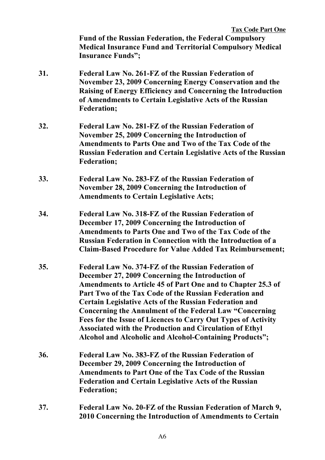|     | <b>Tax Code Part One</b><br><b>Fund of the Russian Federation, the Federal Compulsory</b><br><b>Medical Insurance Fund and Territorial Compulsory Medical</b><br><b>Insurance Funds";</b>                                                                                                                                                                                                                                                                                                                                                                         |
|-----|-------------------------------------------------------------------------------------------------------------------------------------------------------------------------------------------------------------------------------------------------------------------------------------------------------------------------------------------------------------------------------------------------------------------------------------------------------------------------------------------------------------------------------------------------------------------|
| 31. | Federal Law No. 261-FZ of the Russian Federation of<br>November 23, 2009 Concerning Energy Conservation and the<br>Raising of Energy Efficiency and Concerning the Introduction<br>of Amendments to Certain Legislative Acts of the Russian<br><b>Federation;</b>                                                                                                                                                                                                                                                                                                 |
| 32. | Federal Law No. 281-FZ of the Russian Federation of<br>November 25, 2009 Concerning the Introduction of<br>Amendments to Parts One and Two of the Tax Code of the<br><b>Russian Federation and Certain Legislative Acts of the Russian</b><br><b>Federation;</b>                                                                                                                                                                                                                                                                                                  |
| 33. | Federal Law No. 283-FZ of the Russian Federation of<br>November 28, 2009 Concerning the Introduction of<br><b>Amendments to Certain Legislative Acts;</b>                                                                                                                                                                                                                                                                                                                                                                                                         |
| 34. | Federal Law No. 318-FZ of the Russian Federation of<br>December 17, 2009 Concerning the Introduction of<br>Amendments to Parts One and Two of the Tax Code of the<br><b>Russian Federation in Connection with the Introduction of a</b><br><b>Claim-Based Procedure for Value Added Tax Reimbursement;</b>                                                                                                                                                                                                                                                        |
| 35. | Federal Law No. 374-FZ of the Russian Federation of<br>December 27, 2009 Concerning the Introduction of<br>Amendments to Article 45 of Part One and to Chapter 25.3 of<br>Part Two of the Tax Code of the Russian Federation and<br><b>Certain Legislative Acts of the Russian Federation and</b><br><b>Concerning the Annulment of the Federal Law "Concerning</b><br>Fees for the Issue of Licences to Carry Out Types of Activity<br><b>Associated with the Production and Circulation of Ethyl</b><br>Alcohol and Alcoholic and Alcohol-Containing Products"; |
| 36. | Federal Law No. 383-FZ of the Russian Federation of<br>December 29, 2009 Concerning the Introduction of<br><b>Amendments to Part One of the Tax Code of the Russian</b><br><b>Federation and Certain Legislative Acts of the Russian</b><br><b>Federation;</b>                                                                                                                                                                                                                                                                                                    |
| 37. | Federal Law No. 20-FZ of the Russian Federation of March 9,                                                                                                                                                                                                                                                                                                                                                                                                                                                                                                       |

**2010 Concerning the Introduction of Amendments to Certain**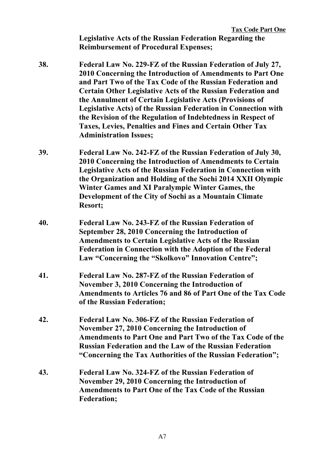**Legislative Acts of the Russian Federation Regarding the Reimbursement of Procedural Expenses;**

- **38. Federal Law No. 229-FZ of the Russian Federation of July 27, 2010 Concerning the Introduction of Amendments to Part One and Part Two of the Tax Code of the Russian Federation and Certain Other Legislative Acts of the Russian Federation and the Annulment of Certain Legislative Acts (Provisions of Legislative Acts) of the Russian Federation in Connection with the Revision of the Regulation of Indebtedness in Respect of Taxes, Levies, Penalties and Fines and Certain Other Tax Administration Issues;**
- **39. Federal Law No. 242-FZ of the Russian Federation of July 30, 2010 Concerning the Introduction of Amendments to Certain Legislative Acts of the Russian Federation in Connection with the Organization and Holding of the Sochi 2014 XXII Olympic Winter Games and XI Paralympic Winter Games, the Development of the City of Sochi as a Mountain Climate Resort;**
- **40. Federal Law No. 243-FZ of the Russian Federation of September 28, 2010 Concerning the Introduction of Amendments to Certain Legislative Acts of the Russian Federation in Connection with the Adoption of the Federal Law "Concerning the "Skolkovo" Innovation Centre";**
- **41. Federal Law No. 287-FZ of the Russian Federation of November 3, 2010 Concerning the Introduction of Amendments to Articles 76 and 86 of Part One of the Tax Code of the Russian Federation;**
- **42. Federal Law No. 306-FZ of the Russian Federation of November 27, 2010 Concerning the Introduction of Amendments to Part One and Part Two of the Tax Code of the Russian Federation and the Law of the Russian Federation "Concerning the Tax Authorities of the Russian Federation";**
- **43. Federal Law No. 324-FZ of the Russian Federation of November 29, 2010 Concerning the Introduction of Amendments to Part One of the Tax Code of the Russian Federation;**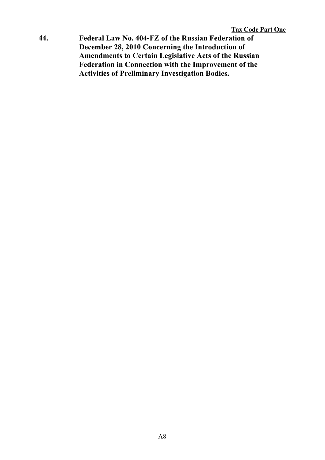**44. Federal Law No. 404-FZ of the Russian Federation of December 28, 2010 Concerning the Introduction of Amendments to Certain Legislative Acts of the Russian Federation in Connection with the Improvement of the Activities of Preliminary Investigation Bodies.**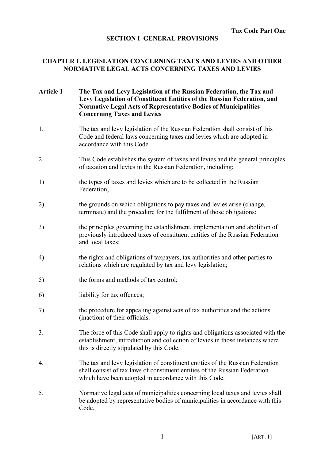#### **SECTION I GENERAL PROVISIONS**

#### **CHAPTER 1. LEGISLATION CONCERNING TAXES AND LEVIES AND OTHER NORMATIVE LEGAL ACTS CONCERNING TAXES AND LEVIES**

#### **Article 1 The Tax and Levy Legislation of the Russian Federation, the Tax and Levy Legislation of Constituent Entities of the Russian Federation, and Normative Legal Acts of Representative Bodies of Municipalities Concerning Taxes and Levies**

- 1. The tax and levy legislation of the Russian Federation shall consist of this Code and federal laws concerning taxes and levies which are adopted in accordance with this Code.
- 2. This Code establishes the system of taxes and levies and the general principles of taxation and levies in the Russian Federation, including:
- 1) the types of taxes and levies which are to be collected in the Russian Federation;
- 2) the grounds on which obligations to pay taxes and levies arise (change, terminate) and the procedure for the fulfilment of those obligations;
- 3) the principles governing the establishment, implementation and abolition of previously introduced taxes of constituent entities of the Russian Federation and local taxes;
- 4) the rights and obligations of taxpayers, tax authorities and other parties to relations which are regulated by tax and levy legislation;
- 5) the forms and methods of tax control;
- 6) liability for tax offences;
- 7) the procedure for appealing against acts of tax authorities and the actions (inaction) of their officials.
- 3. The force of this Code shall apply to rights and obligations associated with the establishment, introduction and collection of levies in those instances where this is directly stipulated by this Code.
- 4. The tax and levy legislation of constituent entities of the Russian Federation shall consist of tax laws of constituent entities of the Russian Federation which have been adopted in accordance with this Code.
- 5. Normative legal acts of municipalities concerning local taxes and levies shall be adopted by representative bodies of municipalities in accordance with this Code.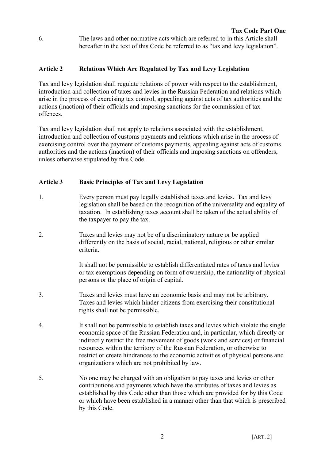6. The laws and other normative acts which are referred to in this Article shall hereafter in the text of this Code be referred to as "tax and levy legislation".

# **Article 2 Relations Which Are Regulated by Tax and Levy Legislation**

Tax and levy legislation shall regulate relations of power with respect to the establishment, introduction and collection of taxes and levies in the Russian Federation and relations which arise in the process of exercising tax control, appealing against acts of tax authorities and the actions (inaction) of their officials and imposing sanctions for the commission of tax offences.

Tax and levy legislation shall not apply to relations associated with the establishment, introduction and collection of customs payments and relations which arise in the process of exercising control over the payment of customs payments, appealing against acts of customs authorities and the actions (inaction) of their officials and imposing sanctions on offenders, unless otherwise stipulated by this Code.

# **Article 3 Basic Principles of Tax and Levy Legislation**

- 1. Every person must pay legally established taxes and levies. Tax and levy legislation shall be based on the recognition of the universality and equality of taxation. In establishing taxes account shall be taken of the actual ability of the taxpayer to pay the tax.
- 2. Taxes and levies may not be of a discriminatory nature or be applied differently on the basis of social, racial, national, religious or other similar criteria.

It shall not be permissible to establish differentiated rates of taxes and levies or tax exemptions depending on form of ownership, the nationality of physical persons or the place of origin of capital.

- 3. Taxes and levies must have an economic basis and may not be arbitrary. Taxes and levies which hinder citizens from exercising their constitutional rights shall not be permissible.
- 4. It shall not be permissible to establish taxes and levies which violate the single economic space of the Russian Federation and, in particular, which directly or indirectly restrict the free movement of goods (work and services) or financial resources within the territory of the Russian Federation, or otherwise to restrict or create hindrances to the economic activities of physical persons and organizations which are not prohibited by law.
- 5. No one may be charged with an obligation to pay taxes and levies or other contributions and payments which have the attributes of taxes and levies as established by this Code other than those which are provided for by this Code or which have been established in a manner other than that which is prescribed by this Code.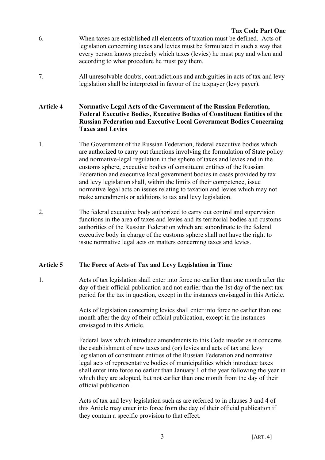- 6. When taxes are established all elements of taxation must be defined. Acts of legislation concerning taxes and levies must be formulated in such a way that every person knows precisely which taxes (levies) he must pay and when and according to what procedure he must pay them.
- 7. All unresolvable doubts, contradictions and ambiguities in acts of tax and levy legislation shall be interpreted in favour of the taxpayer (levy payer).

#### **Article 4 Normative Legal Acts of the Government of the Russian Federation, Federal Executive Bodies, Executive Bodies of Constituent Entities of the Russian Federation and Executive Local Government Bodies Concerning Taxes and Levies**

- 1. The Government of the Russian Federation, federal executive bodies which are authorized to carry out functions involving the formulation of State policy and normative-legal regulation in the sphere of taxes and levies and in the customs sphere, executive bodies of constituent entities of the Russian Federation and executive local government bodies in cases provided by tax and levy legislation shall, within the limits of their competence, issue normative legal acts on issues relating to taxation and levies which may not make amendments or additions to tax and levy legislation.
- 2. The federal executive body authorized to carry out control and supervision functions in the area of taxes and levies and its territorial bodies and customs authorities of the Russian Federation which are subordinate to the federal executive body in charge of the customs sphere shall not have the right to issue normative legal acts on matters concerning taxes and levies.

# **Article 5 The Force of Acts of Tax and Levy Legislation in Time**

1. Acts of tax legislation shall enter into force no earlier than one month after the day of their official publication and not earlier than the 1st day of the next tax period for the tax in question, except in the instances envisaged in this Article.

> Acts of legislation concerning levies shall enter into force no earlier than one month after the day of their official publication, except in the instances envisaged in this Article.

Federal laws which introduce amendments to this Code insofar as it concerns the establishment of new taxes and (or) levies and acts of tax and levy legislation of constituent entities of the Russian Federation and normative legal acts of representative bodies of municipalities which introduce taxes shall enter into force no earlier than January 1 of the year following the year in which they are adopted, but not earlier than one month from the day of their official publication.

Acts of tax and levy legislation such as are referred to in clauses 3 and 4 of this Article may enter into force from the day of their official publication if they contain a specific provision to that effect.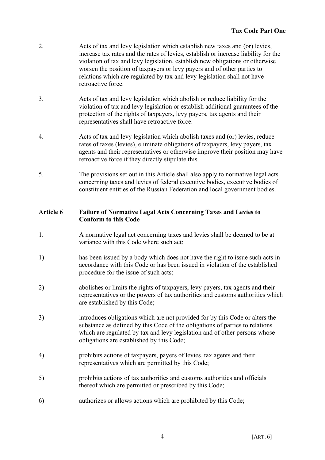- 2. Acts of tax and levy legislation which establish new taxes and (or) levies, increase tax rates and the rates of levies, establish or increase liability for the violation of tax and levy legislation, establish new obligations or otherwise worsen the position of taxpayers or levy payers and of other parties to relations which are regulated by tax and levy legislation shall not have retroactive force.
- 3. Acts of tax and levy legislation which abolish or reduce liability for the violation of tax and levy legislation or establish additional guarantees of the protection of the rights of taxpayers, levy payers, tax agents and their representatives shall have retroactive force.
- 4. Acts of tax and levy legislation which abolish taxes and (or) levies, reduce rates of taxes (levies), eliminate obligations of taxpayers, levy payers, tax agents and their representatives or otherwise improve their position may have retroactive force if they directly stipulate this.
- 5. The provisions set out in this Article shall also apply to normative legal acts concerning taxes and levies of federal executive bodies, executive bodies of constituent entities of the Russian Federation and local government bodies.

# **Article 6 Failure of Normative Legal Acts Concerning Taxes and Levies to Conform to this Code**

- 1. A normative legal act concerning taxes and levies shall be deemed to be at variance with this Code where such act:
- 1) has been issued by a body which does not have the right to issue such acts in accordance with this Code or has been issued in violation of the established procedure for the issue of such acts;
- 2) abolishes or limits the rights of taxpayers, levy payers, tax agents and their representatives or the powers of tax authorities and customs authorities which are established by this Code;
- 3) introduces obligations which are not provided for by this Code or alters the substance as defined by this Code of the obligations of parties to relations which are regulated by tax and levy legislation and of other persons whose obligations are established by this Code;
- 4) prohibits actions of taxpayers, payers of levies, tax agents and their representatives which are permitted by this Code;
- 5) prohibits actions of tax authorities and customs authorities and officials thereof which are permitted or prescribed by this Code;
- 6) authorizes or allows actions which are prohibited by this Code;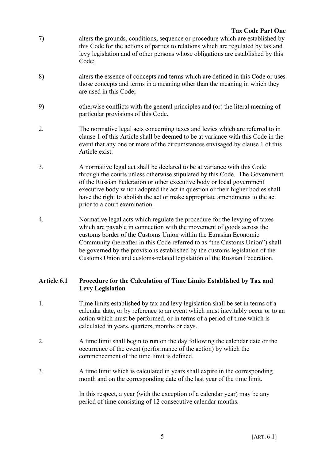- 7) alters the grounds, conditions, sequence or procedure which are established by this Code for the actions of parties to relations which are regulated by tax and levy legislation and of other persons whose obligations are established by this Code;
- 8) alters the essence of concepts and terms which are defined in this Code or uses those concepts and terms in a meaning other than the meaning in which they are used in this Code;
- 9) otherwise conflicts with the general principles and (or) the literal meaning of particular provisions of this Code.
- 2. The normative legal acts concerning taxes and levies which are referred to in clause 1 of this Article shall be deemed to be at variance with this Code in the event that any one or more of the circumstances envisaged by clause 1 of this Article exist.
- 3. A normative legal act shall be declared to be at variance with this Code through the courts unless otherwise stipulated by this Code. The Government of the Russian Federation or other executive body or local government executive body which adopted the act in question or their higher bodies shall have the right to abolish the act or make appropriate amendments to the act prior to a court examination.
- 4. Normative legal acts which regulate the procedure for the levying of taxes which are payable in connection with the movement of goods across the customs border of the Customs Union within the Eurasian Economic Community (hereafter in this Code referred to as "the Customs Union") shall be governed by the provisions established by the customs legislation of the Customs Union and customs-related legislation of the Russian Federation.

# **Article 6.1 Procedure for the Calculation of Time Limits Established by Tax and Levy Legislation**

- 1. Time limits established by tax and levy legislation shall be set in terms of a calendar date, or by reference to an event which must inevitably occur or to an action which must be performed, or in terms of a period of time which is calculated in years, quarters, months or days.
- 2. A time limit shall begin to run on the day following the calendar date or the occurrence of the event (performance of the action) by which the commencement of the time limit is defined.
- 3. A time limit which is calculated in years shall expire in the corresponding month and on the corresponding date of the last year of the time limit.

In this respect, a year (with the exception of a calendar year) may be any period of time consisting of 12 consecutive calendar months.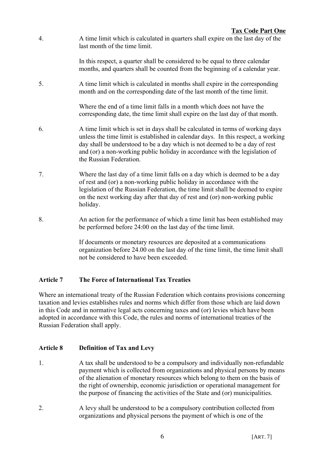4. A time limit which is calculated in quarters shall expire on the last day of the last month of the time limit.

> In this respect, a quarter shall be considered to be equal to three calendar months, and quarters shall be counted from the beginning of a calendar year.

5. A time limit which is calculated in months shall expire in the corresponding month and on the corresponding date of the last month of the time limit.

> Where the end of a time limit falls in a month which does not have the corresponding date, the time limit shall expire on the last day of that month.

- 6. A time limit which is set in days shall be calculated in terms of working days unless the time limit is established in calendar days. In this respect, a working day shall be understood to be a day which is not deemed to be a day of rest and (or) a non-working public holiday in accordance with the legislation of the Russian Federation.
- 7. Where the last day of a time limit falls on a day which is deemed to be a day of rest and (or) a non-working public holiday in accordance with the legislation of the Russian Federation, the time limit shall be deemed to expire on the next working day after that day of rest and (or) non-working public holiday.
- 8. An action for the performance of which a time limit has been established may be performed before 24:00 on the last day of the time limit.

If documents or monetary resources are deposited at a communications organization before 24.00 on the last day of the time limit, the time limit shall not be considered to have been exceeded.

# **Article 7 The Force of International Tax Treaties**

Where an international treaty of the Russian Federation which contains provisions concerning taxation and levies establishes rules and norms which differ from those which are laid down in this Code and in normative legal acts concerning taxes and (or) levies which have been adopted in accordance with this Code, the rules and norms of international treaties of the Russian Federation shall apply.

# **Article 8 Definition of Tax and Levy**

- 1. A tax shall be understood to be a compulsory and individually non-refundable payment which is collected from organizations and physical persons by means of the alienation of monetary resources which belong to them on the basis of the right of ownership, economic jurisdiction or operational management for the purpose of financing the activities of the State and (or) municipalities.
- 2. A levy shall be understood to be a compulsory contribution collected from organizations and physical persons the payment of which is one of the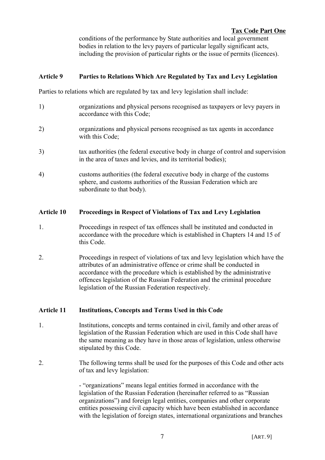conditions of the performance by State authorities and local government bodies in relation to the levy payers of particular legally significant acts, including the provision of particular rights or the issue of permits (licences).

# **Article 9 Parties to Relations Which Are Regulated by Tax and Levy Legislation**

Parties to relations which are regulated by tax and levy legislation shall include:

- 1) organizations and physical persons recognised as taxpayers or levy payers in accordance with this Code;
- 2) organizations and physical persons recognised as tax agents in accordance with this Code;
- 3) tax authorities (the federal executive body in charge of control and supervision in the area of taxes and levies, and its territorial bodies);
- 4) customs authorities (the federal executive body in charge of the customs sphere, and customs authorities of the Russian Federation which are subordinate to that body).

# **Article 10 Proceedings in Respect of Violations of Tax and Levy Legislation**

- 1. Proceedings in respect of tax offences shall be instituted and conducted in accordance with the procedure which is established in Chapters 14 and 15 of this Code.
- 2. Proceedings in respect of violations of tax and levy legislation which have the attributes of an administrative offence or crime shall be conducted in accordance with the procedure which is established by the administrative offences legislation of the Russian Federation and the criminal procedure legislation of the Russian Federation respectively.

# **Article 11 Institutions, Concepts and Terms Used in this Code**

- 1. Institutions, concepts and terms contained in civil, family and other areas of legislation of the Russian Federation which are used in this Code shall have the same meaning as they have in those areas of legislation, unless otherwise stipulated by this Code.
- 2. The following terms shall be used for the purposes of this Code and other acts of tax and levy legislation:

- "organizations" means legal entities formed in accordance with the legislation of the Russian Federation (hereinafter referred to as "Russian organizations") and foreign legal entities, companies and other corporate entities possessing civil capacity which have been established in accordance with the legislation of foreign states, international organizations and branches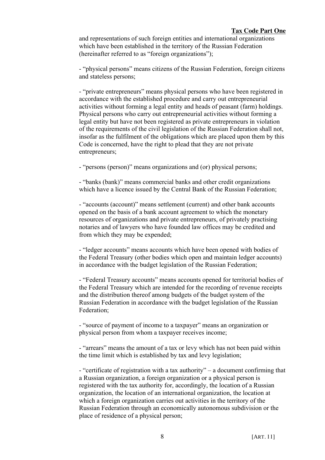and representations of such foreign entities and international organizations which have been established in the territory of the Russian Federation (hereinafter referred to as "foreign organizations");

- "physical persons" means citizens of the Russian Federation, foreign citizens and stateless persons;

- "private entrepreneurs" means physical persons who have been registered in accordance with the established procedure and carry out entrepreneurial activities without forming a legal entity and heads of peasant (farm) holdings. Physical persons who carry out entrepreneurial activities without forming a legal entity but have not been registered as private entrepreneurs in violation of the requirements of the civil legislation of the Russian Federation shall not, insofar as the fulfilment of the obligations which are placed upon them by this Code is concerned, have the right to plead that they are not private entrepreneurs;

- "persons (person)" means organizations and (or) physical persons;

- "banks (bank)" means commercial banks and other credit organizations which have a licence issued by the Central Bank of the Russian Federation;

- "accounts (account)" means settlement (current) and other bank accounts opened on the basis of a bank account agreement to which the monetary resources of organizations and private entrepreneurs, of privately practising notaries and of lawyers who have founded law offices may be credited and from which they may be expended;

- "ledger accounts" means accounts which have been opened with bodies of the Federal Treasury (other bodies which open and maintain ledger accounts) in accordance with the budget legislation of the Russian Federation;

- "Federal Treasury accounts" means accounts opened for territorial bodies of the Federal Treasury which are intended for the recording of revenue receipts and the distribution thereof among budgets of the budget system of the Russian Federation in accordance with the budget legislation of the Russian Federation;

- "source of payment of income to a taxpayer" means an organization or physical person from whom a taxpayer receives income;

- "arrears" means the amount of a tax or levy which has not been paid within the time limit which is established by tax and levy legislation;

- "certificate of registration with a tax authority" – a document confirming that a Russian organization, a foreign organization or a physical person is registered with the tax authority for, accordingly, the location of a Russian organization, the location of an international organization, the location at which a foreign organization carries out activities in the territory of the Russian Federation through an economically autonomous subdivision or the place of residence of a physical person;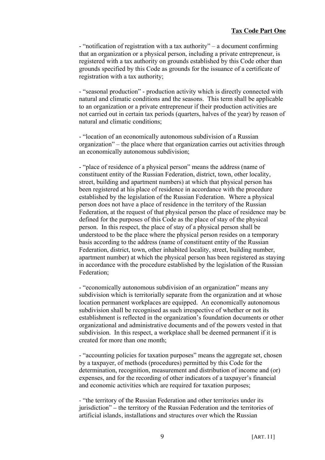- "notification of registration with a tax authority" – a document confirming that an organization or a physical person, including a private entrepreneur, is registered with a tax authority on grounds established by this Code other than grounds specified by this Code as grounds for the issuance of a certificate of registration with a tax authority;

- "seasonal production" - production activity which is directly connected with natural and climatic conditions and the seasons. This term shall be applicable to an organization or a private entrepreneur if their production activities are not carried out in certain tax periods (quarters, halves of the year) by reason of natural and climatic conditions;

- "location of an economically autonomous subdivision of a Russian organization" – the place where that organization carries out activities through an economically autonomous subdivision;

- "place of residence of a physical person" means the address (name of constituent entity of the Russian Federation, district, town, other locality, street, building and apartment numbers) at which that physical person has been registered at his place of residence in accordance with the procedure established by the legislation of the Russian Federation. Where a physical person does not have a place of residence in the territory of the Russian Federation, at the request of that physical person the place of residence may be defined for the purposes of this Code as the place of stay of the physical person. In this respect, the place of stay of a physical person shall be understood to be the place where the physical person resides on a temporary basis according to the address (name of constituent entity of the Russian Federation, district, town, other inhabited locality, street, building number, apartment number) at which the physical person has been registered as staying in accordance with the procedure established by the legislation of the Russian Federation;

- "economically autonomous subdivision of an organization" means any subdivision which is territorially separate from the organization and at whose location permanent workplaces are equipped. An economically autonomous subdivision shall be recognised as such irrespective of whether or not its establishment is reflected in the organization's foundation documents or other organizational and administrative documents and of the powers vested in that subdivision. In this respect, a workplace shall be deemed permanent if it is created for more than one month;

- "accounting policies for taxation purposes" means the aggregate set, chosen by a taxpayer, of methods (procedures) permitted by this Code for the determination, recognition, measurement and distribution of income and (or) expenses, and for the recording of other indicators of a taxpayer's financial and economic activities which are required for taxation purposes;

- "the territory of the Russian Federation and other territories under its jurisdiction" – the territory of the Russian Federation and the territories of artificial islands, installations and structures over which the Russian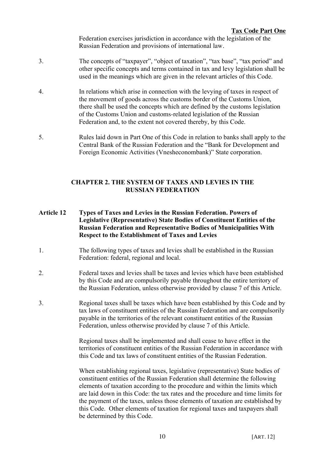Federation exercises jurisdiction in accordance with the legislation of the Russian Federation and provisions of international law.

- 3. The concepts of "taxpayer", "object of taxation", "tax base", "tax period" and other specific concepts and terms contained in tax and levy legislation shall be used in the meanings which are given in the relevant articles of this Code.
- 4. In relations which arise in connection with the levying of taxes in respect of the movement of goods across the customs border of the Customs Union, there shall be used the concepts which are defined by the customs legislation of the Customs Union and customs-related legislation of the Russian Federation and, to the extent not covered thereby, by this Code.
- 5. Rules laid down in Part One of this Code in relation to banks shall apply to the Central Bank of the Russian Federation and the "Bank for Development and Foreign Economic Activities (Vnesheconombank)" State corporation.

#### **CHAPTER 2. THE SYSTEM OF TAXES AND LEVIES IN THE RUSSIAN FEDERATION**

- **Article 12 Types of Taxes and Levies in the Russian Federation. Powers of Legislative (Representative) State Bodies of Constituent Entities of the Russian Federation and Representative Bodies of Municipalities With Respect to the Establishment of Taxes and Levies**
- 1. The following types of taxes and levies shall be established in the Russian Federation: federal, regional and local.
- 2. Federal taxes and levies shall be taxes and levies which have been established by this Code and are compulsorily payable throughout the entire territory of the Russian Federation, unless otherwise provided by clause 7 of this Article.
- 3. Regional taxes shall be taxes which have been established by this Code and by tax laws of constituent entities of the Russian Federation and are compulsorily payable in the territories of the relevant constituent entities of the Russian Federation, unless otherwise provided by clause 7 of this Article.

Regional taxes shall be implemented and shall cease to have effect in the territories of constituent entities of the Russian Federation in accordance with this Code and tax laws of constituent entities of the Russian Federation.

When establishing regional taxes, legislative (representative) State bodies of constituent entities of the Russian Federation shall determine the following elements of taxation according to the procedure and within the limits which are laid down in this Code: the tax rates and the procedure and time limits for the payment of the taxes, unless those elements of taxation are established by this Code. Other elements of taxation for regional taxes and taxpayers shall be determined by this Code.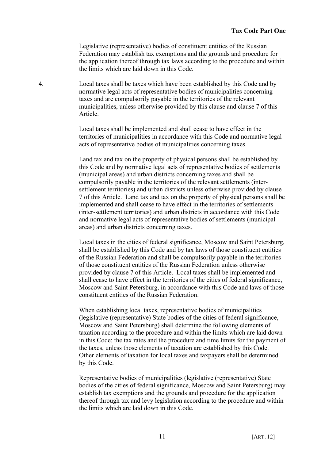Legislative (representative) bodies of constituent entities of the Russian Federation may establish tax exemptions and the grounds and procedure for the application thereof through tax laws according to the procedure and within the limits which are laid down in this Code.

4. Local taxes shall be taxes which have been established by this Code and by normative legal acts of representative bodies of municipalities concerning taxes and are compulsorily payable in the territories of the relevant municipalities, unless otherwise provided by this clause and clause 7 of this Article.

> Local taxes shall be implemented and shall cease to have effect in the territories of municipalities in accordance with this Code and normative legal acts of representative bodies of municipalities concerning taxes.

Land tax and tax on the property of physical persons shall be established by this Code and by normative legal acts of representative bodies of settlements (municipal areas) and urban districts concerning taxes and shall be compulsorily payable in the territories of the relevant settlements (intersettlement territories) and urban districts unless otherwise provided by clause 7 of this Article. Land tax and tax on the property of physical persons shall be implemented and shall cease to have effect in the territories of settlements (inter-settlement territories) and urban districts in accordance with this Code and normative legal acts of representative bodies of settlements (municipal areas) and urban districts concerning taxes.

Local taxes in the cities of federal significance, Moscow and Saint Petersburg, shall be established by this Code and by tax laws of those constituent entities of the Russian Federation and shall be compulsorily payable in the territories of those constituent entities of the Russian Federation unless otherwise provided by clause 7 of this Article. Local taxes shall be implemented and shall cease to have effect in the territories of the cities of federal significance, Moscow and Saint Petersburg, in accordance with this Code and laws of those constituent entities of the Russian Federation.

When establishing local taxes, representative bodies of municipalities (legislative (representative) State bodies of the cities of federal significance, Moscow and Saint Petersburg) shall determine the following elements of taxation according to the procedure and within the limits which are laid down in this Code: the tax rates and the procedure and time limits for the payment of the taxes, unless those elements of taxation are established by this Code. Other elements of taxation for local taxes and taxpayers shall be determined by this Code.

Representative bodies of municipalities (legislative (representative) State bodies of the cities of federal significance, Moscow and Saint Petersburg) may establish tax exemptions and the grounds and procedure for the application thereof through tax and levy legislation according to the procedure and within the limits which are laid down in this Code.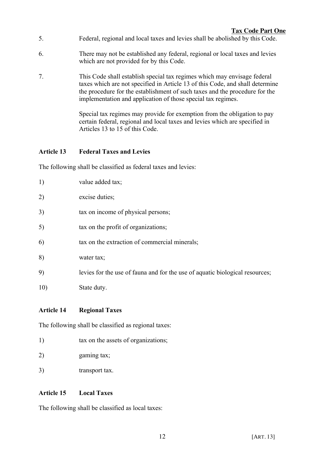- 5. Federal, regional and local taxes and levies shall be abolished by this Code.
- 6. There may not be established any federal, regional or local taxes and levies which are not provided for by this Code.
- 7. This Code shall establish special tax regimes which may envisage federal taxes which are not specified in Article 13 of this Code, and shall determine the procedure for the establishment of such taxes and the procedure for the implementation and application of those special tax regimes.

Special tax regimes may provide for exemption from the obligation to pay certain federal, regional and local taxes and levies which are specified in Articles 13 to 15 of this Code.

# **Article 13 Federal Taxes and Levies**

The following shall be classified as federal taxes and levies:

| 1)  | value added tax;                                                             |
|-----|------------------------------------------------------------------------------|
| 2)  | excise duties;                                                               |
| 3)  | tax on income of physical persons;                                           |
| 5)  | tax on the profit of organizations;                                          |
| 6)  | tax on the extraction of commercial minerals;                                |
| 8)  | water tax;                                                                   |
| 9)  | levies for the use of fauna and for the use of aquatic biological resources; |
| 10) | State duty.                                                                  |

# **Article 14 Regional Taxes**

The following shall be classified as regional taxes:

| 1) |  | tax on the assets of organizations; |
|----|--|-------------------------------------|
|    |  |                                     |

- 2) gaming tax;
- 3) transport tax.

# **Article 15 Local Taxes**

The following shall be classified as local taxes: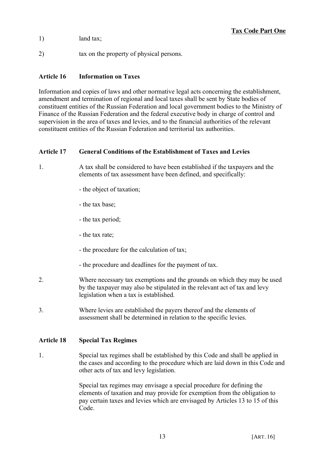- 1) land tax;
- 2) tax on the property of physical persons.

# **Article 16 Information on Taxes**

Information and copies of laws and other normative legal acts concerning the establishment, amendment and termination of regional and local taxes shall be sent by State bodies of constituent entities of the Russian Federation and local government bodies to the Ministry of Finance of the Russian Federation and the federal executive body in charge of control and supervision in the area of taxes and levies, and to the financial authorities of the relevant constituent entities of the Russian Federation and territorial tax authorities.

# **Article 17 General Conditions of the Establishment of Taxes and Levies**

- 1. A tax shall be considered to have been established if the taxpayers and the elements of tax assessment have been defined, and specifically:
	- the object of taxation;
	- the tax base;
	- the tax period;
	- the tax rate;
	- the procedure for the calculation of tax;
	- the procedure and deadlines for the payment of tax.
- 2. Where necessary tax exemptions and the grounds on which they may be used by the taxpayer may also be stipulated in the relevant act of tax and levy legislation when a tax is established.
- 3. Where levies are established the payers thereof and the elements of assessment shall be determined in relation to the specific levies.

# **Article 18 Special Tax Regimes**

1. Special tax regimes shall be established by this Code and shall be applied in the cases and according to the procedure which are laid down in this Code and other acts of tax and levy legislation.

> Special tax regimes may envisage a special procedure for defining the elements of taxation and may provide for exemption from the obligation to pay certain taxes and levies which are envisaged by Articles 13 to 15 of this Code.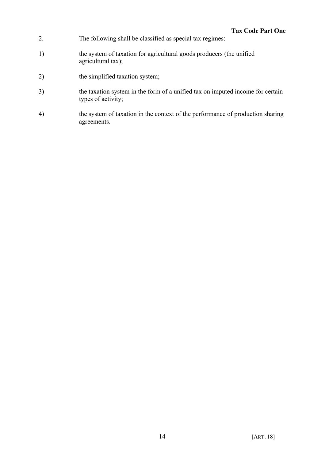- 2. The following shall be classified as special tax regimes:
- 1) the system of taxation for agricultural goods producers (the unified agricultural tax);
- 2) the simplified taxation system;
- 3) the taxation system in the form of a unified tax on imputed income for certain types of activity;
- 4) the system of taxation in the context of the performance of production sharing agreements.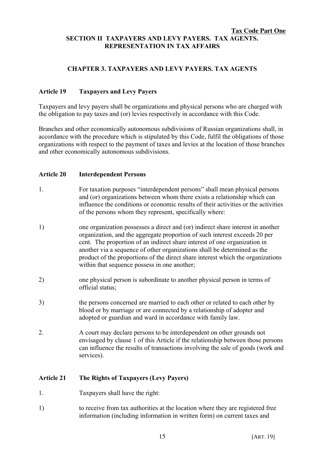#### **Tax Code Part One SECTION II TAXPAYERS AND LEVY PAYERS. TAX AGENTS. REPRESENTATION IN TAX AFFAIRS**

# **CHAPTER 3. TAXPAYERS AND LEVY PAYERS. TAX AGENTS**

# **Article 19 Taxpayers and Levy Payers**

Taxpayers and levy payers shall be organizations and physical persons who are charged with the obligation to pay taxes and (or) levies respectively in accordance with this Code.

Branches and other economically autonomous subdivisions of Russian organizations shall, in accordance with the procedure which is stipulated by this Code, fulfil the obligations of those organizations with respect to the payment of taxes and levies at the location of those branches and other economically autonomous subdivisions.

#### **Article 20 Interdependent Persons**

- 1. For taxation purposes "interdependent persons" shall mean physical persons and (or) organizations between whom there exists a relationship which can influence the conditions or economic results of their activities or the activities of the persons whom they represent, specifically where:
- 1) one organization possesses a direct and (or) indirect share interest in another organization, and the aggregate proportion of such interest exceeds 20 per cent. The proportion of an indirect share interest of one organization in another via a sequence of other organizations shall be determined as the product of the proportions of the direct share interest which the organizations within that sequence possess in one another;
- 2) one physical person is subordinate to another physical person in terms of official status;
- 3) the persons concerned are married to each other or related to each other by blood or by marriage or are connected by a relationship of adopter and adopted or guardian and ward in accordance with family law.
- 2. A court may declare persons to be interdependent on other grounds not envisaged by clause 1 of this Article if the relationship between those persons can influence the results of transactions involving the sale of goods (work and services).

# **Article 21 The Rights of Taxpayers (Levy Payers)**

- 1. Taxpayers shall have the right:
- 1) to receive from tax authorities at the location where they are registered free information (including information in written form) on current taxes and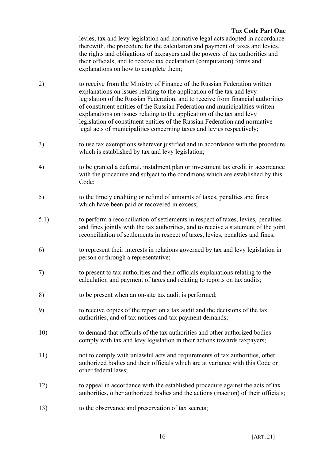levies, tax and levy legislation and normative legal acts adopted in accordance therewith, the procedure for the calculation and payment of taxes and levies, the rights and obligations of taxpayers and the powers of tax authorities and their officials, and to receive tax declaration (computation) forms and explanations on how to complete them;

- 2) to receive from the Ministry of Finance of the Russian Federation written explanations on issues relating to the application of the tax and levy legislation of the Russian Federation, and to receive from financial authorities of constituent entities of the Russian Federation and municipalities written explanations on issues relating to the application of the tax and levy legislation of constituent entities of the Russian Federation and normative legal acts of municipalities concerning taxes and levies respectively;
- 3) to use tax exemptions wherever justified and in accordance with the procedure which is established by tax and levy legislation;
- 4) to be granted a deferral, instalment plan or investment tax credit in accordance with the procedure and subject to the conditions which are established by this Code;
- 5) to the timely crediting or refund of amounts of taxes, penalties and fines which have been paid or recovered in excess;
- 5.1) to perform a reconciliation of settlements in respect of taxes, levies, penalties and fines jointly with the tax authorities, and to receive a statement of the joint reconciliation of settlements in respect of taxes, levies, penalties and fines;
- 6) to represent their interests in relations governed by tax and levy legislation in person or through a representative;
- 7) to present to tax authorities and their officials explanations relating to the calculation and payment of taxes and relating to reports on tax audits;
- 8) to be present when an on-site tax audit is performed;
- 9) to receive copies of the report on a tax audit and the decisions of the tax authorities, and of tax notices and tax payment demands;
- 10) to demand that officials of the tax authorities and other authorized bodies comply with tax and levy legislation in their actions towards taxpayers;
- 11) not to comply with unlawful acts and requirements of tax authorities, other authorized bodies and their officials which are at variance with this Code or other federal laws;
- 12) to appeal in accordance with the established procedure against the acts of tax authorities, other authorized bodies and the actions (inaction) of their officials;
- 13) to the observance and preservation of tax secrets;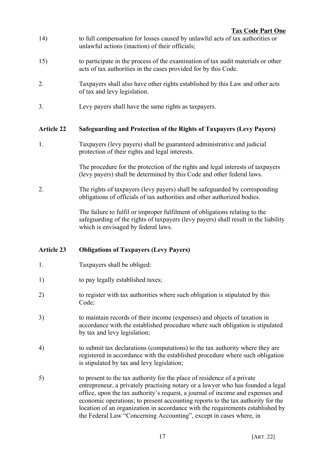- 14) to full compensation for losses caused by unlawful acts of tax authorities or unlawful actions (inaction) of their officials;
- 15) to participate in the process of the examination of tax audit materials or other acts of tax authorities in the cases provided for by this Code.
- 2. Taxpayers shall also have other rights established by this Law and other acts of tax and levy legislation.
- 3. Levy payers shall have the same rights as taxpayers.

# **Article 22 Safeguarding and Protection of the Rights of Taxpayers (Levy Payers)**

1. Taxpayers (levy payers) shall be guaranteed administrative and judicial protection of their rights and legal interests.

> The procedure for the protection of the rights and legal interests of taxpayers (levy payers) shall be determined by this Code and other federal laws.

2. The rights of taxpayers (levy payers) shall be safeguarded by corresponding obligations of officials of tax authorities and other authorized bodies.

> The failure to fulfil or improper fulfilment of obligations relating to the safeguarding of the rights of taxpayers (levy payers) shall result in the liability which is envisaged by federal laws.

# **Article 23 Obligations of Taxpayers (Levy Payers)**

- 1. Taxpayers shall be obliged:
- 1) to pay legally established taxes;
- 2) to register with tax authorities where such obligation is stipulated by this Code;
- 3) to maintain records of their income (expenses) and objects of taxation in accordance with the established procedure where such obligation is stipulated by tax and levy legislation;
- 4) to submit tax declarations (computations) to the tax authority where they are registered in accordance with the established procedure where such obligation is stipulated by tax and levy legislation;
- 5) to present to the tax authority for the place of residence of a private entrepreneur, a privately practising notary or a lawyer who has founded a legal office, upon the tax authority's request, a journal of income and expenses and economic operations; to present accounting reports to the tax authority for the location of an organization in accordance with the requirements established by the Federal Law "Concerning Accounting", except in cases where, in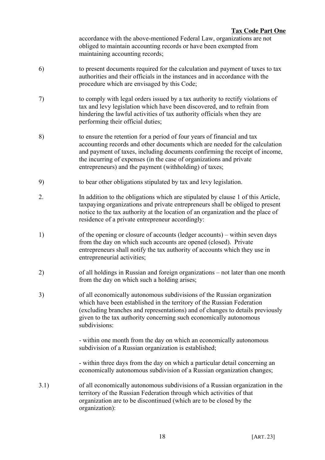accordance with the above-mentioned Federal Law, organizations are not obliged to maintain accounting records or have been exempted from maintaining accounting records;

- 6) to present documents required for the calculation and payment of taxes to tax authorities and their officials in the instances and in accordance with the procedure which are envisaged by this Code;
- 7) to comply with legal orders issued by a tax authority to rectify violations of tax and levy legislation which have been discovered, and to refrain from hindering the lawful activities of tax authority officials when they are performing their official duties;
- 8) to ensure the retention for a period of four years of financial and tax accounting records and other documents which are needed for the calculation and payment of taxes, including documents confirming the receipt of income, the incurring of expenses (in the case of organizations and private entrepreneurs) and the payment (withholding) of taxes;
- 9) to bear other obligations stipulated by tax and levy legislation.
- 2. In addition to the obligations which are stipulated by clause 1 of this Article, taxpaying organizations and private entrepreneurs shall be obliged to present notice to the tax authority at the location of an organization and the place of residence of a private entrepreneur accordingly:
- 1) of the opening or closure of accounts (ledger accounts) within seven days from the day on which such accounts are opened (closed). Private entrepreneurs shall notify the tax authority of accounts which they use in entrepreneurial activities;
- 2) of all holdings in Russian and foreign organizations not later than one month from the day on which such a holding arises;
- 3) of all economically autonomous subdivisions of the Russian organization which have been established in the territory of the Russian Federation (excluding branches and representations) and of changes to details previously given to the tax authority concerning such economically autonomous subdivisions:

- within one month from the day on which an economically autonomous subdivision of a Russian organization is established;

- within three days from the day on which a particular detail concerning an economically autonomous subdivision of a Russian organization changes;

3.1) of all economically autonomous subdivisions of a Russian organization in the territory of the Russian Federation through which activities of that organization are to be discontinued (which are to be closed by the organization):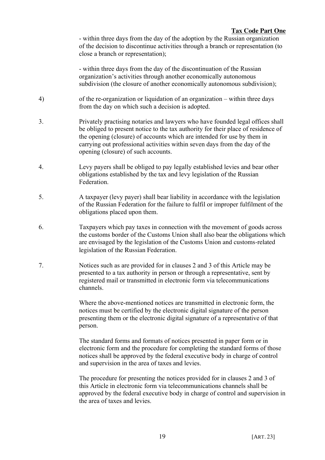- within three days from the day of the adoption by the Russian organization of the decision to discontinue activities through a branch or representation (to close a branch or representation);

- within three days from the day of the discontinuation of the Russian organization's activities through another economically autonomous subdivision (the closure of another economically autonomous subdivision);

- 4) of the re-organization or liquidation of an organization within three days from the day on which such a decision is adopted.
- 3. Privately practising notaries and lawyers who have founded legal offices shall be obliged to present notice to the tax authority for their place of residence of the opening (closure) of accounts which are intended for use by them in carrying out professional activities within seven days from the day of the opening (closure) of such accounts.
- 4. Levy payers shall be obliged to pay legally established levies and bear other obligations established by the tax and levy legislation of the Russian **Federation**
- 5. A taxpayer (levy payer) shall bear liability in accordance with the legislation of the Russian Federation for the failure to fulfil or improper fulfilment of the obligations placed upon them.
- 6. Taxpayers which pay taxes in connection with the movement of goods across the customs border of the Customs Union shall also bear the obligations which are envisaged by the legislation of the Customs Union and customs-related legislation of the Russian Federation.
- 7. Notices such as are provided for in clauses 2 and 3 of this Article may be presented to a tax authority in person or through a representative, sent by registered mail or transmitted in electronic form via telecommunications channels.

Where the above-mentioned notices are transmitted in electronic form, the notices must be certified by the electronic digital signature of the person presenting them or the electronic digital signature of a representative of that person.

The standard forms and formats of notices presented in paper form or in electronic form and the procedure for completing the standard forms of those notices shall be approved by the federal executive body in charge of control and supervision in the area of taxes and levies.

The procedure for presenting the notices provided for in clauses 2 and 3 of this Article in electronic form via telecommunications channels shall be approved by the federal executive body in charge of control and supervision in the area of taxes and levies.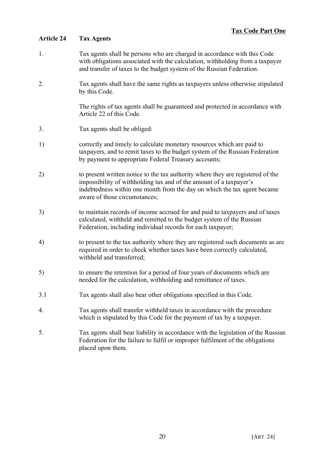# **Article 24 Tax Agents**

- 1. Tax agents shall be persons who are charged in accordance with this Code with obligations associated with the calculation, withholding from a taxpayer and transfer of taxes to the budget system of the Russian Federation.
- 2. Tax agents shall have the same rights as taxpayers unless otherwise stipulated by this Code.

The rights of tax agents shall be guaranteed and protected in accordance with Article 22 of this Code.

- 3. Tax agents shall be obliged:
- 1) correctly and timely to calculate monetary resources which are paid to taxpayers, and to remit taxes to the budget system of the Russian Federation by payment to appropriate Federal Treasury accounts;
- 2) to present written notice to the tax authority where they are registered of the impossibility of withholding tax and of the amount of a taxpayer's indebtedness within one month from the day on which the tax agent became aware of those circumstances;
- 3) to maintain records of income accrued for and paid to taxpayers and of taxes calculated, withheld and remitted to the budget system of the Russian Federation, including individual records for each taxpayer;
- 4) to present to the tax authority where they are registered such documents as are required in order to check whether taxes have been correctly calculated, withheld and transferred;
- 5) to ensure the retention for a period of four years of documents which are needed for the calculation, withholding and remittance of taxes.
- 3.1 Tax agents shall also bear other obligations specified in this Code.
- 4. Tax agents shall transfer withheld taxes in accordance with the procedure which is stipulated by this Code for the payment of tax by a taxpayer.
- 5. Tax agents shall bear liability in accordance with the legislation of the Russian Federation for the failure to fulfil or improper fulfilment of the obligations placed upon them.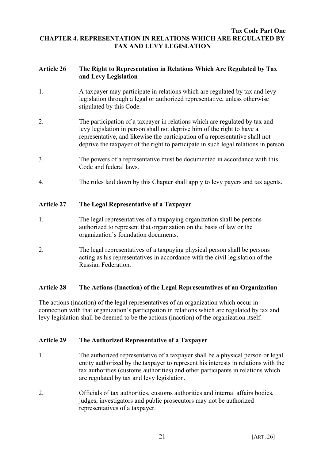#### **Tax Code Part One CHAPTER 4. REPRESENTATION IN RELATIONS WHICH ARE REGULATED BY TAX AND LEVY LEGISLATION**

#### **Article 26 The Right to Representation in Relations Which Are Regulated by Tax and Levy Legislation**

- 1. A taxpayer may participate in relations which are regulated by tax and levy legislation through a legal or authorized representative, unless otherwise stipulated by this Code.
- 2. The participation of a taxpayer in relations which are regulated by tax and levy legislation in person shall not deprive him of the right to have a representative, and likewise the participation of a representative shall not deprive the taxpayer of the right to participate in such legal relations in person.
- 3. The powers of a representative must be documented in accordance with this Code and federal laws.
- 4. The rules laid down by this Chapter shall apply to levy payers and tax agents.

# **Article 27 The Legal Representative of a Taxpayer**

- 1. The legal representatives of a taxpaying organization shall be persons authorized to represent that organization on the basis of law or the organization's foundation documents.
- 2. The legal representatives of a taxpaying physical person shall be persons acting as his representatives in accordance with the civil legislation of the Russian Federation.

# **Article 28 The Actions (Inaction) of the Legal Representatives of an Organization**

The actions (inaction) of the legal representatives of an organization which occur in connection with that organization's participation in relations which are regulated by tax and levy legislation shall be deemed to be the actions (inaction) of the organization itself.

# **Article 29 The Authorized Representative of a Taxpayer**

- 1. The authorized representative of a taxpayer shall be a physical person or legal entity authorized by the taxpayer to represent his interests in relations with the tax authorities (customs authorities) and other participants in relations which are regulated by tax and levy legislation.
- 2. Officials of tax authorities, customs authorities and internal affairs bodies, judges, investigators and public prosecutors may not be authorized representatives of a taxpayer.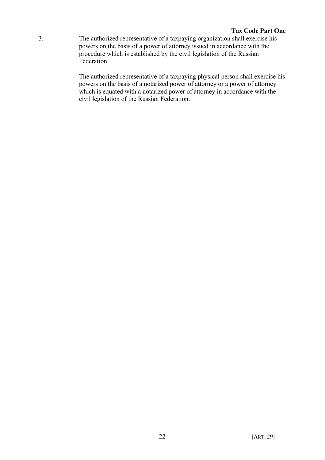3. The authorized representative of a taxpaying organization shall exercise his powers on the basis of a power of attorney issued in accordance with the procedure which is established by the civil legislation of the Russian Federation.

> The authorized representative of a taxpaying physical person shall exercise his powers on the basis of a notarized power of attorney or a power of attorney which is equated with a notarized power of attorney in accordance with the civil legislation of the Russian Federation.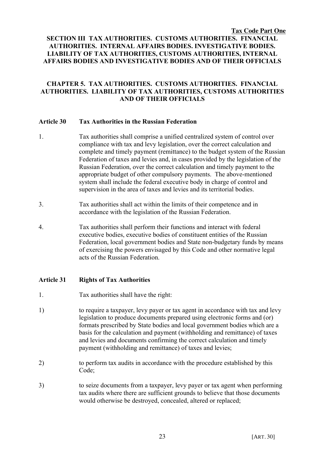### **Tax Code Part One SECTION III TAX AUTHORITIES. CUSTOMS AUTHORITIES. FINANCIAL AUTHORITIES. INTERNAL AFFAIRS BODIES. INVESTIGATIVE BODIES. LIABILITY OF TAX AUTHORITIES, CUSTOMS AUTHORITIES, INTERNAL AFFAIRS BODIES AND INVESTIGATIVE BODIES AND OF THEIR OFFICIALS**

# **CHAPTER 5. TAX AUTHORITIES. CUSTOMS AUTHORITIES. FINANCIAL AUTHORITIES. LIABILITY OF TAX AUTHORITIES, CUSTOMS AUTHORITIES AND OF THEIR OFFICIALS**

#### **Article 30 Tax Authorities in the Russian Federation**

- 1. Tax authorities shall comprise a unified centralized system of control over compliance with tax and levy legislation, over the correct calculation and complete and timely payment (remittance) to the budget system of the Russian Federation of taxes and levies and, in cases provided by the legislation of the Russian Federation, over the correct calculation and timely payment to the appropriate budget of other compulsory payments. The above-mentioned system shall include the federal executive body in charge of control and supervision in the area of taxes and levies and its territorial bodies.
- 3. Tax authorities shall act within the limits of their competence and in accordance with the legislation of the Russian Federation.
- 4. Tax authorities shall perform their functions and interact with federal executive bodies, executive bodies of constituent entities of the Russian Federation, local government bodies and State non-budgetary funds by means of exercising the powers envisaged by this Code and other normative legal acts of the Russian Federation.

## **Article 31 Rights of Tax Authorities**

- 1. Tax authorities shall have the right:
- 1) to require a taxpayer, levy payer or tax agent in accordance with tax and levy legislation to produce documents prepared using electronic forms and (or) formats prescribed by State bodies and local government bodies which are a basis for the calculation and payment (withholding and remittance) of taxes and levies and documents confirming the correct calculation and timely payment (withholding and remittance) of taxes and levies;
- 2) to perform tax audits in accordance with the procedure established by this Code;
- 3) to seize documents from a taxpayer, levy payer or tax agent when performing tax audits where there are sufficient grounds to believe that those documents would otherwise be destroyed, concealed, altered or replaced;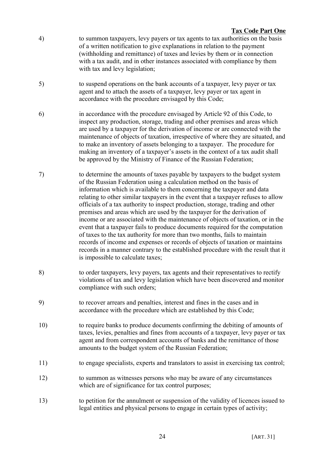- 4) to summon taxpayers, levy payers or tax agents to tax authorities on the basis of a written notification to give explanations in relation to the payment (withholding and remittance) of taxes and levies by them or in connection with a tax audit, and in other instances associated with compliance by them with tax and levy legislation;
- 5) to suspend operations on the bank accounts of a taxpayer, levy payer or tax agent and to attach the assets of a taxpayer, levy payer or tax agent in accordance with the procedure envisaged by this Code;
- 6) in accordance with the procedure envisaged by Article 92 of this Code, to inspect any production, storage, trading and other premises and areas which are used by a taxpayer for the derivation of income or are connected with the maintenance of objects of taxation, irrespective of where they are situated, and to make an inventory of assets belonging to a taxpayer. The procedure for making an inventory of a taxpayer's assets in the context of a tax audit shall be approved by the Ministry of Finance of the Russian Federation;
- 7) to determine the amounts of taxes payable by taxpayers to the budget system of the Russian Federation using a calculation method on the basis of information which is available to them concerning the taxpayer and data relating to other similar taxpayers in the event that a taxpayer refuses to allow officials of a tax authority to inspect production, storage, trading and other premises and areas which are used by the taxpayer for the derivation of income or are associated with the maintenance of objects of taxation, or in the event that a taxpayer fails to produce documents required for the computation of taxes to the tax authority for more than two months, fails to maintain records of income and expenses or records of objects of taxation or maintains records in a manner contrary to the established procedure with the result that it is impossible to calculate taxes;
- 8) to order taxpayers, levy payers, tax agents and their representatives to rectify violations of tax and levy legislation which have been discovered and monitor compliance with such orders;
- 9) to recover arrears and penalties, interest and fines in the cases and in accordance with the procedure which are established by this Code;
- 10) to require banks to produce documents confirming the debiting of amounts of taxes, levies, penalties and fines from accounts of a taxpayer, levy payer or tax agent and from correspondent accounts of banks and the remittance of those amounts to the budget system of the Russian Federation;
- 11) to engage specialists, experts and translators to assist in exercising tax control;
- 12) to summon as witnesses persons who may be aware of any circumstances which are of significance for tax control purposes;
- 13) to petition for the annulment or suspension of the validity of licences issued to legal entities and physical persons to engage in certain types of activity;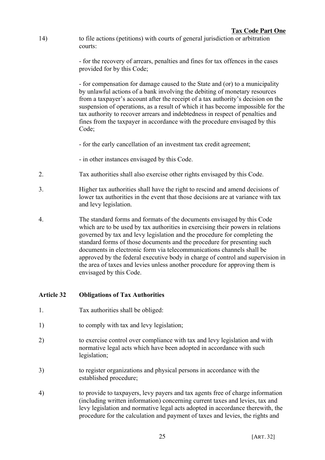14) to file actions (petitions) with courts of general jurisdiction or arbitration courts:

> - for the recovery of arrears, penalties and fines for tax offences in the cases provided for by this Code;

- for compensation for damage caused to the State and (or) to a municipality by unlawful actions of a bank involving the debiting of monetary resources from a taxpayer's account after the receipt of a tax authority's decision on the suspension of operations, as a result of which it has become impossible for the tax authority to recover arrears and indebtedness in respect of penalties and fines from the taxpayer in accordance with the procedure envisaged by this Code<sup>-</sup>

- for the early cancellation of an investment tax credit agreement;
- in other instances envisaged by this Code.
- 2. Tax authorities shall also exercise other rights envisaged by this Code.
- 3. Higher tax authorities shall have the right to rescind and amend decisions of lower tax authorities in the event that those decisions are at variance with tax and levy legislation.
- 4. The standard forms and formats of the documents envisaged by this Code which are to be used by tax authorities in exercising their powers in relations governed by tax and levy legislation and the procedure for completing the standard forms of those documents and the procedure for presenting such documents in electronic form via telecommunications channels shall be approved by the federal executive body in charge of control and supervision in the area of taxes and levies unless another procedure for approving them is envisaged by this Code.

## **Article 32 Obligations of Tax Authorities**

- 1. Tax authorities shall be obliged:
- 1) to comply with tax and levy legislation;
- 2) to exercise control over compliance with tax and levy legislation and with normative legal acts which have been adopted in accordance with such legislation;
- 3) to register organizations and physical persons in accordance with the established procedure;
- 4) to provide to taxpayers, levy payers and tax agents free of charge information (including written information) concerning current taxes and levies, tax and levy legislation and normative legal acts adopted in accordance therewith, the procedure for the calculation and payment of taxes and levies, the rights and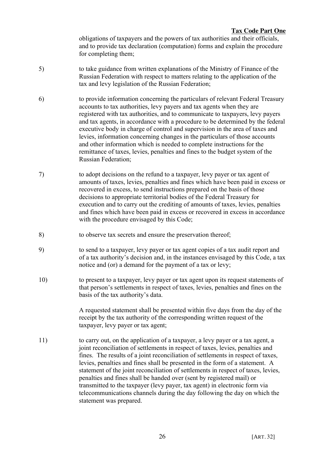obligations of taxpayers and the powers of tax authorities and their officials, and to provide tax declaration (computation) forms and explain the procedure for completing them;

- 5) to take guidance from written explanations of the Ministry of Finance of the Russian Federation with respect to matters relating to the application of the tax and levy legislation of the Russian Federation;
- 6) to provide information concerning the particulars of relevant Federal Treasury accounts to tax authorities, levy payers and tax agents when they are registered with tax authorities, and to communicate to taxpayers, levy payers and tax agents, in accordance with a procedure to be determined by the federal executive body in charge of control and supervision in the area of taxes and levies, information concerning changes in the particulars of those accounts and other information which is needed to complete instructions for the remittance of taxes, levies, penalties and fines to the budget system of the Russian Federation;
- 7) to adopt decisions on the refund to a taxpayer, levy payer or tax agent of amounts of taxes, levies, penalties and fines which have been paid in excess or recovered in excess, to send instructions prepared on the basis of those decisions to appropriate territorial bodies of the Federal Treasury for execution and to carry out the crediting of amounts of taxes, levies, penalties and fines which have been paid in excess or recovered in excess in accordance with the procedure envisaged by this Code:
- 8) to observe tax secrets and ensure the preservation thereof;
- 9) to send to a taxpayer, levy payer or tax agent copies of a tax audit report and of a tax authority's decision and, in the instances envisaged by this Code, a tax notice and (or) a demand for the payment of a tax or levy;
- 10) to present to a taxpayer, levy payer or tax agent upon its request statements of that person's settlements in respect of taxes, levies, penalties and fines on the basis of the tax authority's data.

A requested statement shall be presented within five days from the day of the receipt by the tax authority of the corresponding written request of the taxpayer, levy payer or tax agent;

11) to carry out, on the application of a taxpayer, a levy payer or a tax agent, a joint reconciliation of settlements in respect of taxes, levies, penalties and fines. The results of a joint reconciliation of settlements in respect of taxes, levies, penalties and fines shall be presented in the form of a statement. A statement of the joint reconciliation of settlements in respect of taxes, levies, penalties and fines shall be handed over (sent by registered mail) or transmitted to the taxpayer (levy payer, tax agent) in electronic form via telecommunications channels during the day following the day on which the statement was prepared.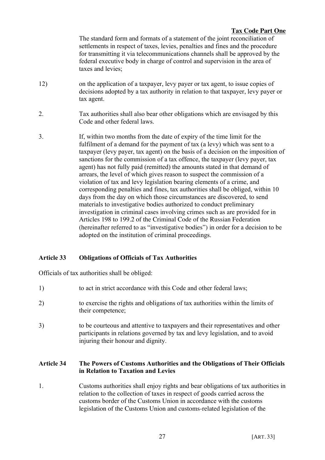The standard form and formats of a statement of the joint reconciliation of settlements in respect of taxes, levies, penalties and fines and the procedure for transmitting it via telecommunications channels shall be approved by the federal executive body in charge of control and supervision in the area of taxes and levies;

- 12) on the application of a taxpayer, levy payer or tax agent, to issue copies of decisions adopted by a tax authority in relation to that taxpayer, levy payer or tax agent.
- 2. Tax authorities shall also bear other obligations which are envisaged by this Code and other federal laws.
- 3. If, within two months from the date of expiry of the time limit for the fulfilment of a demand for the payment of tax (a levy) which was sent to a taxpayer (levy payer, tax agent) on the basis of a decision on the imposition of sanctions for the commission of a tax offence, the taxpayer (levy payer, tax agent) has not fully paid (remitted) the amounts stated in that demand of arrears, the level of which gives reason to suspect the commission of a violation of tax and levy legislation bearing elements of a crime, and corresponding penalties and fines, tax authorities shall be obliged, within 10 days from the day on which those circumstances are discovered, to send materials to investigative bodies authorized to conduct preliminary investigation in criminal cases involving crimes such as are provided for in Articles 198 to 199.2 of the Criminal Code of the Russian Federation (hereinafter referred to as "investigative bodies") in order for a decision to be adopted on the institution of criminal proceedings.

# **Article 33 Obligations of Officials of Tax Authorities**

Officials of tax authorities shall be obliged:

- 1) to act in strict accordance with this Code and other federal laws;
- 2) to exercise the rights and obligations of tax authorities within the limits of their competence;
- 3) to be courteous and attentive to taxpayers and their representatives and other participants in relations governed by tax and levy legislation, and to avoid injuring their honour and dignity.

## **Article 34 The Powers of Customs Authorities and the Obligations of Their Officials in Relation to Taxation and Levies**

1. Customs authorities shall enjoy rights and bear obligations of tax authorities in relation to the collection of taxes in respect of goods carried across the customs border of the Customs Union in accordance with the customs legislation of the Customs Union and customs-related legislation of the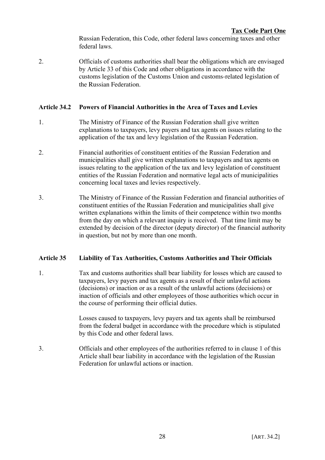Russian Federation, this Code, other federal laws concerning taxes and other federal laws.

2. Officials of customs authorities shall bear the obligations which are envisaged by Article 33 of this Code and other obligations in accordance with the customs legislation of the Customs Union and customs-related legislation of the Russian Federation.

# **Article 34.2 Powers of Financial Authorities in the Area of Taxes and Levies**

- 1. The Ministry of Finance of the Russian Federation shall give written explanations to taxpayers, levy payers and tax agents on issues relating to the application of the tax and levy legislation of the Russian Federation.
- 2. Financial authorities of constituent entities of the Russian Federation and municipalities shall give written explanations to taxpayers and tax agents on issues relating to the application of the tax and levy legislation of constituent entities of the Russian Federation and normative legal acts of municipalities concerning local taxes and levies respectively.
- 3. The Ministry of Finance of the Russian Federation and financial authorities of constituent entities of the Russian Federation and municipalities shall give written explanations within the limits of their competence within two months from the day on which a relevant inquiry is received. That time limit may be extended by decision of the director (deputy director) of the financial authority in question, but not by more than one month.

## **Article 35 Liability of Tax Authorities, Customs Authorities and Their Officials**

1. Tax and customs authorities shall bear liability for losses which are caused to taxpayers, levy payers and tax agents as a result of their unlawful actions (decisions) or inaction or as a result of the unlawful actions (decisions) or inaction of officials and other employees of those authorities which occur in the course of performing their official duties.

> Losses caused to taxpayers, levy payers and tax agents shall be reimbursed from the federal budget in accordance with the procedure which is stipulated by this Code and other federal laws.

3. Officials and other employees of the authorities referred to in clause 1 of this Article shall bear liability in accordance with the legislation of the Russian Federation for unlawful actions or inaction.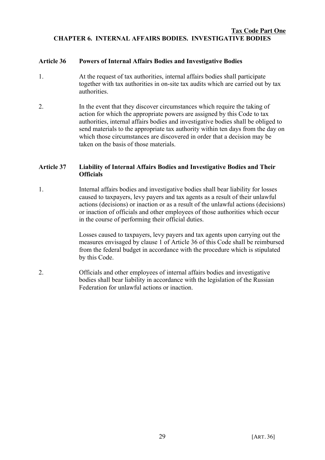### **Tax Code Part One CHAPTER 6. INTERNAL AFFAIRS BODIES. INVESTIGATIVE BODIES**

### **Article 36 Powers of Internal Affairs Bodies and Investigative Bodies**

- 1. At the request of tax authorities, internal affairs bodies shall participate together with tax authorities in on-site tax audits which are carried out by tax authorities.
- 2. In the event that they discover circumstances which require the taking of action for which the appropriate powers are assigned by this Code to tax authorities, internal affairs bodies and investigative bodies shall be obliged to send materials to the appropriate tax authority within ten days from the day on which those circumstances are discovered in order that a decision may be taken on the basis of those materials.

### **Article 37 Liability of Internal Affairs Bodies and Investigative Bodies and Their Officials**

1. Internal affairs bodies and investigative bodies shall bear liability for losses caused to taxpayers, levy payers and tax agents as a result of their unlawful actions (decisions) or inaction or as a result of the unlawful actions (decisions) or inaction of officials and other employees of those authorities which occur in the course of performing their official duties.

> Losses caused to taxpayers, levy payers and tax agents upon carrying out the measures envisaged by clause 1 of Article 36 of this Code shall be reimbursed from the federal budget in accordance with the procedure which is stipulated by this Code.

2. Officials and other employees of internal affairs bodies and investigative bodies shall bear liability in accordance with the legislation of the Russian Federation for unlawful actions or inaction.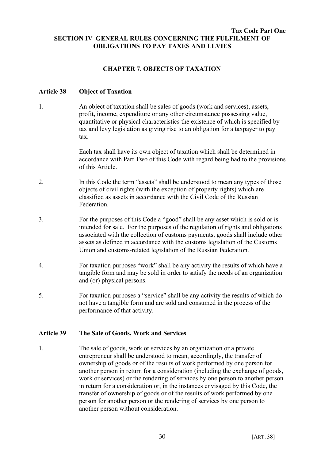### **Tax Code Part One SECTION IV GENERAL RULES CONCERNING THE FULFILMENT OF OBLIGATIONS TO PAY TAXES AND LEVIES**

## **CHAPTER 7. OBJECTS OF TAXATION**

### **Article 38 Object of Taxation**

1. An object of taxation shall be sales of goods (work and services), assets, profit, income, expenditure or any other circumstance possessing value, quantitative or physical characteristics the existence of which is specified by tax and levy legislation as giving rise to an obligation for a taxpayer to pay tax.

> Each tax shall have its own object of taxation which shall be determined in accordance with Part Two of this Code with regard being had to the provisions of this Article.

- 2. In this Code the term "assets" shall be understood to mean any types of those objects of civil rights (with the exception of property rights) which are classified as assets in accordance with the Civil Code of the Russian **Federation**
- 3. For the purposes of this Code a "good" shall be any asset which is sold or is intended for sale. For the purposes of the regulation of rights and obligations associated with the collection of customs payments, goods shall include other assets as defined in accordance with the customs legislation of the Customs Union and customs-related legislation of the Russian Federation.
- 4. For taxation purposes "work" shall be any activity the results of which have a tangible form and may be sold in order to satisfy the needs of an organization and (or) physical persons.
- 5. For taxation purposes a "service" shall be any activity the results of which do not have a tangible form and are sold and consumed in the process of the performance of that activity.

#### **Article 39 The Sale of Goods, Work and Services**

1. The sale of goods, work or services by an organization or a private entrepreneur shall be understood to mean, accordingly, the transfer of ownership of goods or of the results of work performed by one person for another person in return for a consideration (including the exchange of goods, work or services) or the rendering of services by one person to another person in return for a consideration or, in the instances envisaged by this Code, the transfer of ownership of goods or of the results of work performed by one person for another person or the rendering of services by one person to another person without consideration.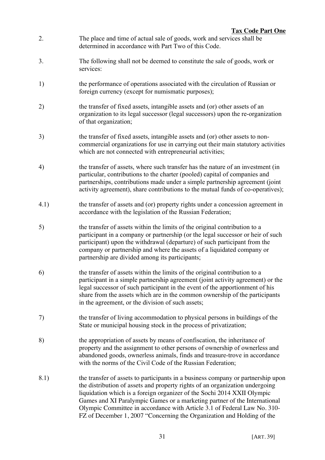- 2. The place and time of actual sale of goods, work and services shall be determined in accordance with Part Two of this Code.
- 3. The following shall not be deemed to constitute the sale of goods, work or services:
- 1) the performance of operations associated with the circulation of Russian or foreign currency (except for numismatic purposes);
- 2) the transfer of fixed assets, intangible assets and (or) other assets of an organization to its legal successor (legal successors) upon the re-organization of that organization;
- 3) the transfer of fixed assets, intangible assets and (or) other assets to noncommercial organizations for use in carrying out their main statutory activities which are not connected with entrepreneurial activities;
- 4) the transfer of assets, where such transfer has the nature of an investment (in particular, contributions to the charter (pooled) capital of companies and partnerships, contributions made under a simple partnership agreement (joint activity agreement), share contributions to the mutual funds of co-operatives);
- 4.1) the transfer of assets and (or) property rights under a concession agreement in accordance with the legislation of the Russian Federation;
- 5) the transfer of assets within the limits of the original contribution to a participant in a company or partnership (or the legal successor or heir of such participant) upon the withdrawal (departure) of such participant from the company or partnership and where the assets of a liquidated company or partnership are divided among its participants;
- 6) the transfer of assets within the limits of the original contribution to a participant in a simple partnership agreement (joint activity agreement) or the legal successor of such participant in the event of the apportionment of his share from the assets which are in the common ownership of the participants in the agreement, or the division of such assets;
- 7) the transfer of living accommodation to physical persons in buildings of the State or municipal housing stock in the process of privatization;
- 8) the appropriation of assets by means of confiscation, the inheritance of property and the assignment to other persons of ownership of ownerless and abandoned goods, ownerless animals, finds and treasure-trove in accordance with the norms of the Civil Code of the Russian Federation;
- 8.1) the transfer of assets to participants in a business company or partnership upon the distribution of assets and property rights of an organization undergoing liquidation which is a foreign organizer of the Sochi 2014 XXII Olympic Games and XI Paralympic Games or a marketing partner of the International Olympic Committee in accordance with Article 3.1 of Federal Law No. 310- FZ of December 1, 2007 "Concerning the Organization and Holding of the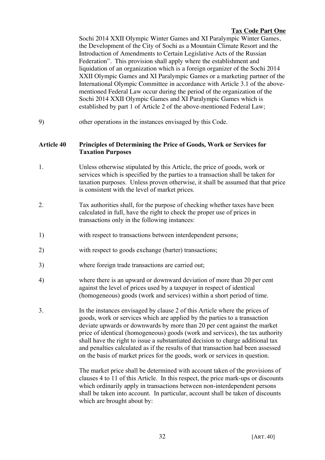Sochi 2014 XXII Olympic Winter Games and XI Paralympic Winter Games, the Development of the City of Sochi as a Mountain Climate Resort and the Introduction of Amendments to Certain Legislative Acts of the Russian Federation". This provision shall apply where the establishment and liquidation of an organization which is a foreign organizer of the Sochi 2014 XXII Olympic Games and XI Paralympic Games or a marketing partner of the International Olympic Committee in accordance with Article 3.1 of the abovementioned Federal Law occur during the period of the organization of the Sochi 2014 XXII Olympic Games and XI Paralympic Games which is established by part 1 of Article 2 of the above-mentioned Federal Law;

9) other operations in the instances envisaged by this Code.

### **Article 40 Principles of Determining the Price of Goods, Work or Services for Taxation Purposes**

- 1. Unless otherwise stipulated by this Article, the price of goods, work or services which is specified by the parties to a transaction shall be taken for taxation purposes. Unless proven otherwise, it shall be assumed that that price is consistent with the level of market prices.
- 2. Tax authorities shall, for the purpose of checking whether taxes have been calculated in full, have the right to check the proper use of prices in transactions only in the following instances:
- 1) with respect to transactions between interdependent persons;
- 2) with respect to goods exchange (barter) transactions;
- 3) where foreign trade transactions are carried out;
- 4) where there is an upward or downward deviation of more than 20 per cent against the level of prices used by a taxpayer in respect of identical (homogeneous) goods (work and services) within a short period of time.
- 3. In the instances envisaged by clause 2 of this Article where the prices of goods, work or services which are applied by the parties to a transaction deviate upwards or downwards by more than 20 per cent against the market price of identical (homogeneous) goods (work and services), the tax authority shall have the right to issue a substantiated decision to charge additional tax and penalties calculated as if the results of that transaction had been assessed on the basis of market prices for the goods, work or services in question.

The market price shall be determined with account taken of the provisions of clauses 4 to 11 of this Article. In this respect, the price mark-ups or discounts which ordinarily apply in transactions between non-interdependent persons shall be taken into account. In particular, account shall be taken of discounts which are brought about by: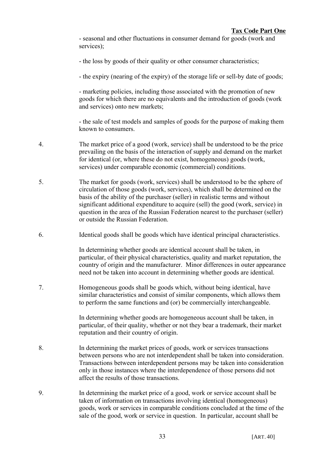- seasonal and other fluctuations in consumer demand for goods (work and services):

- the loss by goods of their quality or other consumer characteristics;

- the expiry (nearing of the expiry) of the storage life or sell-by date of goods;

- marketing policies, including those associated with the promotion of new goods for which there are no equivalents and the introduction of goods (work and services) onto new markets;

- the sale of test models and samples of goods for the purpose of making them known to consumers.

- 4. The market price of a good (work, service) shall be understood to be the price prevailing on the basis of the interaction of supply and demand on the market for identical (or, where these do not exist, homogeneous) goods (work, services) under comparable economic (commercial) conditions.
- 5. The market for goods (work, services) shall be understood to be the sphere of circulation of those goods (work, services), which shall be determined on the basis of the ability of the purchaser (seller) in realistic terms and without significant additional expenditure to acquire (sell) the good (work, service) in question in the area of the Russian Federation nearest to the purchaser (seller) or outside the Russian Federation.
- 6. Identical goods shall be goods which have identical principal characteristics.

In determining whether goods are identical account shall be taken, in particular, of their physical characteristics, quality and market reputation, the country of origin and the manufacturer. Minor differences in outer appearance need not be taken into account in determining whether goods are identical.

7. Homogeneous goods shall be goods which, without being identical, have similar characteristics and consist of similar components, which allows them to perform the same functions and (or) be commercially interchangeable.

> In determining whether goods are homogeneous account shall be taken, in particular, of their quality, whether or not they bear a trademark, their market reputation and their country of origin.

- 8. In determining the market prices of goods, work or services transactions between persons who are not interdependent shall be taken into consideration. Transactions between interdependent persons may be taken into consideration only in those instances where the interdependence of those persons did not affect the results of those transactions.
- 9. In determining the market price of a good, work or service account shall be taken of information on transactions involving identical (homogeneous) goods, work or services in comparable conditions concluded at the time of the sale of the good, work or service in question. In particular, account shall be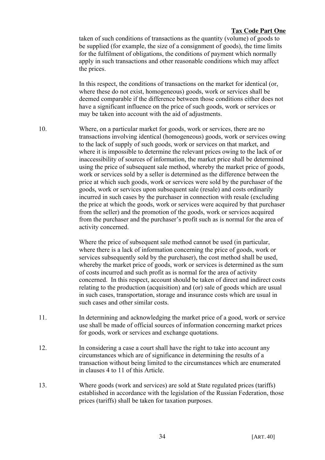taken of such conditions of transactions as the quantity (volume) of goods to be supplied (for example, the size of a consignment of goods), the time limits for the fulfilment of obligations, the conditions of payment which normally apply in such transactions and other reasonable conditions which may affect the prices.

In this respect, the conditions of transactions on the market for identical (or, where these do not exist, homogeneous) goods, work or services shall be deemed comparable if the difference between those conditions either does not have a significant influence on the price of such goods, work or services or may be taken into account with the aid of adjustments.

10. Where, on a particular market for goods, work or services, there are no transactions involving identical (homogeneous) goods, work or services owing to the lack of supply of such goods, work or services on that market, and where it is impossible to determine the relevant prices owing to the lack of or inaccessibility of sources of information, the market price shall be determined using the price of subsequent sale method, whereby the market price of goods, work or services sold by a seller is determined as the difference between the price at which such goods, work or services were sold by the purchaser of the goods, work or services upon subsequent sale (resale) and costs ordinarily incurred in such cases by the purchaser in connection with resale (excluding the price at which the goods, work or services were acquired by that purchaser from the seller) and the promotion of the goods, work or services acquired from the purchaser and the purchaser's profit such as is normal for the area of activity concerned.

> Where the price of subsequent sale method cannot be used (in particular, where there is a lack of information concerning the price of goods, work or services subsequently sold by the purchaser), the cost method shall be used, whereby the market price of goods, work or services is determined as the sum of costs incurred and such profit as is normal for the area of activity concerned. In this respect, account should be taken of direct and indirect costs relating to the production (acquisition) and (or) sale of goods which are usual in such cases, transportation, storage and insurance costs which are usual in such cases and other similar costs.

- 11. In determining and acknowledging the market price of a good, work or service use shall be made of official sources of information concerning market prices for goods, work or services and exchange quotations.
- 12. In considering a case a court shall have the right to take into account any circumstances which are of significance in determining the results of a transaction without being limited to the circumstances which are enumerated in clauses 4 to 11 of this Article.
- 13. Where goods (work and services) are sold at State regulated prices (tariffs) established in accordance with the legislation of the Russian Federation, those prices (tariffs) shall be taken for taxation purposes.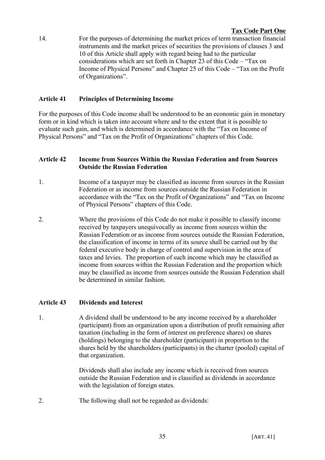14. For the purposes of determining the market prices of term transaction financial instruments and the market prices of securities the provisions of clauses 3 and 10 of this Article shall apply with regard being had to the particular considerations which are set forth in Chapter 23 of this Code – "Tax on Income of Physical Persons" and Chapter 25 of this Code – "Tax on the Profit of Organizations".

# **Article 41 Principles of Determining Income**

For the purposes of this Code income shall be understood to be an economic gain in monetary form or in kind which is taken into account where and to the extent that it is possible to evaluate such gain, and which is determined in accordance with the "Tax on Income of Physical Persons" and "Tax on the Profit of Organizations" chapters of this Code.

# **Article 42 Income from Sources Within the Russian Federation and from Sources Outside the Russian Federation**

- 1. Income of a taxpayer may be classified as income from sources in the Russian Federation or as income from sources outside the Russian Federation in accordance with the "Tax on the Profit of Organizations" and "Tax on Income of Physical Persons" chapters of this Code.
- 2. Where the provisions of this Code do not make it possible to classify income received by taxpayers unequivocally as income from sources within the Russian Federation or as income from sources outside the Russian Federation, the classification of income in terms of its source shall be carried out by the federal executive body in charge of control and supervision in the area of taxes and levies. The proportion of such income which may be classified as income from sources within the Russian Federation and the proportion which may be classified as income from sources outside the Russian Federation shall be determined in similar fashion.

## **Article 43 Dividends and Interest**

1. A dividend shall be understood to be any income received by a shareholder (participant) from an organization upon a distribution of profit remaining after taxation (including in the form of interest on preference shares) on shares (holdings) belonging to the shareholder (participant) in proportion to the shares held by the shareholders (participants) in the charter (pooled) capital of that organization.

> Dividends shall also include any income which is received from sources outside the Russian Federation and is classified as dividends in accordance with the legislation of foreign states.

2. The following shall not be regarded as dividends: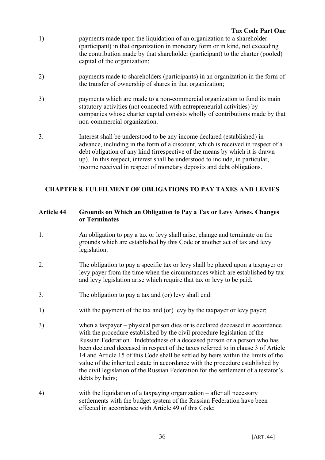- 1) payments made upon the liquidation of an organization to a shareholder (participant) in that organization in monetary form or in kind, not exceeding the contribution made by that shareholder (participant) to the charter (pooled) capital of the organization;
- 2) payments made to shareholders (participants) in an organization in the form of the transfer of ownership of shares in that organization;
- 3) payments which are made to a non-commercial organization to fund its main statutory activities (not connected with entrepreneurial activities) by companies whose charter capital consists wholly of contributions made by that non-commercial organization.
- 3. Interest shall be understood to be any income declared (established) in advance, including in the form of a discount, which is received in respect of a debt obligation of any kind (irrespective of the means by which it is drawn up). In this respect, interest shall be understood to include, in particular, income received in respect of monetary deposits and debt obligations.

# **CHAPTER 8. FULFILMENT OF OBLIGATIONS TO PAY TAXES AND LEVIES**

### **Article 44 Grounds on Which an Obligation to Pay a Tax or Levy Arises, Changes or Terminates**

- 1. An obligation to pay a tax or levy shall arise, change and terminate on the grounds which are established by this Code or another act of tax and levy legislation.
- 2. The obligation to pay a specific tax or levy shall be placed upon a taxpayer or levy payer from the time when the circumstances which are established by tax and levy legislation arise which require that tax or levy to be paid.
- 3. The obligation to pay a tax and (or) levy shall end:
- 1) with the payment of the tax and (or) levy by the taxpayer or levy payer;
- 3) when a taxpayer physical person dies or is declared deceased in accordance with the procedure established by the civil procedure legislation of the Russian Federation. Indebtedness of a deceased person or a person who has been declared deceased in respect of the taxes referred to in clause 3 of Article 14 and Article 15 of this Code shall be settled by heirs within the limits of the value of the inherited estate in accordance with the procedure established by the civil legislation of the Russian Federation for the settlement of a testator's debts by heirs;
- 4) with the liquidation of a taxpaying organization after all necessary settlements with the budget system of the Russian Federation have been effected in accordance with Article 49 of this Code;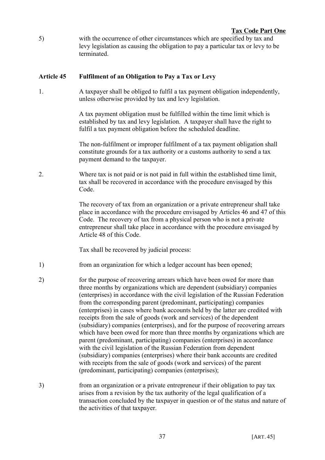5) with the occurrence of other circumstances which are specified by tax and levy legislation as causing the obligation to pay a particular tax or levy to be terminated.

### **Article 45 Fulfilment of an Obligation to Pay a Tax or Levy**

1. A taxpayer shall be obliged to fulfil a tax payment obligation independently, unless otherwise provided by tax and levy legislation.

> A tax payment obligation must be fulfilled within the time limit which is established by tax and levy legislation. A taxpayer shall have the right to fulfil a tax payment obligation before the scheduled deadline.

The non-fulfilment or improper fulfilment of a tax payment obligation shall constitute grounds for a tax authority or a customs authority to send a tax payment demand to the taxpayer.

2. Where tax is not paid or is not paid in full within the established time limit, tax shall be recovered in accordance with the procedure envisaged by this Code.

> The recovery of tax from an organization or a private entrepreneur shall take place in accordance with the procedure envisaged by Articles 46 and 47 of this Code. The recovery of tax from a physical person who is not a private entrepreneur shall take place in accordance with the procedure envisaged by Article 48 of this Code.

Tax shall be recovered by judicial process:

- 1) from an organization for which a ledger account has been opened;
- 2) for the purpose of recovering arrears which have been owed for more than three months by organizations which are dependent (subsidiary) companies (enterprises) in accordance with the civil legislation of the Russian Federation from the corresponding parent (predominant, participating) companies (enterprises) in cases where bank accounts held by the latter are credited with receipts from the sale of goods (work and services) of the dependent (subsidiary) companies (enterprises), and for the purpose of recovering arrears which have been owed for more than three months by organizations which are parent (predominant, participating) companies (enterprises) in accordance with the civil legislation of the Russian Federation from dependent (subsidiary) companies (enterprises) where their bank accounts are credited with receipts from the sale of goods (work and services) of the parent (predominant, participating) companies (enterprises);
- 3) from an organization or a private entrepreneur if their obligation to pay tax arises from a revision by the tax authority of the legal qualification of a transaction concluded by the taxpayer in question or of the status and nature of the activities of that taxpayer.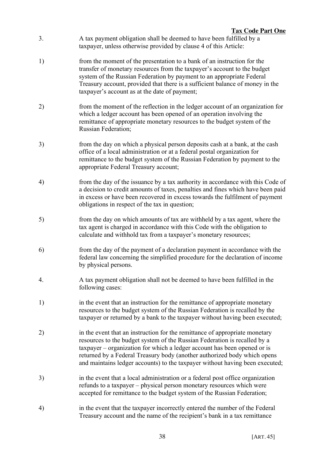- 3. A tax payment obligation shall be deemed to have been fulfilled by a taxpayer, unless otherwise provided by clause 4 of this Article:
- 1) from the moment of the presentation to a bank of an instruction for the transfer of monetary resources from the taxpayer's account to the budget system of the Russian Federation by payment to an appropriate Federal Treasury account, provided that there is a sufficient balance of money in the taxpayer's account as at the date of payment;
- 2) from the moment of the reflection in the ledger account of an organization for which a ledger account has been opened of an operation involving the remittance of appropriate monetary resources to the budget system of the Russian Federation;
- 3) from the day on which a physical person deposits cash at a bank, at the cash office of a local administration or at a federal postal organization for remittance to the budget system of the Russian Federation by payment to the appropriate Federal Treasury account;
- 4) from the day of the issuance by a tax authority in accordance with this Code of a decision to credit amounts of taxes, penalties and fines which have been paid in excess or have been recovered in excess towards the fulfilment of payment obligations in respect of the tax in question;
- 5) from the day on which amounts of tax are withheld by a tax agent, where the tax agent is charged in accordance with this Code with the obligation to calculate and withhold tax from a taxpayer's monetary resources;
- 6) from the day of the payment of a declaration payment in accordance with the federal law concerning the simplified procedure for the declaration of income by physical persons.
- 4. A tax payment obligation shall not be deemed to have been fulfilled in the following cases:
- 1) in the event that an instruction for the remittance of appropriate monetary resources to the budget system of the Russian Federation is recalled by the taxpayer or returned by a bank to the taxpayer without having been executed;
- 2) in the event that an instruction for the remittance of appropriate monetary resources to the budget system of the Russian Federation is recalled by a taxpayer – organization for which a ledger account has been opened or is returned by a Federal Treasury body (another authorized body which opens and maintains ledger accounts) to the taxpayer without having been executed;
- 3) in the event that a local administration or a federal post office organization refunds to a taxpayer – physical person monetary resources which were accepted for remittance to the budget system of the Russian Federation;
- 4) in the event that the taxpayer incorrectly entered the number of the Federal Treasury account and the name of the recipient's bank in a tax remittance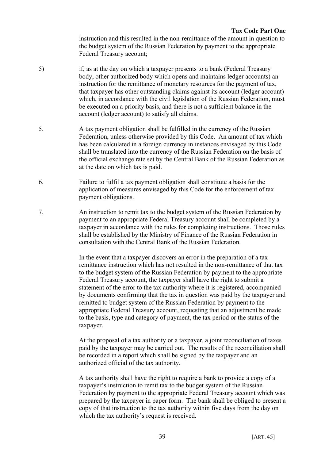instruction and this resulted in the non-remittance of the amount in question to the budget system of the Russian Federation by payment to the appropriate Federal Treasury account;

- 5) if, as at the day on which a taxpayer presents to a bank (Federal Treasury body, other authorized body which opens and maintains ledger accounts) an instruction for the remittance of monetary resources for the payment of tax, that taxpayer has other outstanding claims against its account (ledger account) which, in accordance with the civil legislation of the Russian Federation, must be executed on a priority basis, and there is not a sufficient balance in the account (ledger account) to satisfy all claims.
- 5. A tax payment obligation shall be fulfilled in the currency of the Russian Federation, unless otherwise provided by this Code. An amount of tax which has been calculated in a foreign currency in instances envisaged by this Code shall be translated into the currency of the Russian Federation on the basis of the official exchange rate set by the Central Bank of the Russian Federation as at the date on which tax is paid.
- 6. Failure to fulfil a tax payment obligation shall constitute a basis for the application of measures envisaged by this Code for the enforcement of tax payment obligations.
- 7. An instruction to remit tax to the budget system of the Russian Federation by payment to an appropriate Federal Treasury account shall be completed by a taxpayer in accordance with the rules for completing instructions. Those rules shall be established by the Ministry of Finance of the Russian Federation in consultation with the Central Bank of the Russian Federation.

In the event that a taxpayer discovers an error in the preparation of a tax remittance instruction which has not resulted in the non-remittance of that tax to the budget system of the Russian Federation by payment to the appropriate Federal Treasury account, the taxpayer shall have the right to submit a statement of the error to the tax authority where it is registered, accompanied by documents confirming that the tax in question was paid by the taxpayer and remitted to budget system of the Russian Federation by payment to the appropriate Federal Treasury account, requesting that an adjustment be made to the basis, type and category of payment, the tax period or the status of the taxpayer.

At the proposal of a tax authority or a taxpayer, a joint reconciliation of taxes paid by the taxpayer may be carried out. The results of the reconciliation shall be recorded in a report which shall be signed by the taxpayer and an authorized official of the tax authority.

A tax authority shall have the right to require a bank to provide a copy of a taxpayer's instruction to remit tax to the budget system of the Russian Federation by payment to the appropriate Federal Treasury account which was prepared by the taxpayer in paper form. The bank shall be obliged to present a copy of that instruction to the tax authority within five days from the day on which the tax authority's request is received.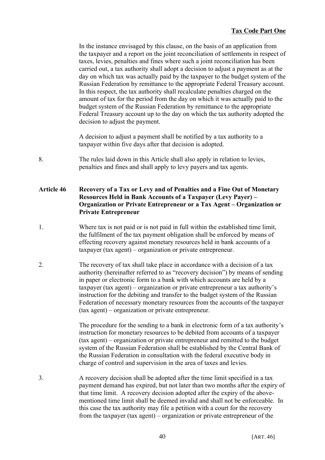In the instance envisaged by this clause, on the basis of an application from the taxpayer and a report on the joint reconciliation of settlements in respect of taxes, levies, penalties and fines where such a joint reconciliation has been carried out, a tax authority shall adopt a decision to adjust a payment as at the day on which tax was actually paid by the taxpayer to the budget system of the Russian Federation by remittance to the appropriate Federal Treasury account. In this respect, the tax authority shall recalculate penalties charged on the amount of tax for the period from the day on which it was actually paid to the budget system of the Russian Federation by remittance to the appropriate Federal Treasury account up to the day on which the tax authority adopted the decision to adjust the payment.

A decision to adjust a payment shall be notified by a tax authority to a taxpayer within five days after that decision is adopted.

8. The rules laid down in this Article shall also apply in relation to levies, penalties and fines and shall apply to levy payers and tax agents.

### **Article 46 Recovery of a Tax or Levy and of Penalties and a Fine Out of Monetary Resources Held in Bank Accounts of a Taxpayer (Levy Payer) – Organization or Private Entrepreneur or a Tax Agent – Organization or Private Entrepreneur**

- 1. Where tax is not paid or is not paid in full within the established time limit, the fulfilment of the tax payment obligation shall be enforced by means of effecting recovery against monetary resources held in bank accounts of a taxpayer (tax agent) – organization or private entrepreneur.
- 2. The recovery of tax shall take place in accordance with a decision of a tax authority (hereinafter referred to as "recovery decision") by means of sending in paper or electronic form to a bank with which accounts are held by a taxpayer (tax agent) – organization or private entrepreneur a tax authority's instruction for the debiting and transfer to the budget system of the Russian Federation of necessary monetary resources from the accounts of the taxpayer (tax agent) – organization or private entrepreneur.

The procedure for the sending to a bank in electronic form of a tax authority's instruction for monetary resources to be debited from accounts of a taxpayer (tax agent) – organization or private entrepreneur and remitted to the budget system of the Russian Federation shall be established by the Central Bank of the Russian Federation in consultation with the federal executive body in charge of control and supervision in the area of taxes and levies.

3. A recovery decision shall be adopted after the time limit specified in a tax payment demand has expired, but not later than two months after the expiry of that time limit. A recovery decision adopted after the expiry of the abovementioned time limit shall be deemed invalid and shall not be enforceable. In this case the tax authority may file a petition with a court for the recovery from the taxpayer (tax agent) – organization or private entrepreneur of the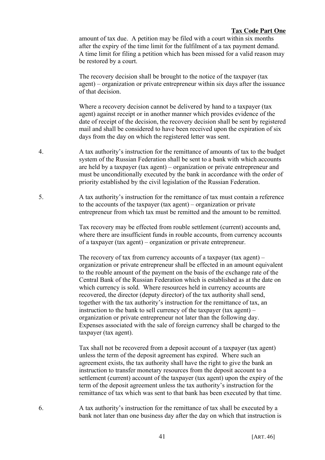amount of tax due. A petition may be filed with a court within six months after the expiry of the time limit for the fulfilment of a tax payment demand. A time limit for filing a petition which has been missed for a valid reason may be restored by a court.

The recovery decision shall be brought to the notice of the taxpayer (tax agent) – organization or private entrepreneur within six days after the issuance of that decision.

Where a recovery decision cannot be delivered by hand to a taxpayer (tax agent) against receipt or in another manner which provides evidence of the date of receipt of the decision, the recovery decision shall be sent by registered mail and shall be considered to have been received upon the expiration of six days from the day on which the registered letter was sent.

- 4. A tax authority's instruction for the remittance of amounts of tax to the budget system of the Russian Federation shall be sent to a bank with which accounts are held by a taxpayer (tax agent) – organization or private entrepreneur and must be unconditionally executed by the bank in accordance with the order of priority established by the civil legislation of the Russian Federation.
- 5. A tax authority's instruction for the remittance of tax must contain a reference to the accounts of the taxpayer (tax agent) – organization or private entrepreneur from which tax must be remitted and the amount to be remitted.

Tax recovery may be effected from rouble settlement (current) accounts and, where there are insufficient funds in rouble accounts, from currency accounts of a taxpayer (tax agent) – organization or private entrepreneur.

The recovery of tax from currency accounts of a taxpayer (tax agent) – organization or private entrepreneur shall be effected in an amount equivalent to the rouble amount of the payment on the basis of the exchange rate of the Central Bank of the Russian Federation which is established as at the date on which currency is sold. Where resources held in currency accounts are recovered, the director (deputy director) of the tax authority shall send, together with the tax authority's instruction for the remittance of tax, an instruction to the bank to sell currency of the taxpayer (tax agent) – organization or private entrepreneur not later than the following day. Expenses associated with the sale of foreign currency shall be charged to the taxpayer (tax agent).

Tax shall not be recovered from a deposit account of a taxpayer (tax agent) unless the term of the deposit agreement has expired. Where such an agreement exists, the tax authority shall have the right to give the bank an instruction to transfer monetary resources from the deposit account to a settlement (current) account of the taxpayer (tax agent) upon the expiry of the term of the deposit agreement unless the tax authority's instruction for the remittance of tax which was sent to that bank has been executed by that time.

6. A tax authority's instruction for the remittance of tax shall be executed by a bank not later than one business day after the day on which that instruction is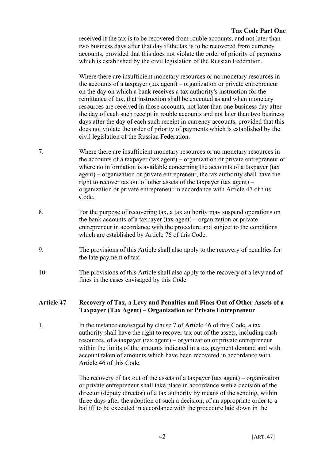received if the tax is to be recovered from rouble accounts, and not later than two business days after that day if the tax is to be recovered from currency accounts, provided that this does not violate the order of priority of payments which is established by the civil legislation of the Russian Federation.

Where there are insufficient monetary resources or no monetary resources in the accounts of a taxpayer (tax agent) – organization or private entrepreneur on the day on which a bank receives a tax authority's instruction for the remittance of tax, that instruction shall be executed as and when monetary resources are received in those accounts, not later than one business day after the day of each such receipt in rouble accounts and not later than two business days after the day of each such receipt in currency accounts, provided that this does not violate the order of priority of payments which is established by the civil legislation of the Russian Federation.

- 7. Where there are insufficient monetary resources or no monetary resources in the accounts of a taxpayer (tax agent) – organization or private entrepreneur or where no information is available concerning the accounts of a taxpayer (tax agent) – organization or private entrepreneur, the tax authority shall have the right to recover tax out of other assets of the taxpayer (tax agent) – organization or private entrepreneur in accordance with Article 47 of this Code.
- 8. For the purpose of recovering tax, a tax authority may suspend operations on the bank accounts of a taxpayer (tax agent) – organization or private entrepreneur in accordance with the procedure and subject to the conditions which are established by Article 76 of this Code.
- 9. The provisions of this Article shall also apply to the recovery of penalties for the late payment of tax.
- 10. The provisions of this Article shall also apply to the recovery of a levy and of fines in the cases envisaged by this Code.

## **Article 47 Recovery of Tax, a Levy and Penalties and Fines Out of Other Assets of a Taxpayer (Tax Agent) – Organization or Private Entrepreneur**

1. In the instance envisaged by clause 7 of Article 46 of this Code, a tax authority shall have the right to recover tax out of the assets, including cash resources, of a taxpayer (tax agent) – organization or private entrepreneur within the limits of the amounts indicated in a tax payment demand and with account taken of amounts which have been recovered in accordance with Article 46 of this Code.

> The recovery of tax out of the assets of a taxpayer (tax agent) – organization or private entrepreneur shall take place in accordance with a decision of the director (deputy director) of a tax authority by means of the sending, within three days after the adoption of such a decision, of an appropriate order to a bailiff to be executed in accordance with the procedure laid down in the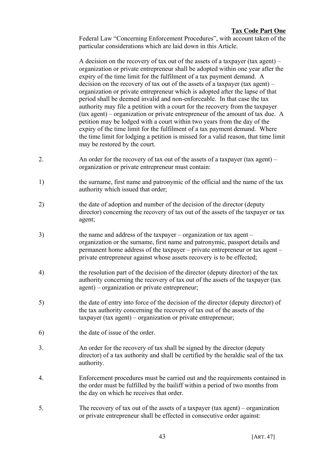Federal Law "Concerning Enforcement Procedures", with account taken of the particular considerations which are laid down in this Article.

A decision on the recovery of tax out of the assets of a taxpayer (tax agent) – organization or private entrepreneur shall be adopted within one year after the expiry of the time limit for the fulfilment of a tax payment demand. A decision on the recovery of tax out of the assets of a taxpayer (tax agent) – organization or private entrepreneur which is adopted after the lapse of that period shall be deemed invalid and non-enforceable. In that case the tax authority may file a petition with a court for the recovery from the taxpayer (tax agent) – organization or private entrepreneur of the amount of tax due. A petition may be lodged with a court within two years from the day of the expiry of the time limit for the fulfilment of a tax payment demand. Where the time limit for lodging a petition is missed for a valid reason, that time limit may be restored by the court.

- 2. An order for the recovery of tax out of the assets of a taxpayer (tax agent) organization or private entrepreneur must contain:
- 1) the surname, first name and patronymic of the official and the name of the tax authority which issued that order;
- 2) the date of adoption and number of the decision of the director (deputy director) concerning the recovery of tax out of the assets of the taxpayer or tax agent;
- 3) the name and address of the taxpayer organization or tax agent organization or the surname, first name and patronymic, passport details and permanent home address of the taxpayer – private entrepreneur or tax agent – private entrepreneur against whose assets recovery is to be effected;
- 4) the resolution part of the decision of the director (deputy director) of the tax authority concerning the recovery of tax out of the assets of the taxpayer (tax agent) – organization or private entrepreneur;
- 5) the date of entry into force of the decision of the director (deputy director) of the tax authority concerning the recovery of tax out of the assets of the taxpayer (tax agent) – organization or private entrepreneur;
- 6) the date of issue of the order.
- 3. An order for the recovery of tax shall be signed by the director (deputy director) of a tax authority and shall be certified by the heraldic seal of the tax authority.
- 4. Enforcement procedures must be carried out and the requirements contained in the order must be fulfilled by the bailiff within a period of two months from the day on which he receives that order.
- 5. The recovery of tax out of the assets of a taxpayer (tax agent) organization or private entrepreneur shall be effected in consecutive order against: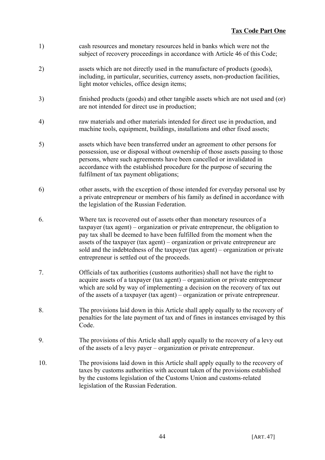- 1) cash resources and monetary resources held in banks which were not the subject of recovery proceedings in accordance with Article 46 of this Code;
- 2) assets which are not directly used in the manufacture of products (goods), including, in particular, securities, currency assets, non-production facilities, light motor vehicles, office design items;
- 3) finished products (goods) and other tangible assets which are not used and (or) are not intended for direct use in production;
- 4) raw materials and other materials intended for direct use in production, and machine tools, equipment, buildings, installations and other fixed assets;
- 5) assets which have been transferred under an agreement to other persons for possession, use or disposal without ownership of those assets passing to those persons, where such agreements have been cancelled or invalidated in accordance with the established procedure for the purpose of securing the fulfilment of tax payment obligations;
- 6) other assets, with the exception of those intended for everyday personal use by a private entrepreneur or members of his family as defined in accordance with the legislation of the Russian Federation.
- 6. Where tax is recovered out of assets other than monetary resources of a taxpayer (tax agent) – organization or private entrepreneur, the obligation to pay tax shall be deemed to have been fulfilled from the moment when the assets of the taxpayer (tax agent) – organization or private entrepreneur are sold and the indebtedness of the taxpayer (tax agent) – organization or private entrepreneur is settled out of the proceeds.
- 7. Officials of tax authorities (customs authorities) shall not have the right to acquire assets of a taxpayer (tax agent) – organization or private entrepreneur which are sold by way of implementing a decision on the recovery of tax out of the assets of a taxpayer (tax agent) – organization or private entrepreneur.
- 8. The provisions laid down in this Article shall apply equally to the recovery of penalties for the late payment of tax and of fines in instances envisaged by this Code.
- 9. The provisions of this Article shall apply equally to the recovery of a levy out of the assets of a levy payer – organization or private entrepreneur.
- 10. The provisions laid down in this Article shall apply equally to the recovery of taxes by customs authorities with account taken of the provisions established by the customs legislation of the Customs Union and customs-related legislation of the Russian Federation.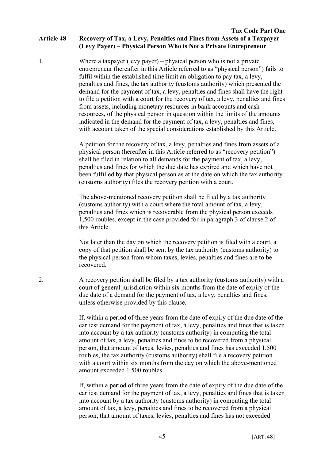1. Where a taxpayer (levy payer) – physical person who is not a private entrepreneur (hereafter in this Article referred to as "physical person") fails to fulfil within the established time limit an obligation to pay tax, a levy, penalties and fines, the tax authority (customs authority) which presented the demand for the payment of tax, a levy, penalties and fines shall have the right to file a petition with a court for the recovery of tax, a levy, penalties and fines from assets, including monetary resources in bank accounts and cash resources, of the physical person in question within the limits of the amounts indicated in the demand for the payment of tax, a levy, penalties and fines, with account taken of the special considerations established by this Article.

> A petition for the recovery of tax, a levy, penalties and fines from assets of a physical person (hereafter in this Article referred to as "recovery petition") shall be filed in relation to all demands for the payment of tax, a levy, penalties and fines for which the due date has expired and which have not been fulfilled by that physical person as at the date on which the tax authority (customs authority) files the recovery petition with a court.

The above-mentioned recovery petition shall be filed by a tax authority (customs authority) with a court where the total amount of tax, a levy, penalties and fines which is recoverable from the physical person exceeds 1,500 roubles, except in the case provided for in paragraph 3 of clause 2 of this Article.

Not later than the day on which the recovery petition is filed with a court, a copy of that petition shall be sent by the tax authority (customs authority) to the physical person from whom taxes, levies, penalties and fines are to be recovered.

2. A recovery petition shall be filed by a tax authority (customs authority) with a court of general jurisdiction within six months from the date of expiry of the due date of a demand for the payment of tax, a levy, penalties and fines, unless otherwise provided by this clause.

> If, within a period of three years from the date of expiry of the due date of the earliest demand for the payment of tax, a levy, penalties and fines that is taken into account by a tax authority (customs authority) in computing the total amount of tax, a levy, penalties and fines to be recovered from a physical person, that amount of taxes, levies, penalties and fines has exceeded 1,500 roubles, the tax authority (customs authority) shall file a recovery petition with a court within six months from the day on which the above-mentioned amount exceeded 1,500 roubles.

> If, within a period of three years from the date of expiry of the due date of the earliest demand for the payment of tax, a levy, penalties and fines that is taken into account by a tax authority (customs authority) in computing the total amount of tax, a levy, penalties and fines to be recovered from a physical person, that amount of taxes, levies, penalties and fines has not exceeded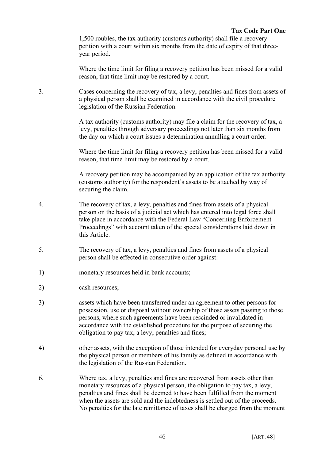1,500 roubles, the tax authority (customs authority) shall file a recovery petition with a court within six months from the date of expiry of that threeyear period.

Where the time limit for filing a recovery petition has been missed for a valid reason, that time limit may be restored by a court.

3. Cases concerning the recovery of tax, a levy, penalties and fines from assets of a physical person shall be examined in accordance with the civil procedure legislation of the Russian Federation.

> A tax authority (customs authority) may file a claim for the recovery of tax, a levy, penalties through adversary proceedings not later than six months from the day on which a court issues a determination annulling a court order.

> Where the time limit for filing a recovery petition has been missed for a valid reason, that time limit may be restored by a court.

A recovery petition may be accompanied by an application of the tax authority (customs authority) for the respondent's assets to be attached by way of securing the claim.

- 4. The recovery of tax, a levy, penalties and fines from assets of a physical person on the basis of a judicial act which has entered into legal force shall take place in accordance with the Federal Law "Concerning Enforcement Proceedings" with account taken of the special considerations laid down in this Article.
- 5. The recovery of tax, a levy, penalties and fines from assets of a physical person shall be effected in consecutive order against:
- 1) monetary resources held in bank accounts;
- 2) cash resources;
- 3) assets which have been transferred under an agreement to other persons for possession, use or disposal without ownership of those assets passing to those persons, where such agreements have been rescinded or invalidated in accordance with the established procedure for the purpose of securing the obligation to pay tax, a levy, penalties and fines;
- 4) other assets, with the exception of those intended for everyday personal use by the physical person or members of his family as defined in accordance with the legislation of the Russian Federation.
- 6. Where tax, a levy, penalties and fines are recovered from assets other than monetary resources of a physical person, the obligation to pay tax, a levy, penalties and fines shall be deemed to have been fulfilled from the moment when the assets are sold and the indebtedness is settled out of the proceeds. No penalties for the late remittance of taxes shall be charged from the moment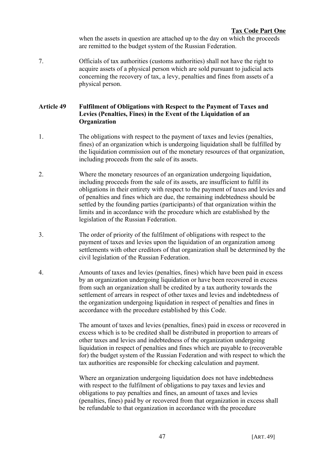when the assets in question are attached up to the day on which the proceeds are remitted to the budget system of the Russian Federation.

7. Officials of tax authorities (customs authorities) shall not have the right to acquire assets of a physical person which are sold pursuant to judicial acts concerning the recovery of tax, a levy, penalties and fines from assets of a physical person.

# **Article 49 Fulfilment of Obligations with Respect to the Payment of Taxes and Levies (Penalties, Fines) in the Event of the Liquidation of an Organization**

- 1. The obligations with respect to the payment of taxes and levies (penalties, fines) of an organization which is undergoing liquidation shall be fulfilled by the liquidation commission out of the monetary resources of that organization, including proceeds from the sale of its assets.
- 2. Where the monetary resources of an organization undergoing liquidation, including proceeds from the sale of its assets, are insufficient to fulfil its obligations in their entirety with respect to the payment of taxes and levies and of penalties and fines which are due, the remaining indebtedness should be settled by the founding parties (participants) of that organization within the limits and in accordance with the procedure which are established by the legislation of the Russian Federation.
- 3. The order of priority of the fulfilment of obligations with respect to the payment of taxes and levies upon the liquidation of an organization among settlements with other creditors of that organization shall be determined by the civil legislation of the Russian Federation.
- 4. Amounts of taxes and levies (penalties, fines) which have been paid in excess by an organization undergoing liquidation or have been recovered in excess from such an organization shall be credited by a tax authority towards the settlement of arrears in respect of other taxes and levies and indebtedness of the organization undergoing liquidation in respect of penalties and fines in accordance with the procedure established by this Code.

The amount of taxes and levies (penalties, fines) paid in excess or recovered in excess which is to be credited shall be distributed in proportion to arrears of other taxes and levies and indebtedness of the organization undergoing liquidation in respect of penalties and fines which are payable to (recoverable for) the budget system of the Russian Federation and with respect to which the tax authorities are responsible for checking calculation and payment.

Where an organization undergoing liquidation does not have indebtedness with respect to the fulfilment of obligations to pay taxes and levies and obligations to pay penalties and fines, an amount of taxes and levies (penalties, fines) paid by or recovered from that organization in excess shall be refundable to that organization in accordance with the procedure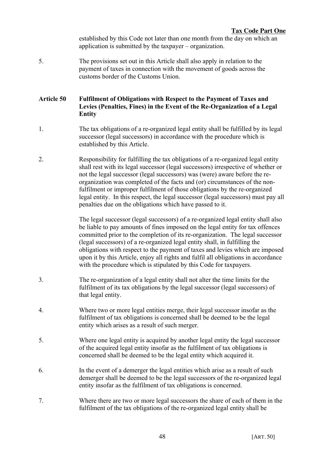established by this Code not later than one month from the day on which an application is submitted by the taxpayer – organization.

5. The provisions set out in this Article shall also apply in relation to the payment of taxes in connection with the movement of goods across the customs border of the Customs Union.

### **Article 50 Fulfilment of Obligations with Respect to the Payment of Taxes and Levies (Penalties, Fines) in the Event of the Re-Organization of a Legal Entity**

- 1. The tax obligations of a re-organized legal entity shall be fulfilled by its legal successor (legal successors) in accordance with the procedure which is established by this Article.
- 2. Responsibility for fulfilling the tax obligations of a re-organized legal entity shall rest with its legal successor (legal successors) irrespective of whether or not the legal successor (legal successors) was (were) aware before the reorganization was completed of the facts and (or) circumstances of the nonfulfilment or improper fulfilment of those obligations by the re-organized legal entity. In this respect, the legal successor (legal successors) must pay all penalties due on the obligations which have passed to it.

The legal successor (legal successors) of a re-organized legal entity shall also be liable to pay amounts of fines imposed on the legal entity for tax offences committed prior to the completion of its re-organization. The legal successor (legal successors) of a re-organized legal entity shall, in fulfilling the obligations with respect to the payment of taxes and levies which are imposed upon it by this Article, enjoy all rights and fulfil all obligations in accordance with the procedure which is stipulated by this Code for taxpayers.

- 3. The re-organization of a legal entity shall not alter the time limits for the fulfilment of its tax obligations by the legal successor (legal successors) of that legal entity.
- 4. Where two or more legal entities merge, their legal successor insofar as the fulfilment of tax obligations is concerned shall be deemed to be the legal entity which arises as a result of such merger.
- 5. Where one legal entity is acquired by another legal entity the legal successor of the acquired legal entity insofar as the fulfilment of tax obligations is concerned shall be deemed to be the legal entity which acquired it.
- 6. In the event of a demerger the legal entities which arise as a result of such demerger shall be deemed to be the legal successors of the re-organized legal entity insofar as the fulfilment of tax obligations is concerned.
- 7. Where there are two or more legal successors the share of each of them in the fulfilment of the tax obligations of the re-organized legal entity shall be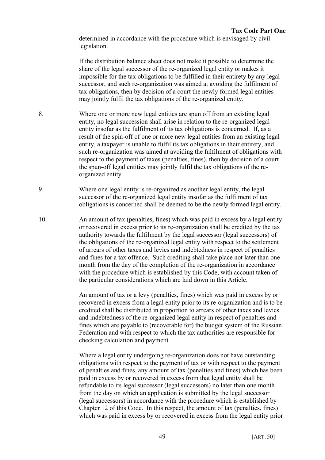determined in accordance with the procedure which is envisaged by civil legislation.

If the distribution balance sheet does not make it possible to determine the share of the legal successor of the re-organized legal entity or makes it impossible for the tax obligations to be fulfilled in their entirety by any legal successor, and such re-organization was aimed at avoiding the fulfilment of tax obligations, then by decision of a court the newly formed legal entities may jointly fulfil the tax obligations of the re-organized entity.

- 8. Where one or more new legal entities are spun off from an existing legal entity, no legal succession shall arise in relation to the re-organized legal entity insofar as the fulfilment of its tax obligations is concerned. If, as a result of the spin-off of one or more new legal entities from an existing legal entity, a taxpayer is unable to fulfil its tax obligations in their entirety, and such re-organization was aimed at avoiding the fulfilment of obligations with respect to the payment of taxes (penalties, fines), then by decision of a court the spun-off legal entities may jointly fulfil the tax obligations of the reorganized entity.
- 9. Where one legal entity is re-organized as another legal entity, the legal successor of the re-organized legal entity insofar as the fulfilment of tax obligations is concerned shall be deemed to be the newly formed legal entity.
- 10. An amount of tax (penalties, fines) which was paid in excess by a legal entity or recovered in excess prior to its re-organization shall be credited by the tax authority towards the fulfilment by the legal successor (legal successors) of the obligations of the re-organized legal entity with respect to the settlement of arrears of other taxes and levies and indebtedness in respect of penalties and fines for a tax offence. Such crediting shall take place not later than one month from the day of the completion of the re-organization in accordance with the procedure which is established by this Code, with account taken of the particular considerations which are laid down in this Article.

An amount of tax or a levy (penalties, fines) which was paid in excess by or recovered in excess from a legal entity prior to its re-organization and is to be credited shall be distributed in proportion to arrears of other taxes and levies and indebtedness of the re-organized legal entity in respect of penalties and fines which are payable to (recoverable for) the budget system of the Russian Federation and with respect to which the tax authorities are responsible for checking calculation and payment.

Where a legal entity undergoing re-organization does not have outstanding obligations with respect to the payment of tax or with respect to the payment of penalties and fines, any amount of tax (penalties and fines) which has been paid in excess by or recovered in excess from that legal entity shall be refundable to its legal successor (legal successors) no later than one month from the day on which an application is submitted by the legal successor (legal successors) in accordance with the procedure which is established by Chapter 12 of this Code. In this respect, the amount of tax (penalties, fines) which was paid in excess by or recovered in excess from the legal entity prior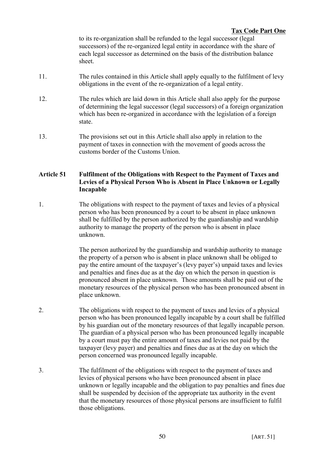to its re-organization shall be refunded to the legal successor (legal successors) of the re-organized legal entity in accordance with the share of each legal successor as determined on the basis of the distribution balance sheet.

- 11. The rules contained in this Article shall apply equally to the fulfilment of levy obligations in the event of the re-organization of a legal entity.
- 12. The rules which are laid down in this Article shall also apply for the purpose of determining the legal successor (legal successors) of a foreign organization which has been re-organized in accordance with the legislation of a foreign state.
- 13. The provisions set out in this Article shall also apply in relation to the payment of taxes in connection with the movement of goods across the customs border of the Customs Union.

## **Article 51 Fulfilment of the Obligations with Respect to the Payment of Taxes and Levies of a Physical Person Who is Absent in Place Unknown or Legally Incapable**

1. The obligations with respect to the payment of taxes and levies of a physical person who has been pronounced by a court to be absent in place unknown shall be fulfilled by the person authorized by the guardianship and wardship authority to manage the property of the person who is absent in place unknown.

> The person authorized by the guardianship and wardship authority to manage the property of a person who is absent in place unknown shall be obliged to pay the entire amount of the taxpayer's (levy payer's) unpaid taxes and levies and penalties and fines due as at the day on which the person in question is pronounced absent in place unknown. Those amounts shall be paid out of the monetary resources of the physical person who has been pronounced absent in place unknown.

- 2. The obligations with respect to the payment of taxes and levies of a physical person who has been pronounced legally incapable by a court shall be fulfilled by his guardian out of the monetary resources of that legally incapable person. The guardian of a physical person who has been pronounced legally incapable by a court must pay the entire amount of taxes and levies not paid by the taxpayer (levy payer) and penalties and fines due as at the day on which the person concerned was pronounced legally incapable.
- 3. The fulfilment of the obligations with respect to the payment of taxes and levies of physical persons who have been pronounced absent in place unknown or legally incapable and the obligation to pay penalties and fines due shall be suspended by decision of the appropriate tax authority in the event that the monetary resources of those physical persons are insufficient to fulfil those obligations.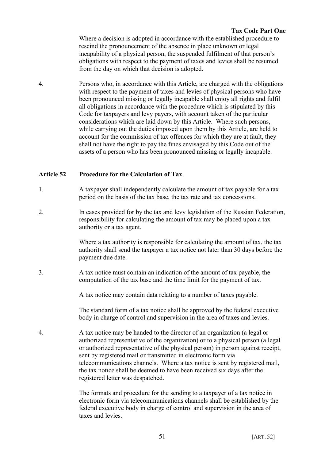Where a decision is adopted in accordance with the established procedure to rescind the pronouncement of the absence in place unknown or legal incapability of a physical person, the suspended fulfilment of that person's obligations with respect to the payment of taxes and levies shall be resumed from the day on which that decision is adopted.

4. Persons who, in accordance with this Article, are charged with the obligations with respect to the payment of taxes and levies of physical persons who have been pronounced missing or legally incapable shall enjoy all rights and fulfil all obligations in accordance with the procedure which is stipulated by this Code for taxpayers and levy payers, with account taken of the particular considerations which are laid down by this Article. Where such persons, while carrying out the duties imposed upon them by this Article, are held to account for the commission of tax offences for which they are at fault, they shall not have the right to pay the fines envisaged by this Code out of the assets of a person who has been pronounced missing or legally incapable.

## **Article 52 Procedure for the Calculation of Tax**

- 1. A taxpayer shall independently calculate the amount of tax payable for a tax period on the basis of the tax base, the tax rate and tax concessions.
- 2. In cases provided for by the tax and levy legislation of the Russian Federation, responsibility for calculating the amount of tax may be placed upon a tax authority or a tax agent.

Where a tax authority is responsible for calculating the amount of tax, the tax authority shall send the taxpayer a tax notice not later than 30 days before the payment due date.

3. A tax notice must contain an indication of the amount of tax payable, the computation of the tax base and the time limit for the payment of tax.

A tax notice may contain data relating to a number of taxes payable.

The standard form of a tax notice shall be approved by the federal executive body in charge of control and supervision in the area of taxes and levies.

4. A tax notice may be handed to the director of an organization (a legal or authorized representative of the organization) or to a physical person (a legal or authorized representative of the physical person) in person against receipt, sent by registered mail or transmitted in electronic form via telecommunications channels. Where a tax notice is sent by registered mail, the tax notice shall be deemed to have been received six days after the registered letter was despatched.

> The formats and procedure for the sending to a taxpayer of a tax notice in electronic form via telecommunications channels shall be established by the federal executive body in charge of control and supervision in the area of taxes and levies.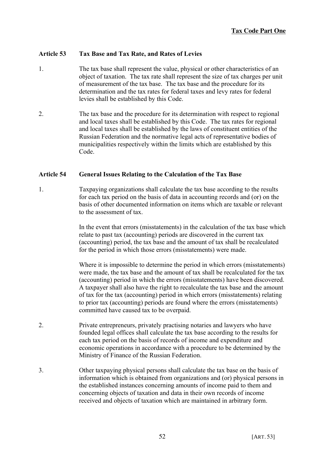# **Article 53 Tax Base and Tax Rate, and Rates of Levies**

- 1. The tax base shall represent the value, physical or other characteristics of an object of taxation. The tax rate shall represent the size of tax charges per unit of measurement of the tax base. The tax base and the procedure for its determination and the tax rates for federal taxes and levy rates for federal levies shall be established by this Code.
- 2. The tax base and the procedure for its determination with respect to regional and local taxes shall be established by this Code. The tax rates for regional and local taxes shall be established by the laws of constituent entities of the Russian Federation and the normative legal acts of representative bodies of municipalities respectively within the limits which are established by this Code.

## **Article 54 General Issues Relating to the Calculation of the Tax Base**

1. Taxpaying organizations shall calculate the tax base according to the results for each tax period on the basis of data in accounting records and (or) on the basis of other documented information on items which are taxable or relevant to the assessment of tax.

> In the event that errors (misstatements) in the calculation of the tax base which relate to past tax (accounting) periods are discovered in the current tax (accounting) period, the tax base and the amount of tax shall be recalculated for the period in which those errors (misstatements) were made.

> Where it is impossible to determine the period in which errors (misstatements) were made, the tax base and the amount of tax shall be recalculated for the tax (accounting) period in which the errors (misstatements) have been discovered. A taxpayer shall also have the right to recalculate the tax base and the amount of tax for the tax (accounting) period in which errors (misstatements) relating to prior tax (accounting) periods are found where the errors (misstatements) committed have caused tax to be overpaid.

- 2. Private entrepreneurs, privately practising notaries and lawyers who have founded legal offices shall calculate the tax base according to the results for each tax period on the basis of records of income and expenditure and economic operations in accordance with a procedure to be determined by the Ministry of Finance of the Russian Federation.
- 3. Other taxpaying physical persons shall calculate the tax base on the basis of information which is obtained from organizations and (or) physical persons in the established instances concerning amounts of income paid to them and concerning objects of taxation and data in their own records of income received and objects of taxation which are maintained in arbitrary form.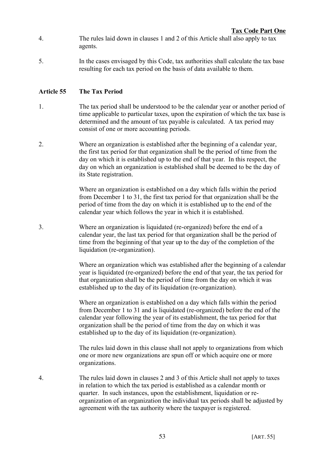- 4. The rules laid down in clauses 1 and 2 of this Article shall also apply to tax agents.
- 5. In the cases envisaged by this Code, tax authorities shall calculate the tax base resulting for each tax period on the basis of data available to them.

# **Article 55 The Tax Period**

- 1. The tax period shall be understood to be the calendar year or another period of time applicable to particular taxes, upon the expiration of which the tax base is determined and the amount of tax payable is calculated. A tax period may consist of one or more accounting periods.
- 2. Where an organization is established after the beginning of a calendar year, the first tax period for that organization shall be the period of time from the day on which it is established up to the end of that year. In this respect, the day on which an organization is established shall be deemed to be the day of its State registration.

Where an organization is established on a day which falls within the period from December 1 to 31, the first tax period for that organization shall be the period of time from the day on which it is established up to the end of the calendar year which follows the year in which it is established.

3. Where an organization is liquidated (re-organized) before the end of a calendar year, the last tax period for that organization shall be the period of time from the beginning of that year up to the day of the completion of the liquidation (re-organization).

> Where an organization which was established after the beginning of a calendar year is liquidated (re-organized) before the end of that year, the tax period for that organization shall be the period of time from the day on which it was established up to the day of its liquidation (re-organization).

Where an organization is established on a day which falls within the period from December 1 to 31 and is liquidated (re-organized) before the end of the calendar year following the year of its establishment, the tax period for that organization shall be the period of time from the day on which it was established up to the day of its liquidation (re-organization).

The rules laid down in this clause shall not apply to organizations from which one or more new organizations are spun off or which acquire one or more organizations.

4. The rules laid down in clauses 2 and 3 of this Article shall not apply to taxes in relation to which the tax period is established as a calendar month or quarter. In such instances, upon the establishment, liquidation or reorganization of an organization the individual tax periods shall be adjusted by agreement with the tax authority where the taxpayer is registered.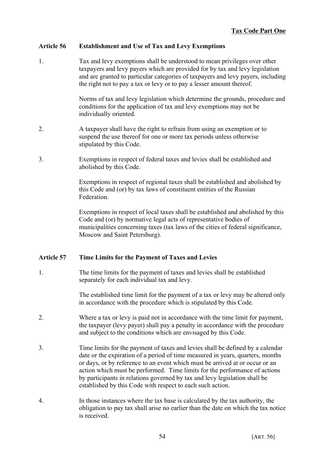# **Article 56 Establishment and Use of Tax and Levy Exemptions**

1. Tax and levy exemptions shall be understood to mean privileges over other taxpayers and levy payers which are provided for by tax and levy legislation and are granted to particular categories of taxpayers and levy payers, including the right not to pay a tax or levy or to pay a lesser amount thereof.

> Norms of tax and levy legislation which determine the grounds, procedure and conditions for the application of tax and levy exemptions may not be individually oriented.

- 2. A taxpayer shall have the right to refrain from using an exemption or to suspend the use thereof for one or more tax periods unless otherwise stipulated by this Code.
- 3. Exemptions in respect of federal taxes and levies shall be established and abolished by this Code.

Exemptions in respect of regional taxes shall be established and abolished by this Code and (or) by tax laws of constituent entities of the Russian Federation.

Exemptions in respect of local taxes shall be established and abolished by this Code and (or) by normative legal acts of representative bodies of municipalities concerning taxes (tax laws of the cities of federal significance, Moscow and Saint Petersburg).

## **Article 57 Time Limits for the Payment of Taxes and Levies**

1. The time limits for the payment of taxes and levies shall be established separately for each individual tax and levy.

> The established time limit for the payment of a tax or levy may be altered only in accordance with the procedure which is stipulated by this Code.

- 2. Where a tax or levy is paid not in accordance with the time limit for payment, the taxpayer (levy payer) shall pay a penalty in accordance with the procedure and subject to the conditions which are envisaged by this Code.
- 3. Time limits for the payment of taxes and levies shall be defined by a calendar date or the expiration of a period of time measured in years, quarters, months or days, or by reference to an event which must be arrived at or occur or an action which must be performed. Time limits for the performance of actions by participants in relations governed by tax and levy legislation shall be established by this Code with respect to each such action.
- 4. In those instances where the tax base is calculated by the tax authority, the obligation to pay tax shall arise no earlier than the date on which the tax notice is received.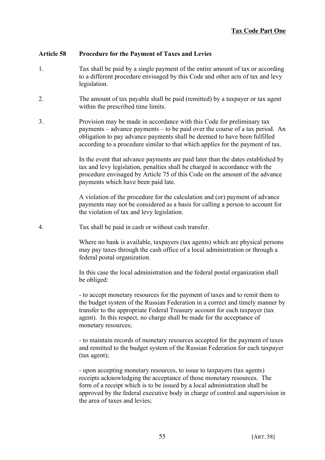## **Article 58 Procedure for the Payment of Taxes and Levies**

- 1. Tax shall be paid by a single payment of the entire amount of tax or according to a different procedure envisaged by this Code and other acts of tax and levy legislation.
- 2. The amount of tax payable shall be paid (remitted) by a taxpayer or tax agent within the prescribed time limits.
- 3. Provision may be made in accordance with this Code for preliminary tax payments – advance payments – to be paid over the course of a tax period. An obligation to pay advance payments shall be deemed to have been fulfilled according to a procedure similar to that which applies for the payment of tax.

In the event that advance payments are paid later than the dates established by tax and levy legislation, penalties shall be charged in accordance with the procedure envisaged by Article 75 of this Code on the amount of the advance payments which have been paid late.

A violation of the procedure for the calculation and (or) payment of advance payments may not be considered as a basis for calling a person to account for the violation of tax and levy legislation.

4. Tax shall be paid in cash or without cash transfer.

Where no bank is available, taxpayers (tax agents) which are physical persons may pay taxes through the cash office of a local administration or through a federal postal organization.

In this case the local administration and the federal postal organization shall be obliged:

- to accept monetary resources for the payment of taxes and to remit them to the budget system of the Russian Federation in a correct and timely manner by transfer to the appropriate Federal Treasury account for each taxpayer (tax agent). In this respect, no charge shall be made for the acceptance of monetary resources;

- to maintain records of monetary resources accepted for the payment of taxes and remitted to the budget system of the Russian Federation for each taxpayer (tax agent);

- upon accepting monetary resources, to issue to taxpayers (tax agents) receipts acknowledging the acceptance of those monetary resources. The form of a receipt which is to be issued by a local administration shall be approved by the federal executive body in charge of control and supervision in the area of taxes and levies;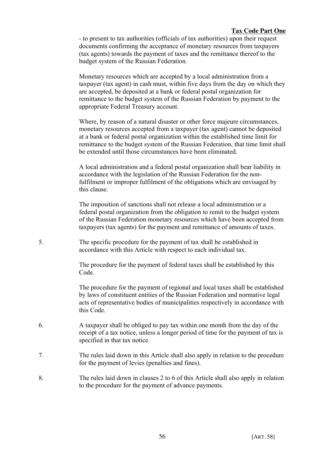- to present to tax authorities (officials of tax authorities) upon their request documents confirming the acceptance of monetary resources from taxpayers (tax agents) towards the payment of taxes and the remittance thereof to the budget system of the Russian Federation.

Monetary resources which are accepted by a local administration from a taxpayer (tax agent) in cash must, within five days from the day on which they are accepted, be deposited at a bank or federal postal organization for remittance to the budget system of the Russian Federation by payment to the appropriate Federal Treasury account.

Where, by reason of a natural disaster or other force majeure circumstances, monetary resources accepted from a taxpayer (tax agent) cannot be deposited at a bank or federal postal organization within the established time limit for remittance to the budget system of the Russian Federation, that time limit shall be extended until those circumstances have been eliminated.

A local administration and a federal postal organization shall bear liability in accordance with the legislation of the Russian Federation for the nonfulfilment or improper fulfilment of the obligations which are envisaged by this clause.

The imposition of sanctions shall not release a local administration or a federal postal organization from the obligation to remit to the budget system of the Russian Federation monetary resources which have been accepted from taxpayers (tax agents) for the payment and remittance of amounts of taxes.

5. The specific procedure for the payment of tax shall be established in accordance with this Article with respect to each individual tax.

> The procedure for the payment of federal taxes shall be established by this Code.

The procedure for the payment of regional and local taxes shall be established by laws of constituent entities of the Russian Federation and normative legal acts of representative bodies of municipalities respectively in accordance with this Code.

- 6. A taxpayer shall be obliged to pay tax within one month from the day of the receipt of a tax notice, unless a longer period of time for the payment of tax is specified in that tax notice.
- 7. The rules laid down in this Article shall also apply in relation to the procedure for the payment of levies (penalties and fines).
- 8. The rules laid down in clauses 2 to 6 of this Article shall also apply in relation to the procedure for the payment of advance payments.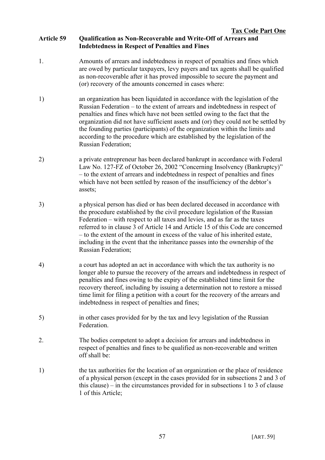# **Article 59 Qualification as Non-Recoverable and Write-Off of Arrears and Indebtedness in Respect of Penalties and Fines**

- 1. Amounts of arrears and indebtedness in respect of penalties and fines which are owed by particular taxpayers, levy payers and tax agents shall be qualified as non-recoverable after it has proved impossible to secure the payment and (or) recovery of the amounts concerned in cases where:
- 1) an organization has been liquidated in accordance with the legislation of the Russian Federation – to the extent of arrears and indebtedness in respect of penalties and fines which have not been settled owing to the fact that the organization did not have sufficient assets and (or) they could not be settled by the founding parties (participants) of the organization within the limits and according to the procedure which are established by the legislation of the Russian Federation;
- 2) a private entrepreneur has been declared bankrupt in accordance with Federal Law No. 127-FZ of October 26, 2002 "Concerning Insolvency (Bankruptcy)" – to the extent of arrears and indebtedness in respect of penalties and fines which have not been settled by reason of the insufficiency of the debtor's assets;
- 3) a physical person has died or has been declared deceased in accordance with the procedure established by the civil procedure legislation of the Russian Federation – with respect to all taxes and levies, and as far as the taxes referred to in clause 3 of Article 14 and Article 15 of this Code are concerned – to the extent of the amount in excess of the value of his inherited estate, including in the event that the inheritance passes into the ownership of the Russian Federation;
- 4) a court has adopted an act in accordance with which the tax authority is no longer able to pursue the recovery of the arrears and indebtedness in respect of penalties and fines owing to the expiry of the established time limit for the recovery thereof, including by issuing a determination not to restore a missed time limit for filing a petition with a court for the recovery of the arrears and indebtedness in respect of penalties and fines;
- 5) in other cases provided for by the tax and levy legislation of the Russian Federation.
- 2. The bodies competent to adopt a decision for arrears and indebtedness in respect of penalties and fines to be qualified as non-recoverable and written off shall be:
- 1) the tax authorities for the location of an organization or the place of residence of a physical person (except in the cases provided for in subsections 2 and 3 of this clause) – in the circumstances provided for in subsections 1 to 3 of clause 1 of this Article;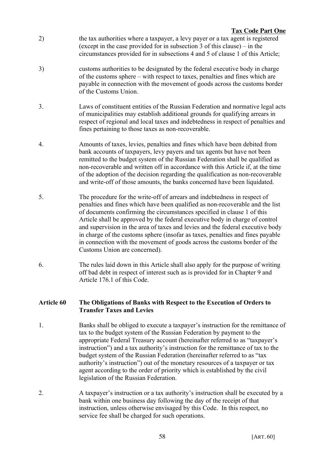- 2) the tax authorities where a taxpayer, a levy payer or a tax agent is registered (except in the case provided for in subsection 3 of this clause) – in the circumstances provided for in subsections 4 and 5 of clause 1 of this Article;
- 3) customs authorities to be designated by the federal executive body in charge of the customs sphere – with respect to taxes, penalties and fines which are payable in connection with the movement of goods across the customs border of the Customs Union.
- 3. Laws of constituent entities of the Russian Federation and normative legal acts of municipalities may establish additional grounds for qualifying arrears in respect of regional and local taxes and indebtedness in respect of penalties and fines pertaining to those taxes as non-recoverable.
- 4. Amounts of taxes, levies, penalties and fines which have been debited from bank accounts of taxpayers, levy payers and tax agents but have not been remitted to the budget system of the Russian Federation shall be qualified as non-recoverable and written off in accordance with this Article if, at the time of the adoption of the decision regarding the qualification as non-recoverable and write-off of those amounts, the banks concerned have been liquidated.
- 5. The procedure for the write-off of arrears and indebtedness in respect of penalties and fines which have been qualified as non-recoverable and the list of documents confirming the circumstances specified in clause 1 of this Article shall be approved by the federal executive body in charge of control and supervision in the area of taxes and levies and the federal executive body in charge of the customs sphere (insofar as taxes, penalties and fines payable in connection with the movement of goods across the customs border of the Customs Union are concerned).
- 6. The rules laid down in this Article shall also apply for the purpose of writing off bad debt in respect of interest such as is provided for in Chapter 9 and Article 176.1 of this Code.

## **Article 60 The Obligations of Banks with Respect to the Execution of Orders to Transfer Taxes and Levies**

- 1. Banks shall be obliged to execute a taxpayer's instruction for the remittance of tax to the budget system of the Russian Federation by payment to the appropriate Federal Treasury account (hereinafter referred to as "taxpayer's instruction") and a tax authority's instruction for the remittance of tax to the budget system of the Russian Federation (hereinafter referred to as "tax authority's instruction") out of the monetary resources of a taxpayer or tax agent according to the order of priority which is established by the civil legislation of the Russian Federation.
- 2. A taxpayer's instruction or a tax authority's instruction shall be executed by a bank within one business day following the day of the receipt of that instruction, unless otherwise envisaged by this Code. In this respect, no service fee shall be charged for such operations.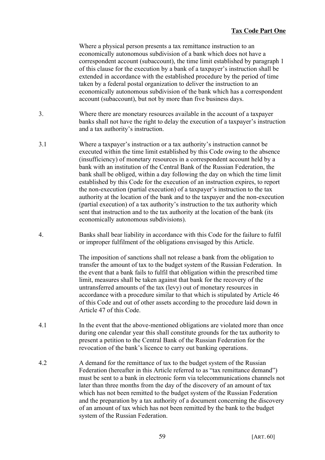Where a physical person presents a tax remittance instruction to an economically autonomous subdivision of a bank which does not have a correspondent account (subaccount), the time limit established by paragraph 1 of this clause for the execution by a bank of a taxpayer's instruction shall be extended in accordance with the established procedure by the period of time taken by a federal postal organization to deliver the instruction to an economically autonomous subdivision of the bank which has a correspondent account (subaccount), but not by more than five business days.

- 3. Where there are monetary resources available in the account of a taxpayer banks shall not have the right to delay the execution of a taxpayer's instruction and a tax authority's instruction.
- 3.1 Where a taxpayer's instruction or a tax authority's instruction cannot be executed within the time limit established by this Code owing to the absence (insufficiency) of monetary resources in a correspondent account held by a bank with an institution of the Central Bank of the Russian Federation, the bank shall be obliged, within a day following the day on which the time limit established by this Code for the execution of an instruction expires, to report the non-execution (partial execution) of a taxpayer's instruction to the tax authority at the location of the bank and to the taxpayer and the non-execution (partial execution) of a tax authority's instruction to the tax authority which sent that instruction and to the tax authority at the location of the bank (its economically autonomous subdivisions).
- 4. Banks shall bear liability in accordance with this Code for the failure to fulfil or improper fulfilment of the obligations envisaged by this Article.

The imposition of sanctions shall not release a bank from the obligation to transfer the amount of tax to the budget system of the Russian Federation. In the event that a bank fails to fulfil that obligation within the prescribed time limit, measures shall be taken against that bank for the recovery of the untransferred amounts of the tax (levy) out of monetary resources in accordance with a procedure similar to that which is stipulated by Article 46 of this Code and out of other assets according to the procedure laid down in Article 47 of this Code.

- 4.1 In the event that the above-mentioned obligations are violated more than once during one calendar year this shall constitute grounds for the tax authority to present a petition to the Central Bank of the Russian Federation for the revocation of the bank's licence to carry out banking operations.
- 4.2 A demand for the remittance of tax to the budget system of the Russian Federation (hereafter in this Article referred to as "tax remittance demand") must be sent to a bank in electronic form via telecommunications channels not later than three months from the day of the discovery of an amount of tax which has not been remitted to the budget system of the Russian Federation and the preparation by a tax authority of a document concerning the discovery of an amount of tax which has not been remitted by the bank to the budget system of the Russian Federation.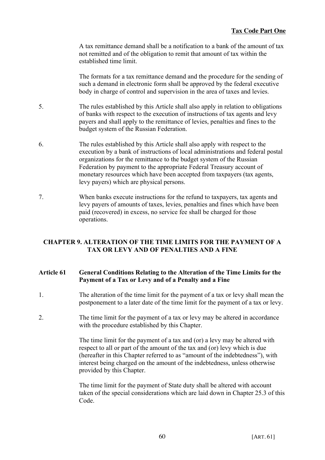A tax remittance demand shall be a notification to a bank of the amount of tax not remitted and of the obligation to remit that amount of tax within the established time limit.

The formats for a tax remittance demand and the procedure for the sending of such a demand in electronic form shall be approved by the federal executive body in charge of control and supervision in the area of taxes and levies.

- 5. The rules established by this Article shall also apply in relation to obligations of banks with respect to the execution of instructions of tax agents and levy payers and shall apply to the remittance of levies, penalties and fines to the budget system of the Russian Federation.
- 6. The rules established by this Article shall also apply with respect to the execution by a bank of instructions of local administrations and federal postal organizations for the remittance to the budget system of the Russian Federation by payment to the appropriate Federal Treasury account of monetary resources which have been accepted from taxpayers (tax agents, levy payers) which are physical persons.
- 7. When banks execute instructions for the refund to taxpayers, tax agents and levy payers of amounts of taxes, levies, penalties and fines which have been paid (recovered) in excess, no service fee shall be charged for those operations.

# **CHAPTER 9. ALTERATION OF THE TIME LIMITS FOR THE PAYMENT OF A TAX OR LEVY AND OF PENALTIES AND A FINE**

# **Article 61 General Conditions Relating to the Alteration of the Time Limits for the Payment of a Tax or Levy and of a Penalty and a Fine**

- 1. The alteration of the time limit for the payment of a tax or levy shall mean the postponement to a later date of the time limit for the payment of a tax or levy.
- 2. The time limit for the payment of a tax or levy may be altered in accordance with the procedure established by this Chapter.

The time limit for the payment of a tax and (or) a levy may be altered with respect to all or part of the amount of the tax and (or) levy which is due (hereafter in this Chapter referred to as "amount of the indebtedness"), with interest being charged on the amount of the indebtedness, unless otherwise provided by this Chapter.

The time limit for the payment of State duty shall be altered with account taken of the special considerations which are laid down in Chapter 25.3 of this Code.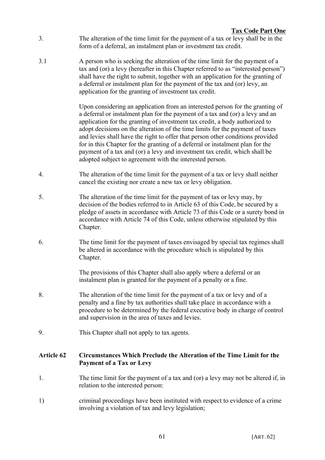- 3. The alteration of the time limit for the payment of a tax or levy shall be in the form of a deferral, an instalment plan or investment tax credit.
- 3.1 A person who is seeking the alteration of the time limit for the payment of a tax and (or) a levy (hereafter in this Chapter referred to as "interested person") shall have the right to submit, together with an application for the granting of a deferral or instalment plan for the payment of the tax and (or) levy, an application for the granting of investment tax credit.

Upon considering an application from an interested person for the granting of a deferral or instalment plan for the payment of a tax and (or) a levy and an application for the granting of investment tax credit, a body authorized to adopt decisions on the alteration of the time limits for the payment of taxes and levies shall have the right to offer that person other conditions provided for in this Chapter for the granting of a deferral or instalment plan for the payment of a tax and (or) a levy and investment tax credit, which shall be adopted subject to agreement with the interested person.

- 4. The alteration of the time limit for the payment of a tax or levy shall neither cancel the existing nor create a new tax or levy obligation.
- 5. The alteration of the time limit for the payment of tax or levy may, by decision of the bodies referred to in Article 63 of this Code, be secured by a pledge of assets in accordance with Article 73 of this Code or a surety bond in accordance with Article 74 of this Code, unless otherwise stipulated by this Chapter.
- 6. The time limit for the payment of taxes envisaged by special tax regimes shall be altered in accordance with the procedure which is stipulated by this Chapter.

The provisions of this Chapter shall also apply where a deferral or an instalment plan is granted for the payment of a penalty or a fine.

- 8. The alteration of the time limit for the payment of a tax or levy and of a penalty and a fine by tax authorities shall take place in accordance with a procedure to be determined by the federal executive body in charge of control and supervision in the area of taxes and levies.
- 9. This Chapter shall not apply to tax agents.

# **Article 62 Circumstances Which Preclude the Alteration of the Time Limit for the Payment of a Tax or Levy**

- 1. The time limit for the payment of a tax and (or) a levy may not be altered if, in relation to the interested person:
- 1) criminal proceedings have been instituted with respect to evidence of a crime involving a violation of tax and levy legislation;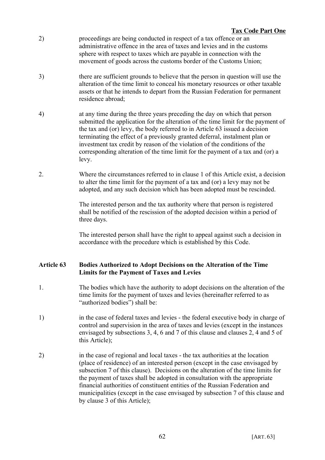- 2) proceedings are being conducted in respect of a tax offence or an administrative offence in the area of taxes and levies and in the customs sphere with respect to taxes which are payable in connection with the movement of goods across the customs border of the Customs Union;
- 3) there are sufficient grounds to believe that the person in question will use the alteration of the time limit to conceal his monetary resources or other taxable assets or that he intends to depart from the Russian Federation for permanent residence abroad;
- 4) at any time during the three years preceding the day on which that person submitted the application for the alteration of the time limit for the payment of the tax and (or) levy, the body referred to in Article 63 issued a decision terminating the effect of a previously granted deferral, instalment plan or investment tax credit by reason of the violation of the conditions of the corresponding alteration of the time limit for the payment of a tax and (or) a levy.
- 2. Where the circumstances referred to in clause 1 of this Article exist, a decision to alter the time limit for the payment of a tax and (or) a levy may not be adopted, and any such decision which has been adopted must be rescinded.

The interested person and the tax authority where that person is registered shall be notified of the rescission of the adopted decision within a period of three days.

The interested person shall have the right to appeal against such a decision in accordance with the procedure which is established by this Code.

# **Article 63 Bodies Authorized to Adopt Decisions on the Alteration of the Time Limits for the Payment of Taxes and Levies**

- 1. The bodies which have the authority to adopt decisions on the alteration of the time limits for the payment of taxes and levies (hereinafter referred to as "authorized bodies") shall be:
- 1) in the case of federal taxes and levies the federal executive body in charge of control and supervision in the area of taxes and levies (except in the instances envisaged by subsections 3, 4, 6 and 7 of this clause and clauses 2, 4 and 5 of this Article);
- 2) in the case of regional and local taxes the tax authorities at the location (place of residence) of an interested person (except in the case envisaged by subsection 7 of this clause). Decisions on the alteration of the time limits for the payment of taxes shall be adopted in consultation with the appropriate financial authorities of constituent entities of the Russian Federation and municipalities (except in the case envisaged by subsection 7 of this clause and by clause 3 of this Article);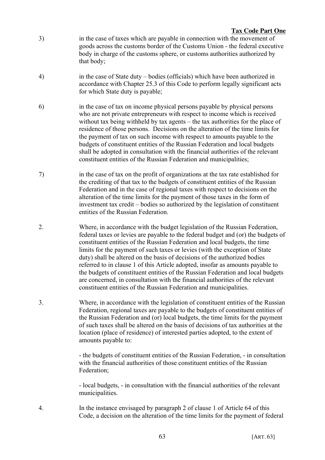- 3) in the case of taxes which are payable in connection with the movement of goods across the customs border of the Customs Union - the federal executive body in charge of the customs sphere, or customs authorities authorized by that body;
- 4) in the case of State duty bodies (officials) which have been authorized in accordance with Chapter 25.3 of this Code to perform legally significant acts for which State duty is payable;
- 6) in the case of tax on income physical persons payable by physical persons who are not private entrepreneurs with respect to income which is received without tax being withheld by tax agents – the tax authorities for the place of residence of those persons. Decisions on the alteration of the time limits for the payment of tax on such income with respect to amounts payable to the budgets of constituent entities of the Russian Federation and local budgets shall be adopted in consultation with the financial authorities of the relevant constituent entities of the Russian Federation and municipalities;
- 7) in the case of tax on the profit of organizations at the tax rate established for the crediting of that tax to the budgets of constituent entities of the Russian Federation and in the case of regional taxes with respect to decisions on the alteration of the time limits for the payment of those taxes in the form of investment tax credit – bodies so authorized by the legislation of constituent entities of the Russian Federation.
- 2. Where, in accordance with the budget legislation of the Russian Federation, federal taxes or levies are payable to the federal budget and (or) the budgets of constituent entities of the Russian Federation and local budgets, the time limits for the payment of such taxes or levies (with the exception of State duty) shall be altered on the basis of decisions of the authorized bodies referred to in clause 1 of this Article adopted, insofar as amounts payable to the budgets of constituent entities of the Russian Federation and local budgets are concerned, in consultation with the financial authorities of the relevant constituent entities of the Russian Federation and municipalities.
- 3. Where, in accordance with the legislation of constituent entities of the Russian Federation, regional taxes are payable to the budgets of constituent entities of the Russian Federation and (or) local budgets, the time limits for the payment of such taxes shall be altered on the basis of decisions of tax authorities at the location (place of residence) of interested parties adopted, to the extent of amounts payable to:

- the budgets of constituent entities of the Russian Federation, - in consultation with the financial authorities of those constituent entities of the Russian Federation;

- local budgets, - in consultation with the financial authorities of the relevant municipalities.

4. In the instance envisaged by paragraph 2 of clause 1 of Article 64 of this Code, a decision on the alteration of the time limits for the payment of federal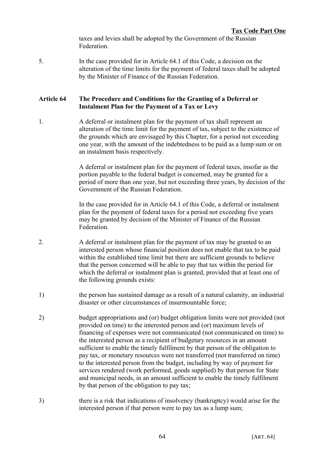taxes and levies shall be adopted by the Government of the Russian Federation.

5. In the case provided for in Article 64.1 of this Code, a decision on the alteration of the time limits for the payment of federal taxes shall be adopted by the Minister of Finance of the Russian Federation.

# **Article 64 The Procedure and Conditions for the Granting of a Deferral or Instalment Plan for the Payment of a Tax or Levy**

1. A deferral or instalment plan for the payment of tax shall represent an alteration of the time limit for the payment of tax, subject to the existence of the grounds which are envisaged by this Chapter, for a period not exceeding one year, with the amount of the indebtedness to be paid as a lump sum or on an instalment basis respectively.

> A deferral or instalment plan for the payment of federal taxes, insofar as the portion payable to the federal budget is concerned, may be granted for a period of more than one year, but not exceeding three years, by decision of the Government of the Russian Federation.

In the case provided for in Article 64.1 of this Code, a deferral or instalment plan for the payment of federal taxes for a period not exceeding five years may be granted by decision of the Minister of Finance of the Russian Federation.

- 2. A deferral or instalment plan for the payment of tax may be granted to an interested person whose financial position does not enable that tax to be paid within the established time limit but there are sufficient grounds to believe that the person concerned will be able to pay that tax within the period for which the deferral or instalment plan is granted, provided that at least one of the following grounds exists:
- 1) the person has sustained damage as a result of a natural calamity, an industrial disaster or other circumstances of insurmountable force;
- 2) budget appropriations and (or) budget obligation limits were not provided (not provided on time) to the interested person and (or) maximum levels of financing of expenses were not communicated (not communicated on time) to the interested person as a recipient of budgetary resources in an amount sufficient to enable the timely fulfilment by that person of the obligation to pay tax, or monetary resources were not transferred (not transferred on time) to the interested person from the budget, including by way of payment for services rendered (work performed, goods supplied) by that person for State and municipal needs, in an amount sufficient to enable the timely fulfilment by that person of the obligation to pay tax;
- 3) there is a risk that indications of insolvency (bankruptcy) would arise for the interested person if that person were to pay tax as a lump sum;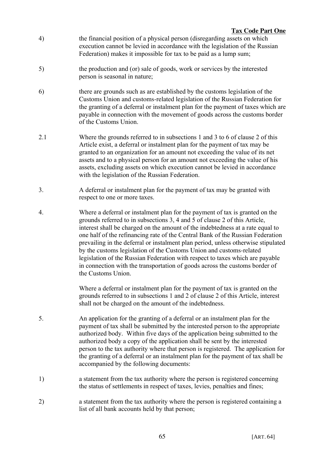- 4) the financial position of a physical person (disregarding assets on which execution cannot be levied in accordance with the legislation of the Russian Federation) makes it impossible for tax to be paid as a lump sum;
- 5) the production and (or) sale of goods, work or services by the interested person is seasonal in nature;
- 6) there are grounds such as are established by the customs legislation of the Customs Union and customs-related legislation of the Russian Federation for the granting of a deferral or instalment plan for the payment of taxes which are payable in connection with the movement of goods across the customs border of the Customs Union.
- 2.1 Where the grounds referred to in subsections 1 and 3 to 6 of clause 2 of this Article exist, a deferral or instalment plan for the payment of tax may be granted to an organization for an amount not exceeding the value of its net assets and to a physical person for an amount not exceeding the value of his assets, excluding assets on which execution cannot be levied in accordance with the legislation of the Russian Federation.
- 3. A deferral or instalment plan for the payment of tax may be granted with respect to one or more taxes.
- 4. Where a deferral or instalment plan for the payment of tax is granted on the grounds referred to in subsections 3, 4 and 5 of clause 2 of this Article, interest shall be charged on the amount of the indebtedness at a rate equal to one half of the refinancing rate of the Central Bank of the Russian Federation prevailing in the deferral or instalment plan period, unless otherwise stipulated by the customs legislation of the Customs Union and customs-related legislation of the Russian Federation with respect to taxes which are payable in connection with the transportation of goods across the customs border of the Customs Union.

Where a deferral or instalment plan for the payment of tax is granted on the grounds referred to in subsections 1 and 2 of clause 2 of this Article, interest shall not be charged on the amount of the indebtedness.

- 5. An application for the granting of a deferral or an instalment plan for the payment of tax shall be submitted by the interested person to the appropriate authorized body. Within five days of the application being submitted to the authorized body a copy of the application shall be sent by the interested person to the tax authority where that person is registered. The application for the granting of a deferral or an instalment plan for the payment of tax shall be accompanied by the following documents:
- 1) a statement from the tax authority where the person is registered concerning the status of settlements in respect of taxes, levies, penalties and fines;
- 2) a statement from the tax authority where the person is registered containing a list of all bank accounts held by that person;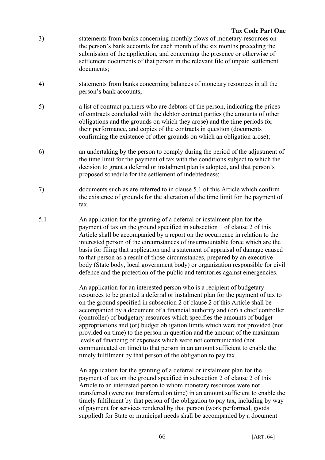- 3) statements from banks concerning monthly flows of monetary resources on the person's bank accounts for each month of the six months preceding the submission of the application, and concerning the presence or otherwise of settlement documents of that person in the relevant file of unpaid settlement documents;
- 4) statements from banks concerning balances of monetary resources in all the person's bank accounts;
- 5) a list of contract partners who are debtors of the person, indicating the prices of contracts concluded with the debtor contract parties (the amounts of other obligations and the grounds on which they arose) and the time periods for their performance, and copies of the contracts in question (documents confirming the existence of other grounds on which an obligation arose);
- 6) an undertaking by the person to comply during the period of the adjustment of the time limit for the payment of tax with the conditions subject to which the decision to grant a deferral or instalment plan is adopted, and that person's proposed schedule for the settlement of indebtedness;
- 7) documents such as are referred to in clause 5.1 of this Article which confirm the existence of grounds for the alteration of the time limit for the payment of tax.
- 5.1 An application for the granting of a deferral or instalment plan for the payment of tax on the ground specified in subsection 1 of clause 2 of this Article shall be accompanied by a report on the occurrence in relation to the interested person of the circumstances of insurmountable force which are the basis for filing that application and a statement of appraisal of damage caused to that person as a result of those circumstances, prepared by an executive body (State body, local government body) or organization responsible for civil defence and the protection of the public and territories against emergencies.

An application for an interested person who is a recipient of budgetary resources to be granted a deferral or instalment plan for the payment of tax to on the ground specified in subsection 2 of clause 2 of this Article shall be accompanied by a document of a financial authority and (or) a chief controller (controller) of budgetary resources which specifies the amounts of budget appropriations and (or) budget obligation limits which were not provided (not provided on time) to the person in question and the amount of the maximum levels of financing of expenses which were not communicated (not communicated on time) to that person in an amount sufficient to enable the timely fulfilment by that person of the obligation to pay tax.

An application for the granting of a deferral or instalment plan for the payment of tax on the ground specified in subsection 2 of clause 2 of this Article to an interested person to whom monetary resources were not transferred (were not transferred on time) in an amount sufficient to enable the timely fulfilment by that person of the obligation to pay tax, including by way of payment for services rendered by that person (work performed, goods supplied) for State or municipal needs shall be accompanied by a document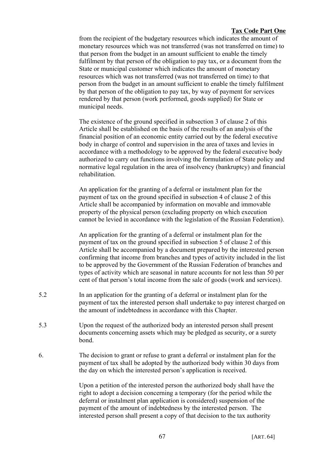from the recipient of the budgetary resources which indicates the amount of monetary resources which was not transferred (was not transferred on time) to that person from the budget in an amount sufficient to enable the timely fulfilment by that person of the obligation to pay tax, or a document from the State or municipal customer which indicates the amount of monetary resources which was not transferred (was not transferred on time) to that person from the budget in an amount sufficient to enable the timely fulfilment by that person of the obligation to pay tax, by way of payment for services rendered by that person (work performed, goods supplied) for State or municipal needs.

The existence of the ground specified in subsection 3 of clause 2 of this Article shall be established on the basis of the results of an analysis of the financial position of an economic entity carried out by the federal executive body in charge of control and supervision in the area of taxes and levies in accordance with a methodology to be approved by the federal executive body authorized to carry out functions involving the formulation of State policy and normative legal regulation in the area of insolvency (bankruptcy) and financial rehabilitation.

An application for the granting of a deferral or instalment plan for the payment of tax on the ground specified in subsection 4 of clause 2 of this Article shall be accompanied by information on movable and immovable property of the physical person (excluding property on which execution cannot be levied in accordance with the legislation of the Russian Federation).

An application for the granting of a deferral or instalment plan for the payment of tax on the ground specified in subsection 5 of clause 2 of this Article shall be accompanied by a document prepared by the interested person confirming that income from branches and types of activity included in the list to be approved by the Government of the Russian Federation of branches and types of activity which are seasonal in nature accounts for not less than 50 per cent of that person's total income from the sale of goods (work and services).

- 5.2 In an application for the granting of a deferral or instalment plan for the payment of tax the interested person shall undertake to pay interest charged on the amount of indebtedness in accordance with this Chapter.
- 5.3 Upon the request of the authorized body an interested person shall present documents concerning assets which may be pledged as security, or a surety bond.
- 6. The decision to grant or refuse to grant a deferral or instalment plan for the payment of tax shall be adopted by the authorized body within 30 days from the day on which the interested person's application is received.

Upon a petition of the interested person the authorized body shall have the right to adopt a decision concerning a temporary (for the period while the deferral or instalment plan application is considered) suspension of the payment of the amount of indebtedness by the interested person. The interested person shall present a copy of that decision to the tax authority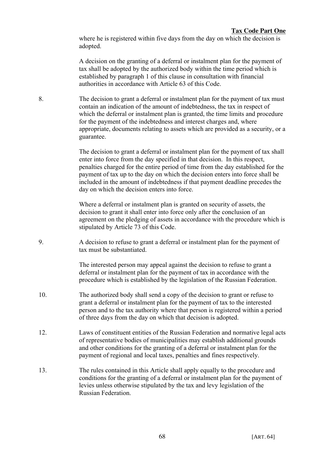where he is registered within five days from the day on which the decision is adopted.

A decision on the granting of a deferral or instalment plan for the payment of tax shall be adopted by the authorized body within the time period which is established by paragraph 1 of this clause in consultation with financial authorities in accordance with Article 63 of this Code.

8. The decision to grant a deferral or instalment plan for the payment of tax must contain an indication of the amount of indebtedness, the tax in respect of which the deferral or instalment plan is granted, the time limits and procedure for the payment of the indebtedness and interest charges and, where appropriate, documents relating to assets which are provided as a security, or a guarantee.

> The decision to grant a deferral or instalment plan for the payment of tax shall enter into force from the day specified in that decision. In this respect, penalties charged for the entire period of time from the day established for the payment of tax up to the day on which the decision enters into force shall be included in the amount of indebtedness if that payment deadline precedes the day on which the decision enters into force.

> Where a deferral or instalment plan is granted on security of assets, the decision to grant it shall enter into force only after the conclusion of an agreement on the pledging of assets in accordance with the procedure which is stipulated by Article 73 of this Code.

9. A decision to refuse to grant a deferral or instalment plan for the payment of tax must be substantiated.

> The interested person may appeal against the decision to refuse to grant a deferral or instalment plan for the payment of tax in accordance with the procedure which is established by the legislation of the Russian Federation.

- 10. The authorized body shall send a copy of the decision to grant or refuse to grant a deferral or instalment plan for the payment of tax to the interested person and to the tax authority where that person is registered within a period of three days from the day on which that decision is adopted.
- 12. Laws of constituent entities of the Russian Federation and normative legal acts of representative bodies of municipalities may establish additional grounds and other conditions for the granting of a deferral or instalment plan for the payment of regional and local taxes, penalties and fines respectively.
- 13. The rules contained in this Article shall apply equally to the procedure and conditions for the granting of a deferral or instalment plan for the payment of levies unless otherwise stipulated by the tax and levy legislation of the Russian Federation.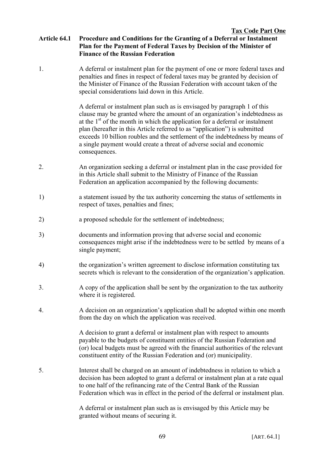# **Article 64.1 Procedure and Conditions for the Granting of a Deferral or Instalment Plan for the Payment of Federal Taxes by Decision of the Minister of Finance of the Russian Federation**

1. A deferral or instalment plan for the payment of one or more federal taxes and penalties and fines in respect of federal taxes may be granted by decision of the Minister of Finance of the Russian Federation with account taken of the special considerations laid down in this Article.

> A deferral or instalment plan such as is envisaged by paragraph 1 of this clause may be granted where the amount of an organization's indebtedness as at the  $1<sup>st</sup>$  of the month in which the application for a deferral or instalment plan (hereafter in this Article referred to as "application") is submitted exceeds 10 billion roubles and the settlement of the indebtedness by means of a single payment would create a threat of adverse social and economic consequences.

- 2. An organization seeking a deferral or instalment plan in the case provided for in this Article shall submit to the Ministry of Finance of the Russian Federation an application accompanied by the following documents:
- 1) a statement issued by the tax authority concerning the status of settlements in respect of taxes, penalties and fines;
- 2) a proposed schedule for the settlement of indebtedness;
- 3) documents and information proving that adverse social and economic consequences might arise if the indebtedness were to be settled by means of a single payment;
- 4) the organization's written agreement to disclose information constituting tax secrets which is relevant to the consideration of the organization's application.
- 3. A copy of the application shall be sent by the organization to the tax authority where it is registered.
- 4. A decision on an organization's application shall be adopted within one month from the day on which the application was received.

A decision to grant a deferral or instalment plan with respect to amounts payable to the budgets of constituent entities of the Russian Federation and (or) local budgets must be agreed with the financial authorities of the relevant constituent entity of the Russian Federation and (or) municipality.

5. Interest shall be charged on an amount of indebtedness in relation to which a decision has been adopted to grant a deferral or instalment plan at a rate equal to one half of the refinancing rate of the Central Bank of the Russian Federation which was in effect in the period of the deferral or instalment plan.

> A deferral or instalment plan such as is envisaged by this Article may be granted without means of securing it.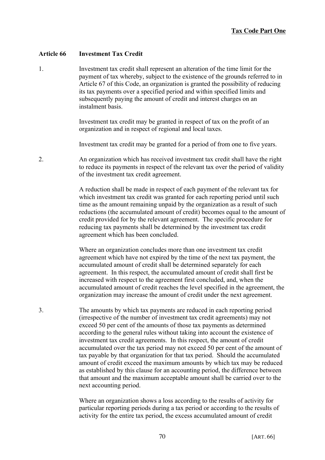## **Article 66 Investment Tax Credit**

1. Investment tax credit shall represent an alteration of the time limit for the payment of tax whereby, subject to the existence of the grounds referred to in Article 67 of this Code, an organization is granted the possibility of reducing its tax payments over a specified period and within specified limits and subsequently paying the amount of credit and interest charges on an instalment basis.

> Investment tax credit may be granted in respect of tax on the profit of an organization and in respect of regional and local taxes.

Investment tax credit may be granted for a period of from one to five years.

2. An organization which has received investment tax credit shall have the right to reduce its payments in respect of the relevant tax over the period of validity of the investment tax credit agreement.

> A reduction shall be made in respect of each payment of the relevant tax for which investment tax credit was granted for each reporting period until such time as the amount remaining unpaid by the organization as a result of such reductions (the accumulated amount of credit) becomes equal to the amount of credit provided for by the relevant agreement. The specific procedure for reducing tax payments shall be determined by the investment tax credit agreement which has been concluded.

> Where an organization concludes more than one investment tax credit agreement which have not expired by the time of the next tax payment, the accumulated amount of credit shall be determined separately for each agreement. In this respect, the accumulated amount of credit shall first be increased with respect to the agreement first concluded, and, when the accumulated amount of credit reaches the level specified in the agreement, the organization may increase the amount of credit under the next agreement.

3. The amounts by which tax payments are reduced in each reporting period (irrespective of the number of investment tax credit agreements) may not exceed 50 per cent of the amounts of those tax payments as determined according to the general rules without taking into account the existence of investment tax credit agreements. In this respect, the amount of credit accumulated over the tax period may not exceed 50 per cent of the amount of tax payable by that organization for that tax period. Should the accumulated amount of credit exceed the maximum amounts by which tax may be reduced as established by this clause for an accounting period, the difference between that amount and the maximum acceptable amount shall be carried over to the next accounting period.

> Where an organization shows a loss according to the results of activity for particular reporting periods during a tax period or according to the results of activity for the entire tax period, the excess accumulated amount of credit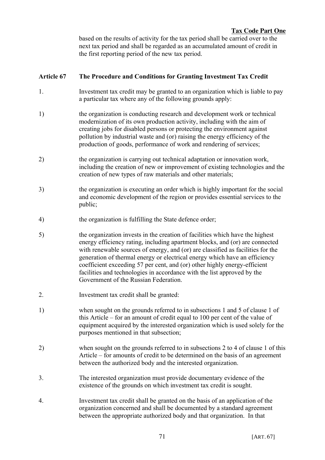based on the results of activity for the tax period shall be carried over to the next tax period and shall be regarded as an accumulated amount of credit in the first reporting period of the new tax period.

# **Article 67 The Procedure and Conditions for Granting Investment Tax Credit**

- 1. Investment tax credit may be granted to an organization which is liable to pay a particular tax where any of the following grounds apply:
- 1) the organization is conducting research and development work or technical modernization of its own production activity, including with the aim of creating jobs for disabled persons or protecting the environment against pollution by industrial waste and (or) raising the energy efficiency of the production of goods, performance of work and rendering of services;
- 2) the organization is carrying out technical adaptation or innovation work, including the creation of new or improvement of existing technologies and the creation of new types of raw materials and other materials;
- 3) the organization is executing an order which is highly important for the social and economic development of the region or provides essential services to the public;
- 4) the organization is fulfilling the State defence order;
- 5) the organization invests in the creation of facilities which have the highest energy efficiency rating, including apartment blocks, and (or) are connected with renewable sources of energy, and (or) are classified as facilities for the generation of thermal energy or electrical energy which have an efficiency coefficient exceeding 57 per cent, and (or) other highly energy-efficient facilities and technologies in accordance with the list approved by the Government of the Russian Federation.
- 2. Investment tax credit shall be granted:
- 1) when sought on the grounds referred to in subsections 1 and 5 of clause 1 of this Article – for an amount of credit equal to 100 per cent of the value of equipment acquired by the interested organization which is used solely for the purposes mentioned in that subsection;
- 2) when sought on the grounds referred to in subsections 2 to 4 of clause 1 of this Article – for amounts of credit to be determined on the basis of an agreement between the authorized body and the interested organization.
- 3. The interested organization must provide documentary evidence of the existence of the grounds on which investment tax credit is sought.
- 4. Investment tax credit shall be granted on the basis of an application of the organization concerned and shall be documented by a standard agreement between the appropriate authorized body and that organization. In that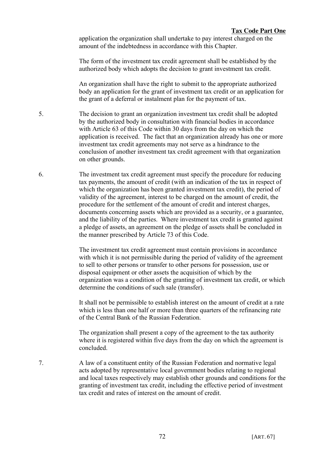application the organization shall undertake to pay interest charged on the amount of the indebtedness in accordance with this Chapter.

The form of the investment tax credit agreement shall be established by the authorized body which adopts the decision to grant investment tax credit.

An organization shall have the right to submit to the appropriate authorized body an application for the grant of investment tax credit or an application for the grant of a deferral or instalment plan for the payment of tax.

- 5. The decision to grant an organization investment tax credit shall be adopted by the authorized body in consultation with financial bodies in accordance with Article 63 of this Code within 30 days from the day on which the application is received. The fact that an organization already has one or more investment tax credit agreements may not serve as a hindrance to the conclusion of another investment tax credit agreement with that organization on other grounds.
- 6. The investment tax credit agreement must specify the procedure for reducing tax payments, the amount of credit (with an indication of the tax in respect of which the organization has been granted investment tax credit), the period of validity of the agreement, interest to be charged on the amount of credit, the procedure for the settlement of the amount of credit and interest charges, documents concerning assets which are provided as a security, or a guarantee, and the liability of the parties. Where investment tax credit is granted against a pledge of assets, an agreement on the pledge of assets shall be concluded in the manner prescribed by Article 73 of this Code.

The investment tax credit agreement must contain provisions in accordance with which it is not permissible during the period of validity of the agreement to sell to other persons or transfer to other persons for possession, use or disposal equipment or other assets the acquisition of which by the organization was a condition of the granting of investment tax credit, or which determine the conditions of such sale (transfer).

It shall not be permissible to establish interest on the amount of credit at a rate which is less than one half or more than three quarters of the refinancing rate of the Central Bank of the Russian Federation.

The organization shall present a copy of the agreement to the tax authority where it is registered within five days from the day on which the agreement is concluded.

7. A law of a constituent entity of the Russian Federation and normative legal acts adopted by representative local government bodies relating to regional and local taxes respectively may establish other grounds and conditions for the granting of investment tax credit, including the effective period of investment tax credit and rates of interest on the amount of credit.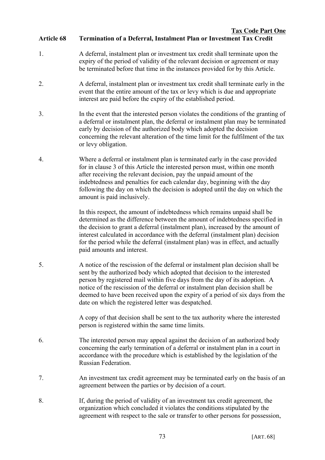#### **Tax Code Part One Article 68 Termination of a Deferral, Instalment Plan or Investment Tax Credit**

- 1. A deferral, instalment plan or investment tax credit shall terminate upon the expiry of the period of validity of the relevant decision or agreement or may be terminated before that time in the instances provided for by this Article.
- 2. A deferral, instalment plan or investment tax credit shall terminate early in the event that the entire amount of the tax or levy which is due and appropriate interest are paid before the expiry of the established period.
- 3. In the event that the interested person violates the conditions of the granting of a deferral or instalment plan, the deferral or instalment plan may be terminated early by decision of the authorized body which adopted the decision concerning the relevant alteration of the time limit for the fulfilment of the tax or levy obligation.
- 4. Where a deferral or instalment plan is terminated early in the case provided for in clause 3 of this Article the interested person must, within one month after receiving the relevant decision, pay the unpaid amount of the indebtedness and penalties for each calendar day, beginning with the day following the day on which the decision is adopted until the day on which the amount is paid inclusively.

In this respect, the amount of indebtedness which remains unpaid shall be determined as the difference between the amount of indebtedness specified in the decision to grant a deferral (instalment plan), increased by the amount of interest calculated in accordance with the deferral (instalment plan) decision for the period while the deferral (instalment plan) was in effect, and actually paid amounts and interest.

5. A notice of the rescission of the deferral or instalment plan decision shall be sent by the authorized body which adopted that decision to the interested person by registered mail within five days from the day of its adoption. A notice of the rescission of the deferral or instalment plan decision shall be deemed to have been received upon the expiry of a period of six days from the date on which the registered letter was despatched.

> A copy of that decision shall be sent to the tax authority where the interested person is registered within the same time limits.

- 6. The interested person may appeal against the decision of an authorized body concerning the early termination of a deferral or instalment plan in a court in accordance with the procedure which is established by the legislation of the Russian Federation.
- 7. An investment tax credit agreement may be terminated early on the basis of an agreement between the parties or by decision of a court.
- 8. If, during the period of validity of an investment tax credit agreement, the organization which concluded it violates the conditions stipulated by the agreement with respect to the sale or transfer to other persons for possession,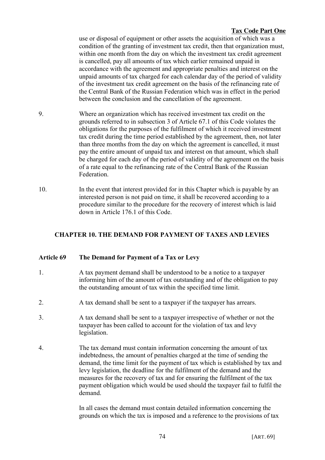use or disposal of equipment or other assets the acquisition of which was a condition of the granting of investment tax credit, then that organization must, within one month from the day on which the investment tax credit agreement is cancelled, pay all amounts of tax which earlier remained unpaid in accordance with the agreement and appropriate penalties and interest on the unpaid amounts of tax charged for each calendar day of the period of validity of the investment tax credit agreement on the basis of the refinancing rate of the Central Bank of the Russian Federation which was in effect in the period between the conclusion and the cancellation of the agreement.

- 9. Where an organization which has received investment tax credit on the grounds referred to in subsection 3 of Article 67.1 of this Code violates the obligations for the purposes of the fulfilment of which it received investment tax credit during the time period established by the agreement, then, not later than three months from the day on which the agreement is cancelled, it must pay the entire amount of unpaid tax and interest on that amount, which shall be charged for each day of the period of validity of the agreement on the basis of a rate equal to the refinancing rate of the Central Bank of the Russian Federation.
- 10. In the event that interest provided for in this Chapter which is payable by an interested person is not paid on time, it shall be recovered according to a procedure similar to the procedure for the recovery of interest which is laid down in Article 176.1 of this Code.

# **CHAPTER 10. THE DEMAND FOR PAYMENT OF TAXES AND LEVIES**

# **Article 69 The Demand for Payment of a Tax or Levy**

- 1. A tax payment demand shall be understood to be a notice to a taxpayer informing him of the amount of tax outstanding and of the obligation to pay the outstanding amount of tax within the specified time limit.
- 2. A tax demand shall be sent to a taxpayer if the taxpayer has arrears.
- 3. A tax demand shall be sent to a taxpayer irrespective of whether or not the taxpayer has been called to account for the violation of tax and levy legislation.
- 4. The tax demand must contain information concerning the amount of tax indebtedness, the amount of penalties charged at the time of sending the demand, the time limit for the payment of tax which is established by tax and levy legislation, the deadline for the fulfilment of the demand and the measures for the recovery of tax and for ensuring the fulfilment of the tax payment obligation which would be used should the taxpayer fail to fulfil the demand.

In all cases the demand must contain detailed information concerning the grounds on which the tax is imposed and a reference to the provisions of tax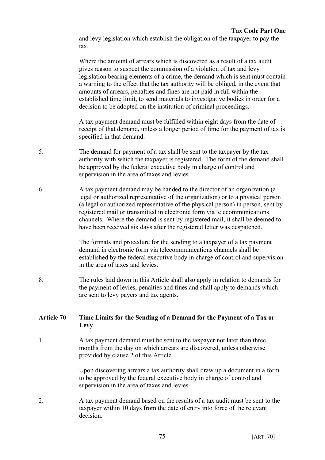and levy legislation which establish the obligation of the taxpayer to pay the tax.

Where the amount of arrears which is discovered as a result of a tax audit gives reason to suspect the commission of a violation of tax and levy legislation bearing elements of a crime, the demand which is sent must contain a warning to the effect that the tax authority will be obliged, in the event that amounts of arrears, penalties and fines are not paid in full within the established time limit, to send materials to investigative bodies in order for a decision to be adopted on the institution of criminal proceedings.

A tax payment demand must be fulfilled within eight days from the date of receipt of that demand, unless a longer period of time for the payment of tax is specified in that demand.

- 5. The demand for payment of a tax shall be sent to the taxpayer by the tax authority with which the taxpayer is registered. The form of the demand shall be approved by the federal executive body in charge of control and supervision in the area of taxes and levies.
- 6. A tax payment demand may be handed to the director of an organization (a legal or authorized representative of the organization) or to a physical person (a legal or authorized representative of the physical person) in person, sent by registered mail or transmitted in electronic form via telecommunications channels. Where the demand is sent by registered mail, it shall be deemed to have been received six days after the registered letter was despatched.

The formats and procedure for the sending to a taxpayer of a tax payment demand in electronic form via telecommunications channels shall be established by the federal executive body in charge of control and supervision in the area of taxes and levies.

8. The rules laid down in this Article shall also apply in relation to demands for the payment of levies, penalties and fines and shall apply to demands which are sent to levy payers and tax agents.

# **Article 70 Time Limits for the Sending of a Demand for the Payment of a Tax or Levy**

1. A tax payment demand must be sent to the taxpayer not later than three months from the day on which arrears are discovered, unless otherwise provided by clause 2 of this Article.

> Upon discovering arrears a tax authority shall draw up a document in a form to be approved by the federal executive body in charge of control and supervision in the area of taxes and levies.

2. A tax payment demand based on the results of a tax audit must be sent to the taxpayer within 10 days from the date of entry into force of the relevant decision.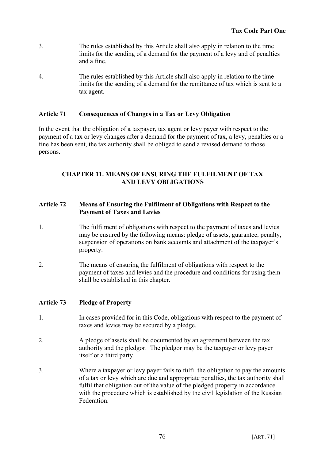- 3. The rules established by this Article shall also apply in relation to the time limits for the sending of a demand for the payment of a levy and of penalties and a fine.
- 4. The rules established by this Article shall also apply in relation to the time limits for the sending of a demand for the remittance of tax which is sent to a tax agent.

# **Article 71 Consequences of Changes in a Tax or Levy Obligation**

In the event that the obligation of a taxpayer, tax agent or levy payer with respect to the payment of a tax or levy changes after a demand for the payment of tax, a levy, penalties or a fine has been sent, the tax authority shall be obliged to send a revised demand to those persons.

# **CHAPTER 11. MEANS OF ENSURING THE FULFILMENT OF TAX AND LEVY OBLIGATIONS**

# **Article 72 Means of Ensuring the Fulfilment of Obligations with Respect to the Payment of Taxes and Levies**

- 1. The fulfilment of obligations with respect to the payment of taxes and levies may be ensured by the following means: pledge of assets, guarantee, penalty, suspension of operations on bank accounts and attachment of the taxpayer's property.
- 2. The means of ensuring the fulfilment of obligations with respect to the payment of taxes and levies and the procedure and conditions for using them shall be established in this chapter.

# **Article 73 Pledge of Property**

- 1. In cases provided for in this Code, obligations with respect to the payment of taxes and levies may be secured by a pledge.
- 2. A pledge of assets shall be documented by an agreement between the tax authority and the pledgor. The pledgor may be the taxpayer or levy payer itself or a third party.
- 3. Where a taxpayer or levy payer fails to fulfil the obligation to pay the amounts of a tax or levy which are due and appropriate penalties, the tax authority shall fulfil that obligation out of the value of the pledged property in accordance with the procedure which is established by the civil legislation of the Russian Federation.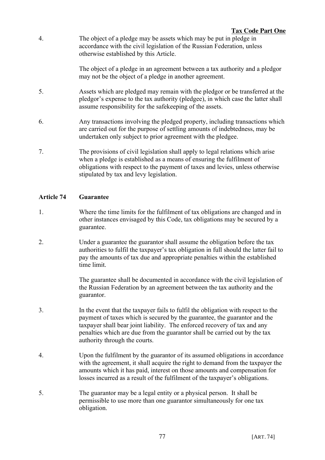4. The object of a pledge may be assets which may be put in pledge in accordance with the civil legislation of the Russian Federation, unless otherwise established by this Article.

> The object of a pledge in an agreement between a tax authority and a pledgor may not be the object of a pledge in another agreement.

- 5. Assets which are pledged may remain with the pledgor or be transferred at the pledgor's expense to the tax authority (pledgee), in which case the latter shall assume responsibility for the safekeeping of the assets.
- 6. Any transactions involving the pledged property, including transactions which are carried out for the purpose of settling amounts of indebtedness, may be undertaken only subject to prior agreement with the pledgee.
- 7. The provisions of civil legislation shall apply to legal relations which arise when a pledge is established as a means of ensuring the fulfilment of obligations with respect to the payment of taxes and levies, unless otherwise stipulated by tax and levy legislation.

# **Article 74 Guarantee**

- 1. Where the time limits for the fulfilment of tax obligations are changed and in other instances envisaged by this Code, tax obligations may be secured by a guarantee.
- 2. Under a guarantee the guarantor shall assume the obligation before the tax authorities to fulfil the taxpayer's tax obligation in full should the latter fail to pay the amounts of tax due and appropriate penalties within the established time limit.

The guarantee shall be documented in accordance with the civil legislation of the Russian Federation by an agreement between the tax authority and the guarantor.

- 3. In the event that the taxpayer fails to fulfil the obligation with respect to the payment of taxes which is secured by the guarantee, the guarantor and the taxpayer shall bear joint liability. The enforced recovery of tax and any penalties which are due from the guarantor shall be carried out by the tax authority through the courts.
- 4. Upon the fulfilment by the guarantor of its assumed obligations in accordance with the agreement, it shall acquire the right to demand from the taxpayer the amounts which it has paid, interest on those amounts and compensation for losses incurred as a result of the fulfilment of the taxpayer's obligations.
- 5. The guarantor may be a legal entity or a physical person. It shall be permissible to use more than one guarantor simultaneously for one tax obligation.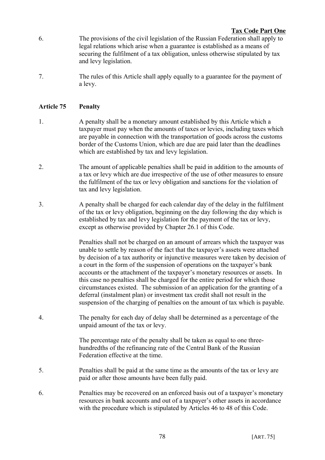- 6. The provisions of the civil legislation of the Russian Federation shall apply to legal relations which arise when a guarantee is established as a means of securing the fulfilment of a tax obligation, unless otherwise stipulated by tax and levy legislation.
- 7. The rules of this Article shall apply equally to a guarantee for the payment of a levy.

## **Article 75 Penalty**

- 1. A penalty shall be a monetary amount established by this Article which a taxpayer must pay when the amounts of taxes or levies, including taxes which are payable in connection with the transportation of goods across the customs border of the Customs Union, which are due are paid later than the deadlines which are established by tax and levy legislation.
- 2. The amount of applicable penalties shall be paid in addition to the amounts of a tax or levy which are due irrespective of the use of other measures to ensure the fulfilment of the tax or levy obligation and sanctions for the violation of tax and levy legislation.
- 3. A penalty shall be charged for each calendar day of the delay in the fulfilment of the tax or levy obligation, beginning on the day following the day which is established by tax and levy legislation for the payment of the tax or levy, except as otherwise provided by Chapter 26.1 of this Code.

Penalties shall not be charged on an amount of arrears which the taxpayer was unable to settle by reason of the fact that the taxpayer's assets were attached by decision of a tax authority or injunctive measures were taken by decision of a court in the form of the suspension of operations on the taxpayer's bank accounts or the attachment of the taxpayer's monetary resources or assets. In this case no penalties shall be charged for the entire period for which those circumstances existed. The submission of an application for the granting of a deferral (instalment plan) or investment tax credit shall not result in the suspension of the charging of penalties on the amount of tax which is payable.

4. The penalty for each day of delay shall be determined as a percentage of the unpaid amount of the tax or levy.

> The percentage rate of the penalty shall be taken as equal to one threehundredths of the refinancing rate of the Central Bank of the Russian Federation effective at the time.

- 5. Penalties shall be paid at the same time as the amounts of the tax or levy are paid or after those amounts have been fully paid.
- 6. Penalties may be recovered on an enforced basis out of a taxpayer's monetary resources in bank accounts and out of a taxpayer's other assets in accordance with the procedure which is stipulated by Articles 46 to 48 of this Code.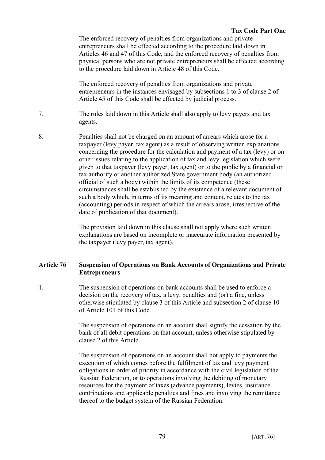The enforced recovery of penalties from organizations and private entrepreneurs shall be effected according to the procedure laid down in Articles 46 and 47 of this Code, and the enforced recovery of penalties from physical persons who are not private entrepreneurs shall be effected according to the procedure laid down in Article 48 of this Code.

The enforced recovery of penalties from organizations and private entrepreneurs in the instances envisaged by subsections 1 to 3 of clause 2 of Article 45 of this Code shall be effected by judicial process.

- 7. The rules laid down in this Article shall also apply to levy payers and tax agents.
- 8. Penalties shall not be charged on an amount of arrears which arose for a taxpayer (levy payer, tax agent) as a result of observing written explanations concerning the procedure for the calculation and payment of a tax (levy) or on other issues relating to the application of tax and levy legislation which were given to that taxpayer (levy payer, tax agent) or to the public by a financial or tax authority or another authorized State government body (an authorized official of such a body) within the limits of its competence (these circumstances shall be established by the existence of a relevant document of such a body which, in terms of its meaning and content, relates to the tax (accounting) periods in respect of which the arrears arose, irrespective of the date of publication of that document).

The provision laid down in this clause shall not apply where such written explanations are based on incomplete or inaccurate information presented by the taxpayer (levy payer, tax agent).

# **Article 76 Suspension of Operations on Bank Accounts of Organizations and Private Entrepreneurs**

1. The suspension of operations on bank accounts shall be used to enforce a decision on the recovery of tax, a levy, penalties and (or) a fine, unless otherwise stipulated by clause 3 of this Article and subsection 2 of clause 10 of Article 101 of this Code.

> The suspension of operations on an account shall signify the cessation by the bank of all debit operations on that account, unless otherwise stipulated by clause 2 of this Article.

> The suspension of operations on an account shall not apply to payments the execution of which comes before the fulfilment of tax and levy payment obligations in order of priority in accordance with the civil legislation of the Russian Federation, or to operations involving the debiting of monetary resources for the payment of taxes (advance payments), levies, insurance contributions and applicable penalties and fines and involving the remittance thereof to the budget system of the Russian Federation.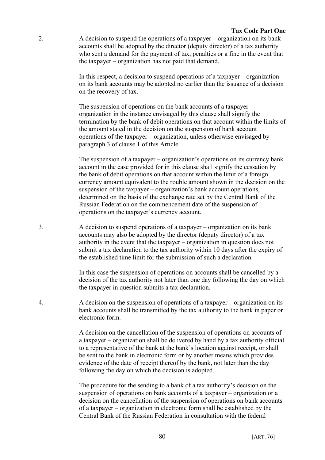2. A decision to suspend the operations of a taxpayer – organization on its bank accounts shall be adopted by the director (deputy director) of a tax authority who sent a demand for the payment of tax, penalties or a fine in the event that the taxpayer – organization has not paid that demand.

> In this respect, a decision to suspend operations of a taxpayer – organization on its bank accounts may be adopted no earlier than the issuance of a decision on the recovery of tax.

> The suspension of operations on the bank accounts of a taxpayer – organization in the instance envisaged by this clause shall signify the termination by the bank of debit operations on that account within the limits of the amount stated in the decision on the suspension of bank account operations of the taxpayer – organization, unless otherwise envisaged by paragraph 3 of clause 1 of this Article.

> The suspension of a taxpayer – organization's operations on its currency bank account in the case provided for in this clause shall signify the cessation by the bank of debit operations on that account within the limit of a foreign currency amount equivalent to the rouble amount shown in the decision on the suspension of the taxpayer – organization's bank account operations, determined on the basis of the exchange rate set by the Central Bank of the Russian Federation on the commencement date of the suspension of operations on the taxpayer's currency account.

3. A decision to suspend operations of a taxpayer – organization on its bank accounts may also be adopted by the director (deputy director) of a tax authority in the event that the taxpayer – organization in question does not submit a tax declaration to the tax authority within 10 days after the expiry of the established time limit for the submission of such a declaration.

> In this case the suspension of operations on accounts shall be cancelled by a decision of the tax authority not later than one day following the day on which the taxpayer in question submits a tax declaration.

4. A decision on the suspension of operations of a taxpayer – organization on its bank accounts shall be transmitted by the tax authority to the bank in paper or electronic form.

> A decision on the cancellation of the suspension of operations on accounts of a taxpayer – organization shall be delivered by hand by a tax authority official to a representative of the bank at the bank's location against receipt, or shall be sent to the bank in electronic form or by another means which provides evidence of the date of receipt thereof by the bank, not later than the day following the day on which the decision is adopted.

> The procedure for the sending to a bank of a tax authority's decision on the suspension of operations on bank accounts of a taxpayer – organization or a decision on the cancellation of the suspension of operations on bank accounts of a taxpayer – organization in electronic form shall be established by the Central Bank of the Russian Federation in consultation with the federal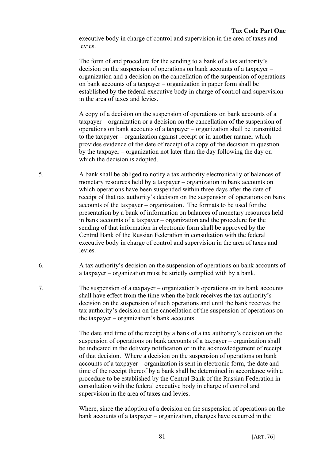executive body in charge of control and supervision in the area of taxes and **levies** 

The form of and procedure for the sending to a bank of a tax authority's decision on the suspension of operations on bank accounts of a taxpayer – organization and a decision on the cancellation of the suspension of operations on bank accounts of a taxpayer – organization in paper form shall be established by the federal executive body in charge of control and supervision in the area of taxes and levies.

A copy of a decision on the suspension of operations on bank accounts of a taxpayer – organization or a decision on the cancellation of the suspension of operations on bank accounts of a taxpayer – organization shall be transmitted to the taxpayer – organization against receipt or in another manner which provides evidence of the date of receipt of a copy of the decision in question by the taxpayer – organization not later than the day following the day on which the decision is adopted.

- 5. A bank shall be obliged to notify a tax authority electronically of balances of monetary resources held by a taxpayer – organization in bank accounts on which operations have been suspended within three days after the date of receipt of that tax authority's decision on the suspension of operations on bank accounts of the taxpayer – organization. The formats to be used for the presentation by a bank of information on balances of monetary resources held in bank accounts of a taxpayer – organization and the procedure for the sending of that information in electronic form shall be approved by the Central Bank of the Russian Federation in consultation with the federal executive body in charge of control and supervision in the area of taxes and levies.
- 6. A tax authority's decision on the suspension of operations on bank accounts of a taxpayer – organization must be strictly complied with by a bank.
- 7. The suspension of a taxpayer organization's operations on its bank accounts shall have effect from the time when the bank receives the tax authority's decision on the suspension of such operations and until the bank receives the tax authority's decision on the cancellation of the suspension of operations on the taxpayer – organization's bank accounts.

The date and time of the receipt by a bank of a tax authority's decision on the suspension of operations on bank accounts of a taxpayer – organization shall be indicated in the delivery notification or in the acknowledgement of receipt of that decision. Where a decision on the suspension of operations on bank accounts of a taxpayer – organization is sent in electronic form, the date and time of the receipt thereof by a bank shall be determined in accordance with a procedure to be established by the Central Bank of the Russian Federation in consultation with the federal executive body in charge of control and supervision in the area of taxes and levies.

Where, since the adoption of a decision on the suspension of operations on the bank accounts of a taxpayer – organization, changes have occurred in the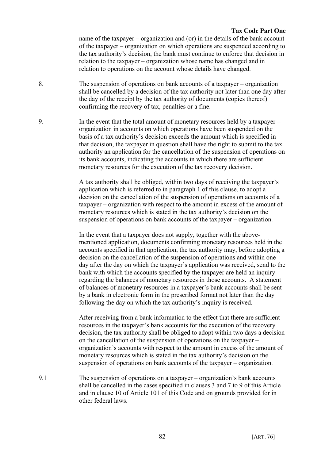name of the taxpayer – organization and (or) in the details of the bank account of the taxpayer – organization on which operations are suspended according to the tax authority's decision, the bank must continue to enforce that decision in relation to the taxpayer – organization whose name has changed and in relation to operations on the account whose details have changed.

- 8. The suspension of operations on bank accounts of a taxpayer organization shall be cancelled by a decision of the tax authority not later than one day after the day of the receipt by the tax authority of documents (copies thereof) confirming the recovery of tax, penalties or a fine.
- 9. In the event that the total amount of monetary resources held by a taxpayer organization in accounts on which operations have been suspended on the basis of a tax authority's decision exceeds the amount which is specified in that decision, the taxpayer in question shall have the right to submit to the tax authority an application for the cancellation of the suspension of operations on its bank accounts, indicating the accounts in which there are sufficient monetary resources for the execution of the tax recovery decision.

A tax authority shall be obliged, within two days of receiving the taxpayer's application which is referred to in paragraph 1 of this clause, to adopt a decision on the cancellation of the suspension of operations on accounts of a taxpayer – organization with respect to the amount in excess of the amount of monetary resources which is stated in the tax authority's decision on the suspension of operations on bank accounts of the taxpayer – organization.

In the event that a taxpayer does not supply, together with the abovementioned application, documents confirming monetary resources held in the accounts specified in that application, the tax authority may, before adopting a decision on the cancellation of the suspension of operations and within one day after the day on which the taxpayer's application was received, send to the bank with which the accounts specified by the taxpayer are held an inquiry regarding the balances of monetary resources in those accounts. A statement of balances of monetary resources in a taxpayer's bank accounts shall be sent by a bank in electronic form in the prescribed format not later than the day following the day on which the tax authority's inquiry is received.

After receiving from a bank information to the effect that there are sufficient resources in the taxpayer's bank accounts for the execution of the recovery decision, the tax authority shall be obliged to adopt within two days a decision on the cancellation of the suspension of operations on the taxpayer – organization's accounts with respect to the amount in excess of the amount of monetary resources which is stated in the tax authority's decision on the suspension of operations on bank accounts of the taxpayer – organization.

9.1 The suspension of operations on a taxpayer – organization's bank accounts shall be cancelled in the cases specified in clauses 3 and 7 to 9 of this Article and in clause 10 of Article 101 of this Code and on grounds provided for in other federal laws.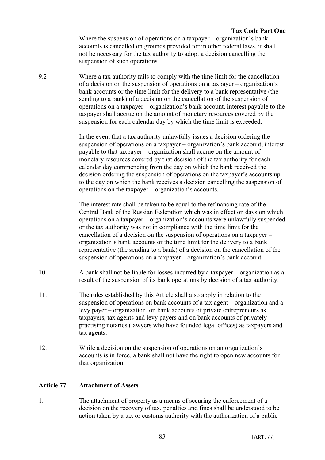Where the suspension of operations on a taxpayer – organization's bank accounts is cancelled on grounds provided for in other federal laws, it shall not be necessary for the tax authority to adopt a decision cancelling the suspension of such operations.

9.2 Where a tax authority fails to comply with the time limit for the cancellation of a decision on the suspension of operations on a taxpayer – organization's bank accounts or the time limit for the delivery to a bank representative (the sending to a bank) of a decision on the cancellation of the suspension of operations on a taxpayer – organization's bank account, interest payable to the taxpayer shall accrue on the amount of monetary resources covered by the suspension for each calendar day by which the time limit is exceeded.

> In the event that a tax authority unlawfully issues a decision ordering the suspension of operations on a taxpayer – organization's bank account, interest payable to that taxpayer – organization shall accrue on the amount of monetary resources covered by that decision of the tax authority for each calendar day commencing from the day on which the bank received the decision ordering the suspension of operations on the taxpayer's accounts up to the day on which the bank receives a decision cancelling the suspension of operations on the taxpayer – organization's accounts.

> The interest rate shall be taken to be equal to the refinancing rate of the Central Bank of the Russian Federation which was in effect on days on which operations on a taxpayer – organization's accounts were unlawfully suspended or the tax authority was not in compliance with the time limit for the cancellation of a decision on the suspension of operations on a taxpayer – organization's bank accounts or the time limit for the delivery to a bank representative (the sending to a bank) of a decision on the cancellation of the suspension of operations on a taxpayer – organization's bank account.

- 10. A bank shall not be liable for losses incurred by a taxpayer organization as a result of the suspension of its bank operations by decision of a tax authority.
- 11. The rules established by this Article shall also apply in relation to the suspension of operations on bank accounts of a tax agent – organization and a levy payer – organization, on bank accounts of private entrepreneurs as taxpayers, tax agents and levy payers and on bank accounts of privately practising notaries (lawyers who have founded legal offices) as taxpayers and tax agents.
- 12. While a decision on the suspension of operations on an organization's accounts is in force, a bank shall not have the right to open new accounts for that organization.

### **Article 77 Attachment of Assets**

1. The attachment of property as a means of securing the enforcement of a decision on the recovery of tax, penalties and fines shall be understood to be action taken by a tax or customs authority with the authorization of a public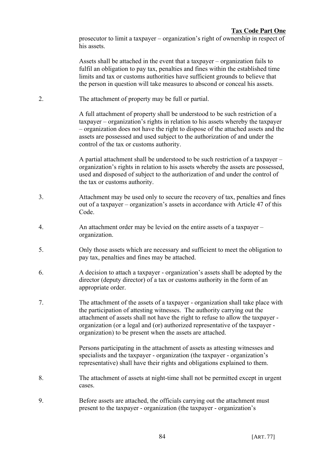prosecutor to limit a taxpayer – organization's right of ownership in respect of his assets.

Assets shall be attached in the event that a taxpayer – organization fails to fulfil an obligation to pay tax, penalties and fines within the established time limits and tax or customs authorities have sufficient grounds to believe that the person in question will take measures to abscond or conceal his assets.

2. The attachment of property may be full or partial.

A full attachment of property shall be understood to be such restriction of a taxpayer – organization's rights in relation to his assets whereby the taxpayer – organization does not have the right to dispose of the attached assets and the assets are possessed and used subject to the authorization of and under the control of the tax or customs authority.

A partial attachment shall be understood to be such restriction of a taxpayer – organization's rights in relation to his assets whereby the assets are possessed, used and disposed of subject to the authorization of and under the control of the tax or customs authority.

- 3. Attachment may be used only to secure the recovery of tax, penalties and fines out of a taxpayer – organization's assets in accordance with Article 47 of this Code.
- 4. An attachment order may be levied on the entire assets of a taxpayer organization.
- 5. Only those assets which are necessary and sufficient to meet the obligation to pay tax, penalties and fines may be attached.
- 6. A decision to attach a taxpayer organization's assets shall be adopted by the director (deputy director) of a tax or customs authority in the form of an appropriate order.
- 7. The attachment of the assets of a taxpayer organization shall take place with the participation of attesting witnesses. The authority carrying out the attachment of assets shall not have the right to refuse to allow the taxpayer organization (or a legal and (or) authorized representative of the taxpayer organization) to be present when the assets are attached.

Persons participating in the attachment of assets as attesting witnesses and specialists and the taxpayer - organization (the taxpayer - organization's representative) shall have their rights and obligations explained to them.

- 8. The attachment of assets at night-time shall not be permitted except in urgent cases.
- 9. Before assets are attached, the officials carrying out the attachment must present to the taxpayer - organization (the taxpayer - organization's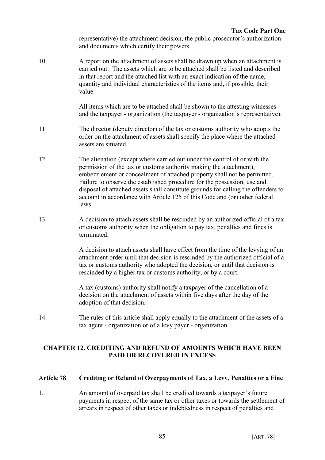representative) the attachment decision, the public prosecutor's authorization and documents which certify their powers.

10. A report on the attachment of assets shall be drawn up when an attachment is carried out. The assets which are to be attached shall be listed and described in that report and the attached list with an exact indication of the name, quantity and individual characteristics of the items and, if possible, their value.

> All items which are to be attached shall be shown to the attesting witnesses and the taxpayer - organization (the taxpayer - organization's representative).

- 11. The director (deputy director) of the tax or customs authority who adopts the order on the attachment of assets shall specify the place where the attached assets are situated.
- 12. The alienation (except where carried out under the control of or with the permission of the tax or customs authority making the attachment), embezzlement or concealment of attached property shall not be permitted. Failure to observe the established procedure for the possession, use and disposal of attached assets shall constitute grounds for calling the offenders to account in accordance with Article 125 of this Code and (or) other federal laws.
- 13. A decision to attach assets shall be rescinded by an authorized official of a tax or customs authority when the obligation to pay tax, penalties and fines is terminated.

A decision to attach assets shall have effect from the time of the levying of an attachment order until that decision is rescinded by the authorized official of a tax or customs authority who adopted the decision, or until that decision is rescinded by a higher tax or customs authority, or by a court.

A tax (customs) authority shall notify a taxpayer of the cancellation of a decision on the attachment of assets within five days after the day of the adoption of that decision.

14. The rules of this article shall apply equally to the attachment of the assets of a tax agent - organization or of a levy payer - organization.

# **CHAPTER 12. CREDITING AND REFUND OF AMOUNTS WHICH HAVE BEEN PAID OR RECOVERED IN EXCESS**

# **Article 78 Crediting or Refund of Overpayments of Tax, a Levy, Penalties or a Fine**

1. An amount of overpaid tax shall be credited towards a taxpayer's future payments in respect of the same tax or other taxes or towards the settlement of arrears in respect of other taxes or indebtedness in respect of penalties and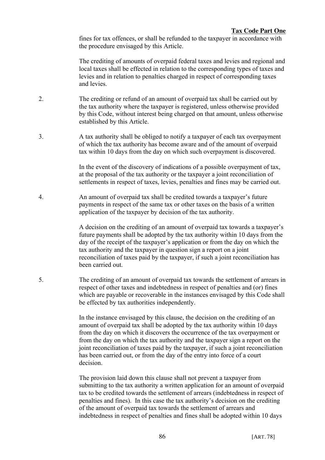fines for tax offences, or shall be refunded to the taxpayer in accordance with the procedure envisaged by this Article.

The crediting of amounts of overpaid federal taxes and levies and regional and local taxes shall be effected in relation to the corresponding types of taxes and levies and in relation to penalties charged in respect of corresponding taxes and levies.

- 2. The crediting or refund of an amount of overpaid tax shall be carried out by the tax authority where the taxpayer is registered, unless otherwise provided by this Code, without interest being charged on that amount, unless otherwise established by this Article.
- 3. A tax authority shall be obliged to notify a taxpayer of each tax overpayment of which the tax authority has become aware and of the amount of overpaid tax within 10 days from the day on which such overpayment is discovered.

In the event of the discovery of indications of a possible overpayment of tax, at the proposal of the tax authority or the taxpayer a joint reconciliation of settlements in respect of taxes, levies, penalties and fines may be carried out.

4. An amount of overpaid tax shall be credited towards a taxpayer's future payments in respect of the same tax or other taxes on the basis of a written application of the taxpayer by decision of the tax authority.

> A decision on the crediting of an amount of overpaid tax towards a taxpayer's future payments shall be adopted by the tax authority within 10 days from the day of the receipt of the taxpayer's application or from the day on which the tax authority and the taxpayer in question sign a report on a joint reconciliation of taxes paid by the taxpayer, if such a joint reconciliation has been carried out.

5. The crediting of an amount of overpaid tax towards the settlement of arrears in respect of other taxes and indebtedness in respect of penalties and (or) fines which are payable or recoverable in the instances envisaged by this Code shall be effected by tax authorities independently.

> In the instance envisaged by this clause, the decision on the crediting of an amount of overpaid tax shall be adopted by the tax authority within 10 days from the day on which it discovers the occurrence of the tax overpayment or from the day on which the tax authority and the taxpayer sign a report on the joint reconciliation of taxes paid by the taxpayer, if such a joint reconciliation has been carried out, or from the day of the entry into force of a court decision.

> The provision laid down this clause shall not prevent a taxpayer from submitting to the tax authority a written application for an amount of overpaid tax to be credited towards the settlement of arrears (indebtedness in respect of penalties and fines). In this case the tax authority's decision on the crediting of the amount of overpaid tax towards the settlement of arrears and indebtedness in respect of penalties and fines shall be adopted within 10 days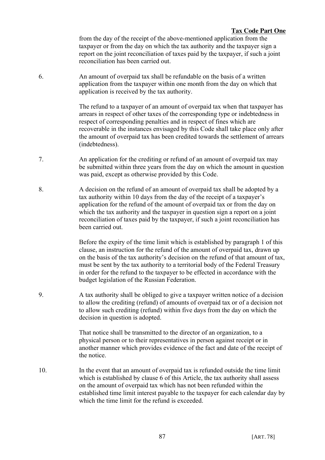from the day of the receipt of the above-mentioned application from the taxpayer or from the day on which the tax authority and the taxpayer sign a report on the joint reconciliation of taxes paid by the taxpayer, if such a joint reconciliation has been carried out.

6. An amount of overpaid tax shall be refundable on the basis of a written application from the taxpayer within one month from the day on which that application is received by the tax authority.

> The refund to a taxpayer of an amount of overpaid tax when that taxpayer has arrears in respect of other taxes of the corresponding type or indebtedness in respect of corresponding penalties and in respect of fines which are recoverable in the instances envisaged by this Code shall take place only after the amount of overpaid tax has been credited towards the settlement of arrears (indebtedness).

- 7. An application for the crediting or refund of an amount of overpaid tax may be submitted within three years from the day on which the amount in question was paid, except as otherwise provided by this Code.
- 8. A decision on the refund of an amount of overpaid tax shall be adopted by a tax authority within 10 days from the day of the receipt of a taxpayer's application for the refund of the amount of overpaid tax or from the day on which the tax authority and the taxpayer in question sign a report on a joint reconciliation of taxes paid by the taxpayer, if such a joint reconciliation has been carried out.

Before the expiry of the time limit which is established by paragraph 1 of this clause, an instruction for the refund of the amount of overpaid tax, drawn up on the basis of the tax authority's decision on the refund of that amount of tax, must be sent by the tax authority to a territorial body of the Federal Treasury in order for the refund to the taxpayer to be effected in accordance with the budget legislation of the Russian Federation.

9. A tax authority shall be obliged to give a taxpayer written notice of a decision to allow the crediting (refund) of amounts of overpaid tax or of a decision not to allow such crediting (refund) within five days from the day on which the decision in question is adopted.

> That notice shall be transmitted to the director of an organization, to a physical person or to their representatives in person against receipt or in another manner which provides evidence of the fact and date of the receipt of the notice.

10. In the event that an amount of overpaid tax is refunded outside the time limit which is established by clause 6 of this Article, the tax authority shall assess on the amount of overpaid tax which has not been refunded within the established time limit interest payable to the taxpayer for each calendar day by which the time limit for the refund is exceeded.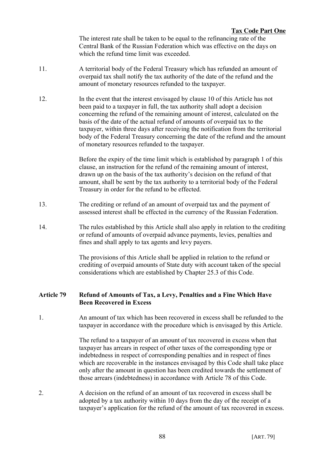The interest rate shall be taken to be equal to the refinancing rate of the Central Bank of the Russian Federation which was effective on the days on which the refund time limit was exceeded.

- 11. A territorial body of the Federal Treasury which has refunded an amount of overpaid tax shall notify the tax authority of the date of the refund and the amount of monetary resources refunded to the taxpayer.
- 12. In the event that the interest envisaged by clause 10 of this Article has not been paid to a taxpayer in full, the tax authority shall adopt a decision concerning the refund of the remaining amount of interest, calculated on the basis of the date of the actual refund of amounts of overpaid tax to the taxpayer, within three days after receiving the notification from the territorial body of the Federal Treasury concerning the date of the refund and the amount of monetary resources refunded to the taxpayer.

Before the expiry of the time limit which is established by paragraph 1 of this clause, an instruction for the refund of the remaining amount of interest, drawn up on the basis of the tax authority's decision on the refund of that amount, shall be sent by the tax authority to a territorial body of the Federal Treasury in order for the refund to be effected.

- 13. The crediting or refund of an amount of overpaid tax and the payment of assessed interest shall be effected in the currency of the Russian Federation.
- 14. The rules established by this Article shall also apply in relation to the crediting or refund of amounts of overpaid advance payments, levies, penalties and fines and shall apply to tax agents and levy payers.

The provisions of this Article shall be applied in relation to the refund or crediting of overpaid amounts of State duty with account taken of the special considerations which are established by Chapter 25.3 of this Code.

# **Article 79 Refund of Amounts of Tax, a Levy, Penalties and a Fine Which Have Been Recovered in Excess**

1. An amount of tax which has been recovered in excess shall be refunded to the taxpayer in accordance with the procedure which is envisaged by this Article.

> The refund to a taxpayer of an amount of tax recovered in excess when that taxpayer has arrears in respect of other taxes of the corresponding type or indebtedness in respect of corresponding penalties and in respect of fines which are recoverable in the instances envisaged by this Code shall take place only after the amount in question has been credited towards the settlement of those arrears (indebtedness) in accordance with Article 78 of this Code.

2. A decision on the refund of an amount of tax recovered in excess shall be adopted by a tax authority within 10 days from the day of the receipt of a taxpayer's application for the refund of the amount of tax recovered in excess.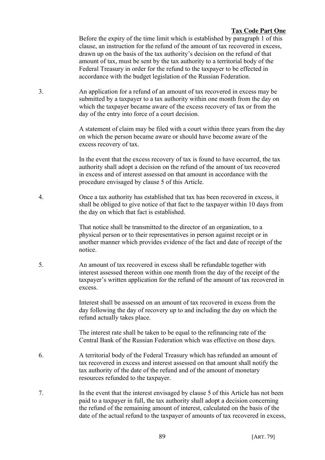Before the expiry of the time limit which is established by paragraph 1 of this clause, an instruction for the refund of the amount of tax recovered in excess, drawn up on the basis of the tax authority's decision on the refund of that amount of tax, must be sent by the tax authority to a territorial body of the Federal Treasury in order for the refund to the taxpayer to be effected in accordance with the budget legislation of the Russian Federation.

3. An application for a refund of an amount of tax recovered in excess may be submitted by a taxpayer to a tax authority within one month from the day on which the taxpayer became aware of the excess recovery of tax or from the day of the entry into force of a court decision.

> A statement of claim may be filed with a court within three years from the day on which the person became aware or should have become aware of the excess recovery of tax.

In the event that the excess recovery of tax is found to have occurred, the tax authority shall adopt a decision on the refund of the amount of tax recovered in excess and of interest assessed on that amount in accordance with the procedure envisaged by clause 5 of this Article.

4. Once a tax authority has established that tax has been recovered in excess, it shall be obliged to give notice of that fact to the taxpayer within 10 days from the day on which that fact is established.

> That notice shall be transmitted to the director of an organization, to a physical person or to their representatives in person against receipt or in another manner which provides evidence of the fact and date of receipt of the notice.

5. An amount of tax recovered in excess shall be refundable together with interest assessed thereon within one month from the day of the receipt of the taxpayer's written application for the refund of the amount of tax recovered in excess.

> Interest shall be assessed on an amount of tax recovered in excess from the day following the day of recovery up to and including the day on which the refund actually takes place.

> The interest rate shall be taken to be equal to the refinancing rate of the Central Bank of the Russian Federation which was effective on those days.

- 6. A territorial body of the Federal Treasury which has refunded an amount of tax recovered in excess and interest assessed on that amount shall notify the tax authority of the date of the refund and of the amount of monetary resources refunded to the taxpayer.
- 7. In the event that the interest envisaged by clause 5 of this Article has not been paid to a taxpayer in full, the tax authority shall adopt a decision concerning the refund of the remaining amount of interest, calculated on the basis of the date of the actual refund to the taxpayer of amounts of tax recovered in excess,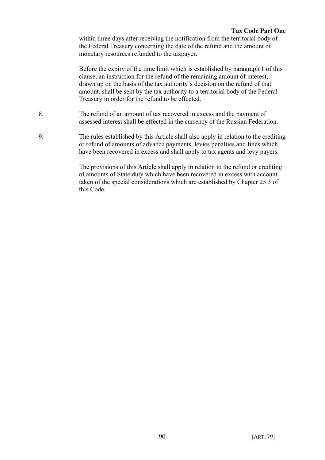within three days after receiving the notification from the territorial body of the Federal Treasury concerning the date of the refund and the amount of monetary resources refunded to the taxpayer.

Before the expiry of the time limit which is established by paragraph 1 of this clause, an instruction for the refund of the remaining amount of interest, drawn up on the basis of the tax authority's decision on the refund of that amount, shall be sent by the tax authority to a territorial body of the Federal Treasury in order for the refund to be effected.

- 8. The refund of an amount of tax recovered in excess and the payment of assessed interest shall be effected in the currency of the Russian Federation.
- 9. The rules established by this Article shall also apply in relation to the crediting or refund of amounts of advance payments, levies penalties and fines which have been recovered in excess and shall apply to tax agents and levy payers.

The provisions of this Article shall apply in relation to the refund or crediting of amounts of State duty which have been recovered in excess with account taken of the special considerations which are established by Chapter 25.3 of this Code.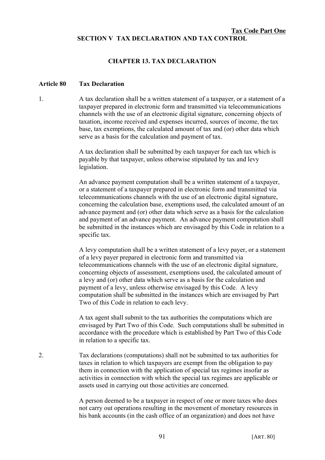## **Tax Code Part One SECTION V TAX DECLARATION AND TAX CONTROL**

### **CHAPTER 13. TAX DECLARATION**

### **Article 80 Tax Declaration**

1. A tax declaration shall be a written statement of a taxpayer, or a statement of a taxpayer prepared in electronic form and transmitted via telecommunications channels with the use of an electronic digital signature, concerning objects of taxation, income received and expenses incurred, sources of income, the tax base, tax exemptions, the calculated amount of tax and (or) other data which serve as a basis for the calculation and payment of tax.

> A tax declaration shall be submitted by each taxpayer for each tax which is payable by that taxpayer, unless otherwise stipulated by tax and levy legislation.

An advance payment computation shall be a written statement of a taxpayer, or a statement of a taxpayer prepared in electronic form and transmitted via telecommunications channels with the use of an electronic digital signature, concerning the calculation base, exemptions used, the calculated amount of an advance payment and (or) other data which serve as a basis for the calculation and payment of an advance payment. An advance payment computation shall be submitted in the instances which are envisaged by this Code in relation to a specific tax.

A levy computation shall be a written statement of a levy payer, or a statement of a levy payer prepared in electronic form and transmitted via telecommunications channels with the use of an electronic digital signature, concerning objects of assessment, exemptions used, the calculated amount of a levy and (or) other data which serve as a basis for the calculation and payment of a levy, unless otherwise envisaged by this Code. A levy computation shall be submitted in the instances which are envisaged by Part Two of this Code in relation to each levy.

A tax agent shall submit to the tax authorities the computations which are envisaged by Part Two of this Code. Such computations shall be submitted in accordance with the procedure which is established by Part Two of this Code in relation to a specific tax.

2. Tax declarations (computations) shall not be submitted to tax authorities for taxes in relation to which taxpayers are exempt from the obligation to pay them in connection with the application of special tax regimes insofar as activities in connection with which the special tax regimes are applicable or assets used in carrying out those activities are concerned.

> A person deemed to be a taxpayer in respect of one or more taxes who does not carry out operations resulting in the movement of monetary resources in his bank accounts (in the cash office of an organization) and does not have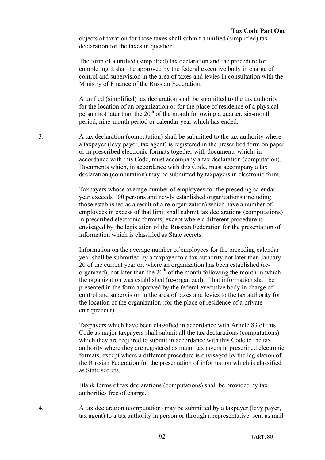objects of taxation for those taxes shall submit a unified (simplified) tax declaration for the taxes in question.

The form of a unified (simplified) tax declaration and the procedure for completing it shall be approved by the federal executive body in charge of control and supervision in the area of taxes and levies in consultation with the Ministry of Finance of the Russian Federation.

A unified (simplified) tax declaration shall be submitted to the tax authority for the location of an organization or for the place of residence of a physical person not later than the  $20<sup>th</sup>$  of the month following a quarter, six-month period, nine-month period or calendar year which has ended.

3. A tax declaration (computation) shall be submitted to the tax authority where a taxpayer (levy payer, tax agent) is registered in the prescribed form on paper or in prescribed electronic formats together with documents which, in accordance with this Code, must accompany a tax declaration (computation). Documents which, in accordance with this Code, must accompany a tax declaration (computation) may be submitted by taxpayers in electronic form.

> Taxpayers whose average number of employees for the preceding calendar year exceeds 100 persons and newly established organizations (including those established as a result of a re-organization) which have a number of employees in excess of that limit shall submit tax declarations (computations) in prescribed electronic formats, except where a different procedure is envisaged by the legislation of the Russian Federation for the presentation of information which is classified as State secrets.

Information on the average number of employees for the preceding calendar year shall be submitted by a taxpayer to a tax authority not later than January 20 of the current year or, where an organization has been established (reorganized), not later than the  $20<sup>th</sup>$  of the month following the month in which the organization was established (re-organized). That information shall be presented in the form approved by the federal executive body in charge of control and supervision in the area of taxes and levies to the tax authority for the location of the organization (for the place of residence of a private entrepreneur).

Taxpayers which have been classified in accordance with Article 83 of this Code as major taxpayers shall submit all the tax declarations (computations) which they are required to submit in accordance with this Code to the tax authority where they are registered as major taxpayers in prescribed electronic formats, except where a different procedure is envisaged by the legislation of the Russian Federation for the presentation of information which is classified as State secrets.

Blank forms of tax declarations (computations) shall be provided by tax authorities free of charge.

4. A tax declaration (computation) may be submitted by a taxpayer (levy payer, tax agent) to a tax authority in person or through a representative, sent as mail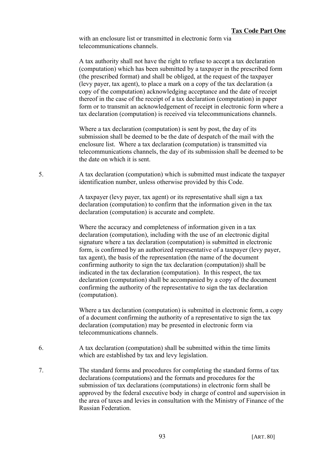with an enclosure list or transmitted in electronic form via telecommunications channels.

A tax authority shall not have the right to refuse to accept a tax declaration (computation) which has been submitted by a taxpayer in the prescribed form (the prescribed format) and shall be obliged, at the request of the taxpayer (levy payer, tax agent), to place a mark on a copy of the tax declaration (a copy of the computation) acknowledging acceptance and the date of receipt thereof in the case of the receipt of a tax declaration (computation) in paper form or to transmit an acknowledgement of receipt in electronic form where a tax declaration (computation) is received via telecommunications channels.

Where a tax declaration (computation) is sent by post, the day of its submission shall be deemed to be the date of despatch of the mail with the enclosure list. Where a tax declaration (computation) is transmitted via telecommunications channels, the day of its submission shall be deemed to be the date on which it is sent.

5. A tax declaration (computation) which is submitted must indicate the taxpayer identification number, unless otherwise provided by this Code.

> A taxpayer (levy payer, tax agent) or its representative shall sign a tax declaration (computation) to confirm that the information given in the tax declaration (computation) is accurate and complete.

Where the accuracy and completeness of information given in a tax declaration (computation), including with the use of an electronic digital signature where a tax declaration (computation) is submitted in electronic form, is confirmed by an authorized representative of a taxpayer (levy payer, tax agent), the basis of the representation (the name of the document confirming authority to sign the tax declaration (computation)) shall be indicated in the tax declaration (computation). In this respect, the tax declaration (computation) shall be accompanied by a copy of the document confirming the authority of the representative to sign the tax declaration (computation).

Where a tax declaration (computation) is submitted in electronic form, a copy of a document confirming the authority of a representative to sign the tax declaration (computation) may be presented in electronic form via telecommunications channels.

- 6. A tax declaration (computation) shall be submitted within the time limits which are established by tax and levy legislation.
- 7. The standard forms and procedures for completing the standard forms of tax declarations (computations) and the formats and procedures for the submission of tax declarations (computations) in electronic form shall be approved by the federal executive body in charge of control and supervision in the area of taxes and levies in consultation with the Ministry of Finance of the Russian Federation.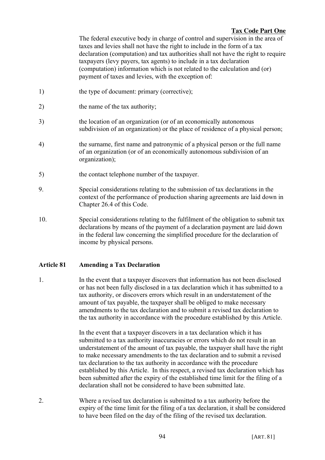The federal executive body in charge of control and supervision in the area of taxes and levies shall not have the right to include in the form of a tax declaration (computation) and tax authorities shall not have the right to require taxpayers (levy payers, tax agents) to include in a tax declaration (computation) information which is not related to the calculation and (or) payment of taxes and levies, with the exception of:

- 1) the type of document: primary (corrective);
- 2) the name of the tax authority;
- 3) the location of an organization (or of an economically autonomous subdivision of an organization) or the place of residence of a physical person;
- 4) the surname, first name and patronymic of a physical person or the full name of an organization (or of an economically autonomous subdivision of an organization);
- 5) the contact telephone number of the taxpayer.
- 9. Special considerations relating to the submission of tax declarations in the context of the performance of production sharing agreements are laid down in Chapter 26.4 of this Code.
- 10. Special considerations relating to the fulfilment of the obligation to submit tax declarations by means of the payment of a declaration payment are laid down in the federal law concerning the simplified procedure for the declaration of income by physical persons.

# **Article 81 Amending a Tax Declaration**

1. In the event that a taxpayer discovers that information has not been disclosed or has not been fully disclosed in a tax declaration which it has submitted to a tax authority, or discovers errors which result in an understatement of the amount of tax payable, the taxpayer shall be obliged to make necessary amendments to the tax declaration and to submit a revised tax declaration to the tax authority in accordance with the procedure established by this Article.

> In the event that a taxpayer discovers in a tax declaration which it has submitted to a tax authority inaccuracies or errors which do not result in an understatement of the amount of tax payable, the taxpayer shall have the right to make necessary amendments to the tax declaration and to submit a revised tax declaration to the tax authority in accordance with the procedure established by this Article. In this respect, a revised tax declaration which has been submitted after the expiry of the established time limit for the filing of a declaration shall not be considered to have been submitted late.

2. Where a revised tax declaration is submitted to a tax authority before the expiry of the time limit for the filing of a tax declaration, it shall be considered to have been filed on the day of the filing of the revised tax declaration.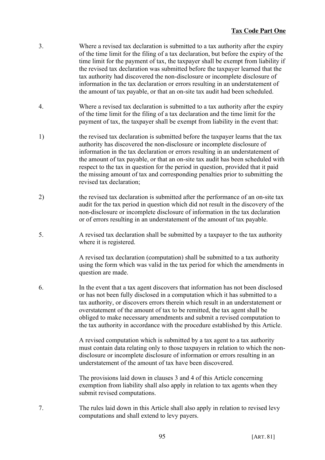- 3. Where a revised tax declaration is submitted to a tax authority after the expiry of the time limit for the filing of a tax declaration, but before the expiry of the time limit for the payment of tax, the taxpayer shall be exempt from liability if the revised tax declaration was submitted before the taxpayer learned that the tax authority had discovered the non-disclosure or incomplete disclosure of information in the tax declaration or errors resulting in an understatement of the amount of tax payable, or that an on-site tax audit had been scheduled.
- 4. Where a revised tax declaration is submitted to a tax authority after the expiry of the time limit for the filing of a tax declaration and the time limit for the payment of tax, the taxpayer shall be exempt from liability in the event that:
- 1) the revised tax declaration is submitted before the taxpayer learns that the tax authority has discovered the non-disclosure or incomplete disclosure of information in the tax declaration or errors resulting in an understatement of the amount of tax payable, or that an on-site tax audit has been scheduled with respect to the tax in question for the period in question, provided that it paid the missing amount of tax and corresponding penalties prior to submitting the revised tax declaration;
- 2) the revised tax declaration is submitted after the performance of an on-site tax audit for the tax period in question which did not result in the discovery of the non-disclosure or incomplete disclosure of information in the tax declaration or of errors resulting in an understatement of the amount of tax payable.
- 5. A revised tax declaration shall be submitted by a taxpayer to the tax authority where it is registered.

A revised tax declaration (computation) shall be submitted to a tax authority using the form which was valid in the tax period for which the amendments in question are made.

6. In the event that a tax agent discovers that information has not been disclosed or has not been fully disclosed in a computation which it has submitted to a tax authority, or discovers errors therein which result in an understatement or overstatement of the amount of tax to be remitted, the tax agent shall be obliged to make necessary amendments and submit a revised computation to the tax authority in accordance with the procedure established by this Article.

> A revised computation which is submitted by a tax agent to a tax authority must contain data relating only to those taxpayers in relation to which the nondisclosure or incomplete disclosure of information or errors resulting in an understatement of the amount of tax have been discovered.

The provisions laid down in clauses 3 and 4 of this Article concerning exemption from liability shall also apply in relation to tax agents when they submit revised computations.

7. The rules laid down in this Article shall also apply in relation to revised levy computations and shall extend to levy payers.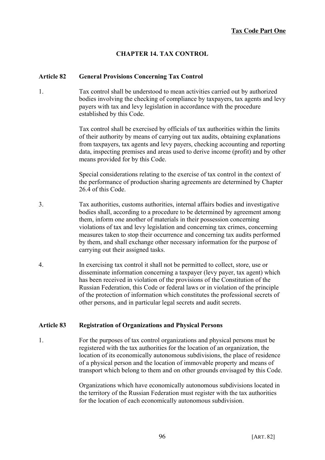# **CHAPTER 14. TAX CONTROL**

#### **Article 82 General Provisions Concerning Tax Control**

1. Tax control shall be understood to mean activities carried out by authorized bodies involving the checking of compliance by taxpayers, tax agents and levy payers with tax and levy legislation in accordance with the procedure established by this Code.

> Tax control shall be exercised by officials of tax authorities within the limits of their authority by means of carrying out tax audits, obtaining explanations from taxpayers, tax agents and levy payers, checking accounting and reporting data, inspecting premises and areas used to derive income (profit) and by other means provided for by this Code.

> Special considerations relating to the exercise of tax control in the context of the performance of production sharing agreements are determined by Chapter 26.4 of this Code.

- 3. Tax authorities, customs authorities, internal affairs bodies and investigative bodies shall, according to a procedure to be determined by agreement among them, inform one another of materials in their possession concerning violations of tax and levy legislation and concerning tax crimes, concerning measures taken to stop their occurrence and concerning tax audits performed by them, and shall exchange other necessary information for the purpose of carrying out their assigned tasks.
- 4. In exercising tax control it shall not be permitted to collect, store, use or disseminate information concerning a taxpayer (levy payer, tax agent) which has been received in violation of the provisions of the Constitution of the Russian Federation, this Code or federal laws or in violation of the principle of the protection of information which constitutes the professional secrets of other persons, and in particular legal secrets and audit secrets.

#### **Article 83 Registration of Organizations and Physical Persons**

1. For the purposes of tax control organizations and physical persons must be registered with the tax authorities for the location of an organization, the location of its economically autonomous subdivisions, the place of residence of a physical person and the location of immovable property and means of transport which belong to them and on other grounds envisaged by this Code.

> Organizations which have economically autonomous subdivisions located in the territory of the Russian Federation must register with the tax authorities for the location of each economically autonomous subdivision.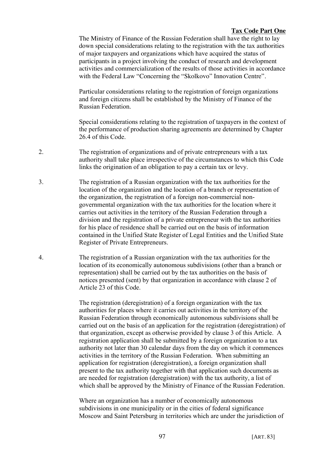The Ministry of Finance of the Russian Federation shall have the right to lay down special considerations relating to the registration with the tax authorities of major taxpayers and organizations which have acquired the status of participants in a project involving the conduct of research and development activities and commercialization of the results of those activities in accordance with the Federal Law "Concerning the "Skolkovo" Innovation Centre".

Particular considerations relating to the registration of foreign organizations and foreign citizens shall be established by the Ministry of Finance of the Russian Federation.

Special considerations relating to the registration of taxpayers in the context of the performance of production sharing agreements are determined by Chapter 26.4 of this Code.

- 2. The registration of organizations and of private entrepreneurs with a tax authority shall take place irrespective of the circumstances to which this Code links the origination of an obligation to pay a certain tax or levy.
- 3. The registration of a Russian organization with the tax authorities for the location of the organization and the location of a branch or representation of the organization, the registration of a foreign non-commercial nongovernmental organization with the tax authorities for the location where it carries out activities in the territory of the Russian Federation through a division and the registration of a private entrepreneur with the tax authorities for his place of residence shall be carried out on the basis of information contained in the Unified State Register of Legal Entities and the Unified State Register of Private Entrepreneurs.
- 4. The registration of a Russian organization with the tax authorities for the location of its economically autonomous subdivisions (other than a branch or representation) shall be carried out by the tax authorities on the basis of notices presented (sent) by that organization in accordance with clause 2 of Article 23 of this Code.

The registration (deregistration) of a foreign organization with the tax authorities for places where it carries out activities in the territory of the Russian Federation through economically autonomous subdivisions shall be carried out on the basis of an application for the registration (deregistration) of that organization, except as otherwise provided by clause 3 of this Article. A registration application shall be submitted by a foreign organization to a tax authority not later than 30 calendar days from the day on which it commences activities in the territory of the Russian Federation. When submitting an application for registration (deregistration), a foreign organization shall present to the tax authority together with that application such documents as are needed for registration (deregistration) with the tax authority, a list of which shall be approved by the Ministry of Finance of the Russian Federation.

Where an organization has a number of economically autonomous subdivisions in one municipality or in the cities of federal significance Moscow and Saint Petersburg in territories which are under the jurisdiction of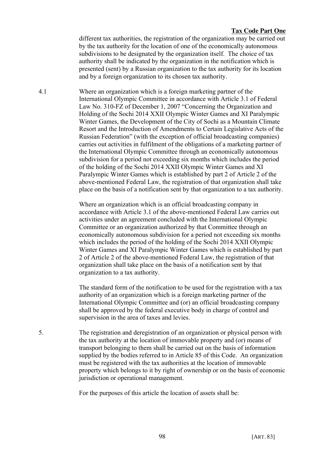different tax authorities, the registration of the organization may be carried out by the tax authority for the location of one of the economically autonomous subdivisions to be designated by the organization itself. The choice of tax authority shall be indicated by the organization in the notification which is presented (sent) by a Russian organization to the tax authority for its location and by a foreign organization to its chosen tax authority.

4.1 Where an organization which is a foreign marketing partner of the International Olympic Committee in accordance with Article 3.1 of Federal Law No. 310-FZ of December 1, 2007 "Concerning the Organization and Holding of the Sochi 2014 XXII Olympic Winter Games and XI Paralympic Winter Games, the Development of the City of Sochi as a Mountain Climate Resort and the Introduction of Amendments to Certain Legislative Acts of the Russian Federation" (with the exception of official broadcasting companies) carries out activities in fulfilment of the obligations of a marketing partner of the International Olympic Committee through an economically autonomous subdivision for a period not exceeding six months which includes the period of the holding of the Sochi 2014 XXII Olympic Winter Games and XI Paralympic Winter Games which is established by part 2 of Article 2 of the above-mentioned Federal Law, the registration of that organization shall take place on the basis of a notification sent by that organization to a tax authority.

> Where an organization which is an official broadcasting company in accordance with Article 3.1 of the above-mentioned Federal Law carries out activities under an agreement concluded with the International Olympic Committee or an organization authorized by that Committee through an economically autonomous subdivision for a period not exceeding six months which includes the period of the holding of the Sochi 2014 XXII Olympic Winter Games and XI Paralympic Winter Games which is established by part 2 of Article 2 of the above-mentioned Federal Law, the registration of that organization shall take place on the basis of a notification sent by that organization to a tax authority.

> The standard form of the notification to be used for the registration with a tax authority of an organization which is a foreign marketing partner of the International Olympic Committee and (or) an official broadcasting company shall be approved by the federal executive body in charge of control and supervision in the area of taxes and levies.

5. The registration and deregistration of an organization or physical person with the tax authority at the location of immovable property and (or) means of transport belonging to them shall be carried out on the basis of information supplied by the bodies referred to in Article 85 of this Code. An organization must be registered with the tax authorities at the location of immovable property which belongs to it by right of ownership or on the basis of economic jurisdiction or operational management.

For the purposes of this article the location of assets shall be: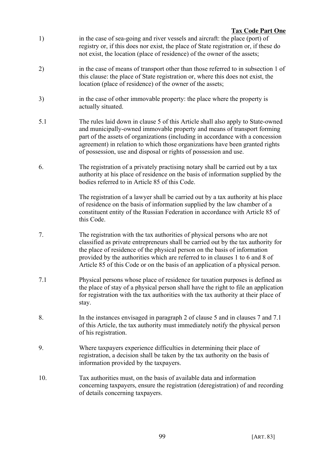- 1) in the case of sea-going and river vessels and aircraft: the place (port) of registry or, if this does nor exist, the place of State registration or, if these do not exist, the location (place of residence) of the owner of the assets;
- 2) in the case of means of transport other than those referred to in subsection 1 of this clause: the place of State registration or, where this does not exist, the location (place of residence) of the owner of the assets;
- 3) in the case of other immovable property: the place where the property is actually situated.
- 5.1 The rules laid down in clause 5 of this Article shall also apply to State-owned and municipally-owned immovable property and means of transport forming part of the assets of organizations (including in accordance with a concession agreement) in relation to which those organizations have been granted rights of possession, use and disposal or rights of possession and use.
- 6. The registration of a privately practising notary shall be carried out by a tax authority at his place of residence on the basis of information supplied by the bodies referred to in Article 85 of this Code.

The registration of a lawyer shall be carried out by a tax authority at his place of residence on the basis of information supplied by the law chamber of a constituent entity of the Russian Federation in accordance with Article 85 of this Code.

- 7. The registration with the tax authorities of physical persons who are not classified as private entrepreneurs shall be carried out by the tax authority for the place of residence of the physical person on the basis of information provided by the authorities which are referred to in clauses 1 to 6 and 8 of Article 85 of this Code or on the basis of an application of a physical person.
- 7.1 Physical persons whose place of residence for taxation purposes is defined as the place of stay of a physical person shall have the right to file an application for registration with the tax authorities with the tax authority at their place of stay.
- 8. In the instances envisaged in paragraph 2 of clause 5 and in clauses 7 and 7.1 of this Article, the tax authority must immediately notify the physical person of his registration.
- 9. Where taxpayers experience difficulties in determining their place of registration, a decision shall be taken by the tax authority on the basis of information provided by the taxpayers.
- 10. Tax authorities must, on the basis of available data and information concerning taxpayers, ensure the registration (deregistration) of and recording of details concerning taxpayers.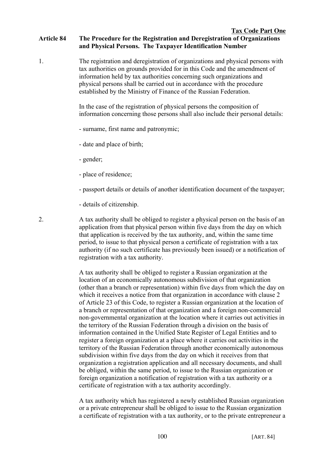1. The registration and deregistration of organizations and physical persons with tax authorities on grounds provided for in this Code and the amendment of information held by tax authorities concerning such organizations and physical persons shall be carried out in accordance with the procedure established by the Ministry of Finance of the Russian Federation.

> In the case of the registration of physical persons the composition of information concerning those persons shall also include their personal details:

- surname, first name and patronymic;
- date and place of birth;
- gender;
- place of residence;
- passport details or details of another identification document of the taxpayer;
- details of citizenship.

2. A tax authority shall be obliged to register a physical person on the basis of an application from that physical person within five days from the day on which that application is received by the tax authority, and, within the same time period, to issue to that physical person a certificate of registration with a tax authority (if no such certificate has previously been issued) or a notification of registration with a tax authority.

> A tax authority shall be obliged to register a Russian organization at the location of an economically autonomous subdivision of that organization (other than a branch or representation) within five days from which the day on which it receives a notice from that organization in accordance with clause 2 of Article 23 of this Code, to register a Russian organization at the location of a branch or representation of that organization and a foreign non-commercial non-governmental organization at the location where it carries out activities in the territory of the Russian Federation through a division on the basis of information contained in the Unified State Register of Legal Entities and to register a foreign organization at a place where it carries out activities in the territory of the Russian Federation through another economically autonomous subdivision within five days from the day on which it receives from that organization a registration application and all necessary documents, and shall be obliged, within the same period, to issue to the Russian organization or foreign organization a notification of registration with a tax authority or a certificate of registration with a tax authority accordingly.

> A tax authority which has registered a newly established Russian organization or a private entrepreneur shall be obliged to issue to the Russian organization a certificate of registration with a tax authority, or to the private entrepreneur a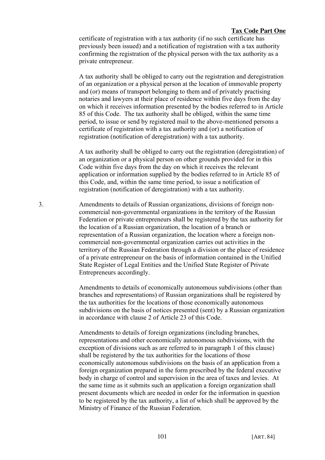certificate of registration with a tax authority (if no such certificate has previously been issued) and a notification of registration with a tax authority confirming the registration of the physical person with the tax authority as a private entrepreneur.

A tax authority shall be obliged to carry out the registration and deregistration of an organization or a physical person at the location of immovable property and (or) means of transport belonging to them and of privately practising notaries and lawyers at their place of residence within five days from the day on which it receives information presented by the bodies referred to in Article 85 of this Code. The tax authority shall be obliged, within the same time period, to issue or send by registered mail to the above-mentioned persons a certificate of registration with a tax authority and (or) a notification of registration (notification of deregistration) with a tax authority.

A tax authority shall be obliged to carry out the registration (deregistration) of an organization or a physical person on other grounds provided for in this Code within five days from the day on which it receives the relevant application or information supplied by the bodies referred to in Article 85 of this Code, and, within the same time period, to issue a notification of registration (notification of deregistration) with a tax authority.

3. Amendments to details of Russian organizations, divisions of foreign noncommercial non-governmental organizations in the territory of the Russian Federation or private entrepreneurs shall be registered by the tax authority for the location of a Russian organization, the location of a branch or representation of a Russian organization, the location where a foreign noncommercial non-governmental organization carries out activities in the territory of the Russian Federation through a division or the place of residence of a private entrepreneur on the basis of information contained in the Unified State Register of Legal Entities and the Unified State Register of Private Entrepreneurs accordingly.

> Amendments to details of economically autonomous subdivisions (other than branches and representations) of Russian organizations shall be registered by the tax authorities for the locations of those economically autonomous subdivisions on the basis of notices presented (sent) by a Russian organization in accordance with clause 2 of Article 23 of this Code.

Amendments to details of foreign organizations (including branches, representations and other economically autonomous subdivisions, with the exception of divisions such as are referred to in paragraph 1 of this clause) shall be registered by the tax authorities for the locations of those economically autonomous subdivisions on the basis of an application from a foreign organization prepared in the form prescribed by the federal executive body in charge of control and supervision in the area of taxes and levies. At the same time as it submits such an application a foreign organization shall present documents which are needed in order for the information in question to be registered by the tax authority, a list of which shall be approved by the Ministry of Finance of the Russian Federation.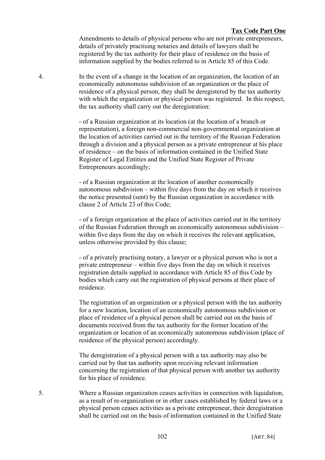Amendments to details of physical persons who are not private entrepreneurs, details of privately practising notaries and details of lawyers shall be registered by the tax authority for their place of residence on the basis of information supplied by the bodies referred to in Article 85 of this Code.

4. In the event of a change in the location of an organization, the location of an economically autonomous subdivision of an organization or the place of residence of a physical person, they shall be deregistered by the tax authority with which the organization or physical person was registered. In this respect, the tax authority shall carry out the deregistration:

> - of a Russian organization at its location (at the location of a branch or representation), a foreign non-commercial non-governmental organization at the location of activities carried out in the territory of the Russian Federation through a division and a physical person as a private entrepreneur at his place of residence – on the basis of information contained in the Unified State Register of Legal Entities and the Unified State Register of Private Entrepreneurs accordingly;

> - of a Russian organization at the location of another economically autonomous subdivision – within five days from the day on which it receives the notice presented (sent) by the Russian organization in accordance with clause 2 of Article 23 of this Code;

- of a foreign organization at the place of activities carried out in the territory of the Russian Federation through an economically autonomous subdivision – within five days from the day on which it receives the relevant application, unless otherwise provided by this clause;

- of a privately practising notary, a lawyer or a physical person who is not a private entrepreneur – within five days from the day on which it receives registration details supplied in accordance with Article 85 of this Code by bodies which carry out the registration of physical persons at their place of residence.

The registration of an organization or a physical person with the tax authority for a new location, location of an economically autonomous subdivision or place of residence of a physical person shall be carried out on the basis of documents received from the tax authority for the former location of the organization or location of an economically autonomous subdivision (place of residence of the physical person) accordingly.

The deregistration of a physical person with a tax authority may also be carried out by that tax authority upon receiving relevant information concerning the registration of that physical person with another tax authority for his place of residence.

5. Where a Russian organization ceases activities in connection with liquidation, as a result of re-organization or in other cases established by federal laws or a physical person ceases activities as a private entrepreneur, their deregistration shall be carried out on the basis of information contained in the Unified State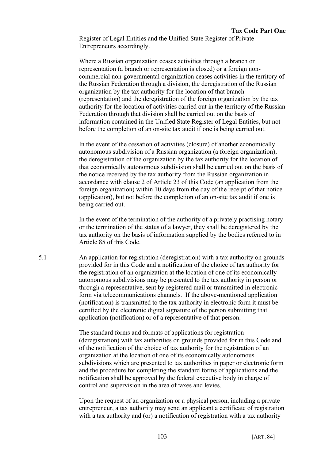Register of Legal Entities and the Unified State Register of Private Entrepreneurs accordingly.

Where a Russian organization ceases activities through a branch or representation (a branch or representation is closed) or a foreign noncommercial non-governmental organization ceases activities in the territory of the Russian Federation through a division, the deregistration of the Russian organization by the tax authority for the location of that branch (representation) and the deregistration of the foreign organization by the tax authority for the location of activities carried out in the territory of the Russian Federation through that division shall be carried out on the basis of information contained in the Unified State Register of Legal Entities, but not before the completion of an on-site tax audit if one is being carried out.

In the event of the cessation of activities (closure) of another economically autonomous subdivision of a Russian organization (a foreign organization), the deregistration of the organization by the tax authority for the location of that economically autonomous subdivision shall be carried out on the basis of the notice received by the tax authority from the Russian organization in accordance with clause 2 of Article 23 of this Code (an application from the foreign organization) within 10 days from the day of the receipt of that notice (application), but not before the completion of an on-site tax audit if one is being carried out.

In the event of the termination of the authority of a privately practising notary or the termination of the status of a lawyer, they shall be deregistered by the tax authority on the basis of information supplied by the bodies referred to in Article 85 of this Code.

5.1 An application for registration (deregistration) with a tax authority on grounds provided for in this Code and a notification of the choice of tax authority for the registration of an organization at the location of one of its economically autonomous subdivisions may be presented to the tax authority in person or through a representative, sent by registered mail or transmitted in electronic form via telecommunications channels. If the above-mentioned application (notification) is transmitted to the tax authority in electronic form it must be certified by the electronic digital signature of the person submitting that application (notification) or of a representative of that person.

> The standard forms and formats of applications for registration (deregistration) with tax authorities on grounds provided for in this Code and of the notification of the choice of tax authority for the registration of an organization at the location of one of its economically autonomous subdivisions which are presented to tax authorities in paper or electronic form and the procedure for completing the standard forms of applications and the notification shall be approved by the federal executive body in charge of control and supervision in the area of taxes and levies.

> Upon the request of an organization or a physical person, including a private entrepreneur, a tax authority may send an applicant a certificate of registration with a tax authority and (or) a notification of registration with a tax authority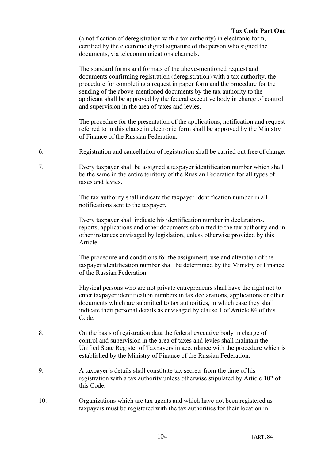(a notification of deregistration with a tax authority) in electronic form, certified by the electronic digital signature of the person who signed the documents, via telecommunications channels.

The standard forms and formats of the above-mentioned request and documents confirming registration (deregistration) with a tax authority, the procedure for completing a request in paper form and the procedure for the sending of the above-mentioned documents by the tax authority to the applicant shall be approved by the federal executive body in charge of control and supervision in the area of taxes and levies.

The procedure for the presentation of the applications, notification and request referred to in this clause in electronic form shall be approved by the Ministry of Finance of the Russian Federation.

- 6. Registration and cancellation of registration shall be carried out free of charge.
- 7. Every taxpayer shall be assigned a taxpayer identification number which shall be the same in the entire territory of the Russian Federation for all types of taxes and levies.

The tax authority shall indicate the taxpayer identification number in all notifications sent to the taxpayer.

Every taxpayer shall indicate his identification number in declarations, reports, applications and other documents submitted to the tax authority and in other instances envisaged by legislation, unless otherwise provided by this Article.

The procedure and conditions for the assignment, use and alteration of the taxpayer identification number shall be determined by the Ministry of Finance of the Russian Federation.

Physical persons who are not private entrepreneurs shall have the right not to enter taxpayer identification numbers in tax declarations, applications or other documents which are submitted to tax authorities, in which case they shall indicate their personal details as envisaged by clause 1 of Article 84 of this Code.

- 8. On the basis of registration data the federal executive body in charge of control and supervision in the area of taxes and levies shall maintain the Unified State Register of Taxpayers in accordance with the procedure which is established by the Ministry of Finance of the Russian Federation.
- 9. A taxpayer's details shall constitute tax secrets from the time of his registration with a tax authority unless otherwise stipulated by Article 102 of this Code.
- 10. Organizations which are tax agents and which have not been registered as taxpayers must be registered with the tax authorities for their location in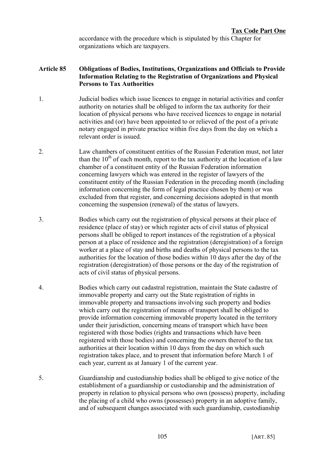accordance with the procedure which is stipulated by this Chapter for organizations which are taxpayers.

# **Article 85 Obligations of Bodies, Institutions, Organizations and Officials to Provide Information Relating to the Registration of Organizations and Physical Persons to Tax Authorities**

- 1. Judicial bodies which issue licences to engage in notarial activities and confer authority on notaries shall be obliged to inform the tax authority for their location of physical persons who have received licences to engage in notarial activities and (or) have been appointed to or relieved of the post of a private notary engaged in private practice within five days from the day on which a relevant order is issued.
- 2. Law chambers of constituent entities of the Russian Federation must, not later than the  $10^{th}$  of each month, report to the tax authority at the location of a law chamber of a constituent entity of the Russian Federation information concerning lawyers which was entered in the register of lawyers of the constituent entity of the Russian Federation in the preceding month (including information concerning the form of legal practice chosen by them) or was excluded from that register, and concerning decisions adopted in that month concerning the suspension (renewal) of the status of lawyers.
- 3. Bodies which carry out the registration of physical persons at their place of residence (place of stay) or which register acts of civil status of physical persons shall be obliged to report instances of the registration of a physical person at a place of residence and the registration (deregistration) of a foreign worker at a place of stay and births and deaths of physical persons to the tax authorities for the location of those bodies within 10 days after the day of the registration (deregistration) of those persons or the day of the registration of acts of civil status of physical persons.
- 4. Bodies which carry out cadastral registration, maintain the State cadastre of immovable property and carry out the State registration of rights in immovable property and transactions involving such property and bodies which carry out the registration of means of transport shall be obliged to provide information concerning immovable property located in the territory under their jurisdiction, concerning means of transport which have been registered with those bodies (rights and transactions which have been registered with those bodies) and concerning the owners thereof to the tax authorities at their location within 10 days from the day on which such registration takes place, and to present that information before March 1 of each year, current as at January 1 of the current year.
- 5. Guardianship and custodianship bodies shall be obliged to give notice of the establishment of a guardianship or custodianship and the administration of property in relation to physical persons who own (possess) property, including the placing of a child who owns (possesses) property in an adoptive family, and of subsequent changes associated with such guardianship, custodianship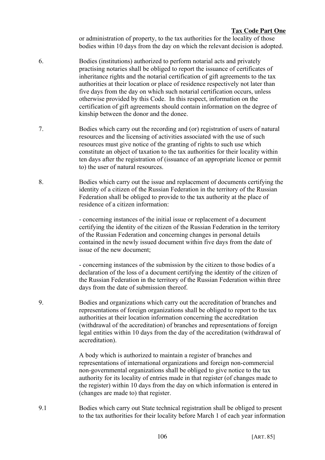or administration of property, to the tax authorities for the locality of those bodies within 10 days from the day on which the relevant decision is adopted.

- 6. Bodies (institutions) authorized to perform notarial acts and privately practising notaries shall be obliged to report the issuance of certificates of inheritance rights and the notarial certification of gift agreements to the tax authorities at their location or place of residence respectively not later than five days from the day on which such notarial certification occurs, unless otherwise provided by this Code. In this respect, information on the certification of gift agreements should contain information on the degree of kinship between the donor and the donee.
- 7. Bodies which carry out the recording and (or) registration of users of natural resources and the licensing of activities associated with the use of such resources must give notice of the granting of rights to such use which constitute an object of taxation to the tax authorities for their locality within ten days after the registration of (issuance of an appropriate licence or permit to) the user of natural resources.
- 8. Bodies which carry out the issue and replacement of documents certifying the identity of a citizen of the Russian Federation in the territory of the Russian Federation shall be obliged to provide to the tax authority at the place of residence of a citizen information:

- concerning instances of the initial issue or replacement of a document certifying the identity of the citizen of the Russian Federation in the territory of the Russian Federation and concerning changes in personal details contained in the newly issued document within five days from the date of issue of the new document;

- concerning instances of the submission by the citizen to those bodies of a declaration of the loss of a document certifying the identity of the citizen of the Russian Federation in the territory of the Russian Federation within three days from the date of submission thereof.

9. Bodies and organizations which carry out the accreditation of branches and representations of foreign organizations shall be obliged to report to the tax authorities at their location information concerning the accreditation (withdrawal of the accreditation) of branches and representations of foreign legal entities within 10 days from the day of the accreditation (withdrawal of accreditation).

> A body which is authorized to maintain a register of branches and representations of international organizations and foreign non-commercial non-governmental organizations shall be obliged to give notice to the tax authority for its locality of entries made in that register (of changes made to the register) within 10 days from the day on which information is entered in (changes are made to) that register.

9.1 Bodies which carry out State technical registration shall be obliged to present to the tax authorities for their locality before March 1 of each year information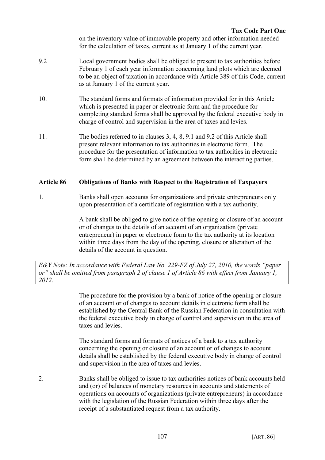on the inventory value of immovable property and other information needed for the calculation of taxes, current as at January 1 of the current year.

- 9.2 Local government bodies shall be obliged to present to tax authorities before February 1 of each year information concerning land plots which are deemed to be an object of taxation in accordance with Article 389 of this Code, current as at January 1 of the current year.
- 10. The standard forms and formats of information provided for in this Article which is presented in paper or electronic form and the procedure for completing standard forms shall be approved by the federal executive body in charge of control and supervision in the area of taxes and levies.
- 11. The bodies referred to in clauses 3, 4, 8, 9.1 and 9.2 of this Article shall present relevant information to tax authorities in electronic form. The procedure for the presentation of information to tax authorities in electronic form shall be determined by an agreement between the interacting parties.

# **Article 86 Obligations of Banks with Respect to the Registration of Taxpayers**

1. Banks shall open accounts for organizations and private entrepreneurs only upon presentation of a certificate of registration with a tax authority.

> A bank shall be obliged to give notice of the opening or closure of an account or of changes to the details of an account of an organization (private entrepreneur) in paper or electronic form to the tax authority at its location within three days from the day of the opening, closure or alteration of the details of the account in question.

*E&Y Note: In accordance with Federal Law No. 229-FZ of July 27, 2010, the words "paper or" shall be omitted from paragraph 2 of clause 1 of Article 86 with effect from January 1, 2012.*

> The procedure for the provision by a bank of notice of the opening or closure of an account or of changes to account details in electronic form shall be established by the Central Bank of the Russian Federation in consultation with the federal executive body in charge of control and supervision in the area of taxes and levies.

The standard forms and formats of notices of a bank to a tax authority concerning the opening or closure of an account or of changes to account details shall be established by the federal executive body in charge of control and supervision in the area of taxes and levies.

2. Banks shall be obliged to issue to tax authorities notices of bank accounts held and (or) of balances of monetary resources in accounts and statements of operations on accounts of organizations (private entrepreneurs) in accordance with the legislation of the Russian Federation within three days after the receipt of a substantiated request from a tax authority.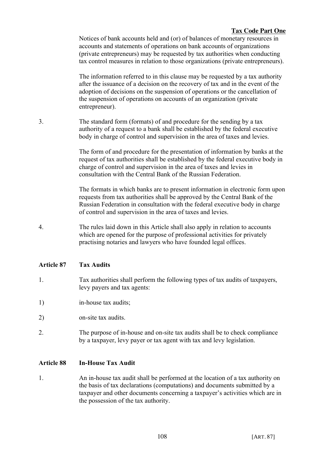Notices of bank accounts held and (or) of balances of monetary resources in accounts and statements of operations on bank accounts of organizations (private entrepreneurs) may be requested by tax authorities when conducting tax control measures in relation to those organizations (private entrepreneurs).

The information referred to in this clause may be requested by a tax authority after the issuance of a decision on the recovery of tax and in the event of the adoption of decisions on the suspension of operations or the cancellation of the suspension of operations on accounts of an organization (private entrepreneur).

3. The standard form (formats) of and procedure for the sending by a tax authority of a request to a bank shall be established by the federal executive body in charge of control and supervision in the area of taxes and levies.

> The form of and procedure for the presentation of information by banks at the request of tax authorities shall be established by the federal executive body in charge of control and supervision in the area of taxes and levies in consultation with the Central Bank of the Russian Federation.

> The formats in which banks are to present information in electronic form upon requests from tax authorities shall be approved by the Central Bank of the Russian Federation in consultation with the federal executive body in charge of control and supervision in the area of taxes and levies.

4. The rules laid down in this Article shall also apply in relation to accounts which are opened for the purpose of professional activities for privately practising notaries and lawyers who have founded legal offices.

# **Article 87 Tax Audits**

- 1. Tax authorities shall perform the following types of tax audits of taxpayers, levy payers and tax agents:
- 1) in-house tax audits;
- 2) on-site tax audits.
- 2. The purpose of in-house and on-site tax audits shall be to check compliance by a taxpayer, levy payer or tax agent with tax and levy legislation.

# **Article 88 In-House Tax Audit**

1. An in-house tax audit shall be performed at the location of a tax authority on the basis of tax declarations (computations) and documents submitted by a taxpayer and other documents concerning a taxpayer's activities which are in the possession of the tax authority.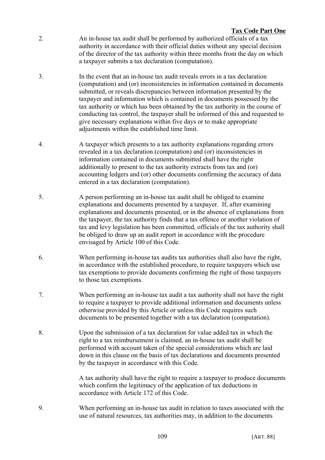- 2. An in-house tax audit shall be performed by authorized officials of a tax authority in accordance with their official duties without any special decision of the director of the tax authority within three months from the day on which a taxpayer submits a tax declaration (computation).
- 3. In the event that an in-house tax audit reveals errors in a tax declaration (computation) and (or) inconsistencies in information contained in documents submitted, or reveals discrepancies between information presented by the taxpayer and information which is contained in documents possessed by the tax authority or which has been obtained by the tax authority in the course of conducting tax control, the taxpayer shall be informed of this and requested to give necessary explanations within five days or to make appropriate adjustments within the established time limit.
- 4. A taxpayer which presents to a tax authority explanations regarding errors revealed in a tax declaration (computation) and (or) inconsistencies in information contained in documents submitted shall have the right additionally to present to the tax authority extracts from tax and (or) accounting ledgers and (or) other documents confirming the accuracy of data entered in a tax declaration (computation).
- 5. A person performing an in-house tax audit shall be obliged to examine explanations and documents presented by a taxpayer. If, after examining explanations and documents presented, or in the absence of explanations from the taxpayer, the tax authority finds that a tax offence or another violation of tax and levy legislation has been committed, officials of the tax authority shall be obliged to draw up an audit report in accordance with the procedure envisaged by Article 100 of this Code.
- 6. When performing in-house tax audits tax authorities shall also have the right, in accordance with the established procedure, to require taxpayers which use tax exemptions to provide documents confirming the right of those taxpayers to those tax exemptions.
- 7. When performing an in-house tax audit a tax authority shall not have the right to require a taxpayer to provide additional information and documents unless otherwise provided by this Article or unless this Code requires such documents to be presented together with a tax declaration (computation).
- 8. Upon the submission of a tax declaration for value added tax in which the right to a tax reimbursement is claimed, an in-house tax audit shall be performed with account taken of the special considerations which are laid down in this clause on the basis of tax declarations and documents presented by the taxpayer in accordance with this Code.

A tax authority shall have the right to require a taxpayer to produce documents which confirm the legitimacy of the application of tax deductions in accordance with Article 172 of this Code.

9. When performing an in-house tax audit in relation to taxes associated with the use of natural resources, tax authorities may, in addition to the documents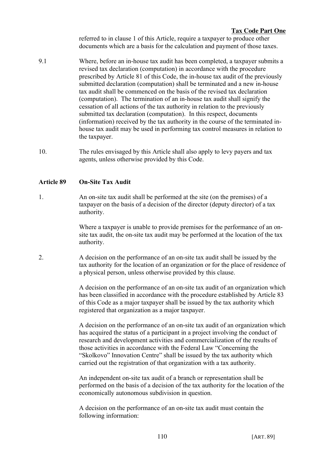referred to in clause 1 of this Article, require a taxpayer to produce other documents which are a basis for the calculation and payment of those taxes.

- 9.1 Where, before an in-house tax audit has been completed, a taxpayer submits a revised tax declaration (computation) in accordance with the procedure prescribed by Article 81 of this Code, the in-house tax audit of the previously submitted declaration (computation) shall be terminated and a new in-house tax audit shall be commenced on the basis of the revised tax declaration (computation). The termination of an in-house tax audit shall signify the cessation of all actions of the tax authority in relation to the previously submitted tax declaration (computation). In this respect, documents (information) received by the tax authority in the course of the terminated inhouse tax audit may be used in performing tax control measures in relation to the taxpayer.
- 10. The rules envisaged by this Article shall also apply to levy payers and tax agents, unless otherwise provided by this Code.

# **Article 89 On-Site Tax Audit**

1. An on-site tax audit shall be performed at the site (on the premises) of a taxpayer on the basis of a decision of the director (deputy director) of a tax authority.

> Where a taxpayer is unable to provide premises for the performance of an onsite tax audit, the on-site tax audit may be performed at the location of the tax authority.

2. A decision on the performance of an on-site tax audit shall be issued by the tax authority for the location of an organization or for the place of residence of a physical person, unless otherwise provided by this clause.

> A decision on the performance of an on-site tax audit of an organization which has been classified in accordance with the procedure established by Article 83 of this Code as a major taxpayer shall be issued by the tax authority which registered that organization as a major taxpayer.

> A decision on the performance of an on-site tax audit of an organization which has acquired the status of a participant in a project involving the conduct of research and development activities and commercialization of the results of those activities in accordance with the Federal Law "Concerning the "Skolkovo" Innovation Centre" shall be issued by the tax authority which carried out the registration of that organization with a tax authority.

> An independent on-site tax audit of a branch or representation shall be performed on the basis of a decision of the tax authority for the location of the economically autonomous subdivision in question.

A decision on the performance of an on-site tax audit must contain the following information: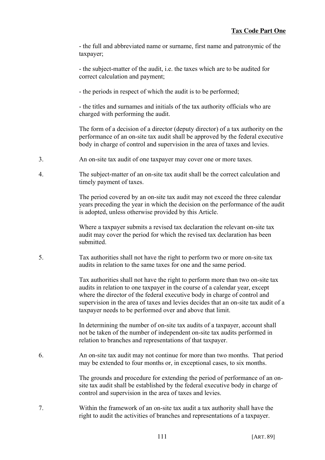- the full and abbreviated name or surname, first name and patronymic of the taxpayer;

- the subject-matter of the audit, i.e. the taxes which are to be audited for correct calculation and payment;

- the periods in respect of which the audit is to be performed;

- the titles and surnames and initials of the tax authority officials who are charged with performing the audit.

The form of a decision of a director (deputy director) of a tax authority on the performance of an on-site tax audit shall be approved by the federal executive body in charge of control and supervision in the area of taxes and levies.

- 3. An on-site tax audit of one taxpayer may cover one or more taxes.
- 4. The subject-matter of an on-site tax audit shall be the correct calculation and timely payment of taxes.

The period covered by an on-site tax audit may not exceed the three calendar years preceding the year in which the decision on the performance of the audit is adopted, unless otherwise provided by this Article.

Where a taxpayer submits a revised tax declaration the relevant on-site tax audit may cover the period for which the revised tax declaration has been submitted.

5. Tax authorities shall not have the right to perform two or more on-site tax audits in relation to the same taxes for one and the same period.

> Tax authorities shall not have the right to perform more than two on-site tax audits in relation to one taxpayer in the course of a calendar year, except where the director of the federal executive body in charge of control and supervision in the area of taxes and levies decides that an on-site tax audit of a taxpayer needs to be performed over and above that limit.

In determining the number of on-site tax audits of a taxpayer, account shall not be taken of the number of independent on-site tax audits performed in relation to branches and representations of that taxpayer.

6. An on-site tax audit may not continue for more than two months. That period may be extended to four months or, in exceptional cases, to six months.

> The grounds and procedure for extending the period of performance of an onsite tax audit shall be established by the federal executive body in charge of control and supervision in the area of taxes and levies.

7. Within the framework of an on-site tax audit a tax authority shall have the right to audit the activities of branches and representations of a taxpayer.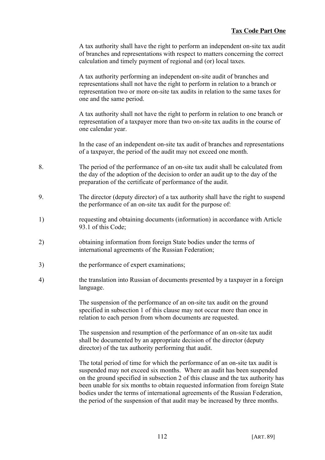A tax authority shall have the right to perform an independent on-site tax audit of branches and representations with respect to matters concerning the correct calculation and timely payment of regional and (or) local taxes.

A tax authority performing an independent on-site audit of branches and representations shall not have the right to perform in relation to a branch or representation two or more on-site tax audits in relation to the same taxes for one and the same period.

A tax authority shall not have the right to perform in relation to one branch or representation of a taxpayer more than two on-site tax audits in the course of one calendar year.

In the case of an independent on-site tax audit of branches and representations of a taxpayer, the period of the audit may not exceed one month.

- 8. The period of the performance of an on-site tax audit shall be calculated from the day of the adoption of the decision to order an audit up to the day of the preparation of the certificate of performance of the audit.
- 9. The director (deputy director) of a tax authority shall have the right to suspend the performance of an on-site tax audit for the purpose of:
- 1) requesting and obtaining documents (information) in accordance with Article 93.1 of this Code;
- 2) obtaining information from foreign State bodies under the terms of international agreements of the Russian Federation;
- 3) the performance of expert examinations;
- 4) the translation into Russian of documents presented by a taxpayer in a foreign language.

The suspension of the performance of an on-site tax audit on the ground specified in subsection 1 of this clause may not occur more than once in relation to each person from whom documents are requested.

The suspension and resumption of the performance of an on-site tax audit shall be documented by an appropriate decision of the director (deputy director) of the tax authority performing that audit.

The total period of time for which the performance of an on-site tax audit is suspended may not exceed six months. Where an audit has been suspended on the ground specified in subsection 2 of this clause and the tax authority has been unable for six months to obtain requested information from foreign State bodies under the terms of international agreements of the Russian Federation, the period of the suspension of that audit may be increased by three months.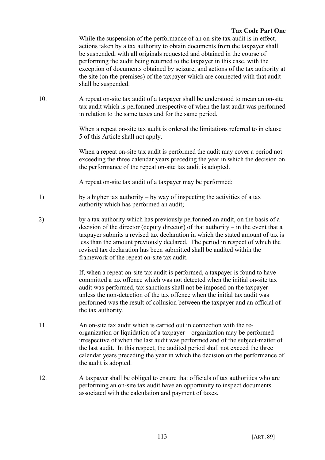While the suspension of the performance of an on-site tax audit is in effect, actions taken by a tax authority to obtain documents from the taxpayer shall be suspended, with all originals requested and obtained in the course of performing the audit being returned to the taxpayer in this case, with the exception of documents obtained by seizure, and actions of the tax authority at the site (on the premises) of the taxpayer which are connected with that audit shall be suspended.

10. A repeat on-site tax audit of a taxpayer shall be understood to mean an on-site tax audit which is performed irrespective of when the last audit was performed in relation to the same taxes and for the same period.

> When a repeat on-site tax audit is ordered the limitations referred to in clause 5 of this Article shall not apply.

When a repeat on-site tax audit is performed the audit may cover a period not exceeding the three calendar years preceding the year in which the decision on the performance of the repeat on-site tax audit is adopted.

A repeat on-site tax audit of a taxpayer may be performed:

- 1) by a higher tax authority by way of inspecting the activities of a tax authority which has performed an audit;
- 2) by a tax authority which has previously performed an audit, on the basis of a decision of the director (deputy director) of that authority – in the event that a taxpayer submits a revised tax declaration in which the stated amount of tax is less than the amount previously declared. The period in respect of which the revised tax declaration has been submitted shall be audited within the framework of the repeat on-site tax audit.

If, when a repeat on-site tax audit is performed, a taxpayer is found to have committed a tax offence which was not detected when the initial on-site tax audit was performed, tax sanctions shall not be imposed on the taxpayer unless the non-detection of the tax offence when the initial tax audit was performed was the result of collusion between the taxpayer and an official of the tax authority.

- 11. An on-site tax audit which is carried out in connection with the reorganization or liquidation of a taxpayer – organization may be performed irrespective of when the last audit was performed and of the subject-matter of the last audit. In this respect, the audited period shall not exceed the three calendar years preceding the year in which the decision on the performance of the audit is adopted.
- 12. A taxpayer shall be obliged to ensure that officials of tax authorities who are performing an on-site tax audit have an opportunity to inspect documents associated with the calculation and payment of taxes.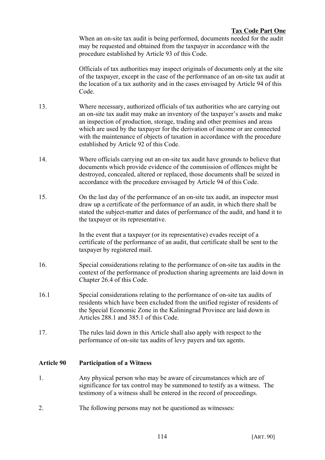When an on-site tax audit is being performed, documents needed for the audit may be requested and obtained from the taxpayer in accordance with the procedure established by Article 93 of this Code.

Officials of tax authorities may inspect originals of documents only at the site of the taxpayer, except in the case of the performance of an on-site tax audit at the location of a tax authority and in the cases envisaged by Article 94 of this Code.

- 13. Where necessary, authorized officials of tax authorities who are carrying out an on-site tax audit may make an inventory of the taxpayer's assets and make an inspection of production, storage, trading and other premises and areas which are used by the taxpayer for the derivation of income or are connected with the maintenance of objects of taxation in accordance with the procedure established by Article 92 of this Code.
- 14. Where officials carrying out an on-site tax audit have grounds to believe that documents which provide evidence of the commission of offences might be destroyed, concealed, altered or replaced, those documents shall be seized in accordance with the procedure envisaged by Article 94 of this Code.
- 15. On the last day of the performance of an on-site tax audit, an inspector must draw up a certificate of the performance of an audit, in which there shall be stated the subject-matter and dates of performance of the audit, and hand it to the taxpayer or its representative.

In the event that a taxpayer (or its representative) evades receipt of a certificate of the performance of an audit, that certificate shall be sent to the taxpayer by registered mail.

- 16. Special considerations relating to the performance of on-site tax audits in the context of the performance of production sharing agreements are laid down in Chapter 26.4 of this Code.
- 16.1 Special considerations relating to the performance of on-site tax audits of residents which have been excluded from the unified register of residents of the Special Economic Zone in the Kaliningrad Province are laid down in Articles 288.1 and 385.1 of this Code.
- 17. The rules laid down in this Article shall also apply with respect to the performance of on-site tax audits of levy payers and tax agents.

# **Article 90 Participation of a Witness**

- 1. Any physical person who may be aware of circumstances which are of significance for tax control may be summoned to testify as a witness. The testimony of a witness shall be entered in the record of proceedings.
- 2. The following persons may not be questioned as witnesses: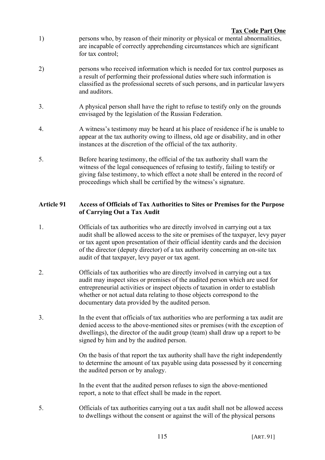- 1) persons who, by reason of their minority or physical or mental abnormalities, are incapable of correctly apprehending circumstances which are significant for tax control:
- 2) persons who received information which is needed for tax control purposes as a result of performing their professional duties where such information is classified as the professional secrets of such persons, and in particular lawyers and auditors.
- 3. A physical person shall have the right to refuse to testify only on the grounds envisaged by the legislation of the Russian Federation.
- 4. A witness's testimony may be heard at his place of residence if he is unable to appear at the tax authority owing to illness, old age or disability, and in other instances at the discretion of the official of the tax authority.
- 5. Before hearing testimony, the official of the tax authority shall warn the witness of the legal consequences of refusing to testify, failing to testify or giving false testimony, to which effect a note shall be entered in the record of proceedings which shall be certified by the witness's signature.

# **Article 91 Access of Officials of Tax Authorities to Sites or Premises for the Purpose of Carrying Out a Tax Audit**

- 1. Officials of tax authorities who are directly involved in carrying out a tax audit shall be allowed access to the site or premises of the taxpayer, levy payer or tax agent upon presentation of their official identity cards and the decision of the director (deputy director) of a tax authority concerning an on-site tax audit of that taxpayer, levy payer or tax agent.
- 2. Officials of tax authorities who are directly involved in carrying out a tax audit may inspect sites or premises of the audited person which are used for entrepreneurial activities or inspect objects of taxation in order to establish whether or not actual data relating to those objects correspond to the documentary data provided by the audited person.
- 3. In the event that officials of tax authorities who are performing a tax audit are denied access to the above-mentioned sites or premises (with the exception of dwellings), the director of the audit group (team) shall draw up a report to be signed by him and by the audited person.

On the basis of that report the tax authority shall have the right independently to determine the amount of tax payable using data possessed by it concerning the audited person or by analogy.

In the event that the audited person refuses to sign the above-mentioned report, a note to that effect shall be made in the report.

5. Officials of tax authorities carrying out a tax audit shall not be allowed access to dwellings without the consent or against the will of the physical persons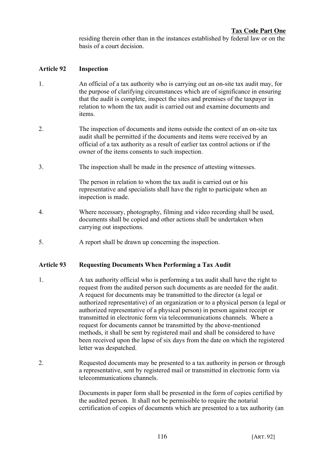residing therein other than in the instances established by federal law or on the basis of a court decision.

# **Article 92 Inspection**

- 1. An official of a tax authority who is carrying out an on-site tax audit may, for the purpose of clarifying circumstances which are of significance in ensuring that the audit is complete, inspect the sites and premises of the taxpayer in relation to whom the tax audit is carried out and examine documents and items.
- 2. The inspection of documents and items outside the context of an on-site tax audit shall be permitted if the documents and items were received by an official of a tax authority as a result of earlier tax control actions or if the owner of the items consents to such inspection.
- 3. The inspection shall be made in the presence of attesting witnesses.

The person in relation to whom the tax audit is carried out or his representative and specialists shall have the right to participate when an inspection is made.

- 4. Where necessary, photography, filming and video recording shall be used, documents shall be copied and other actions shall be undertaken when carrying out inspections.
- 5. A report shall be drawn up concerning the inspection.

# **Article 93 Requesting Documents When Performing a Tax Audit**

- 1. A tax authority official who is performing a tax audit shall have the right to request from the audited person such documents as are needed for the audit. A request for documents may be transmitted to the director (a legal or authorized representative) of an organization or to a physical person (a legal or authorized representative of a physical person) in person against receipt or transmitted in electronic form via telecommunications channels. Where a request for documents cannot be transmitted by the above-mentioned methods, it shall be sent by registered mail and shall be considered to have been received upon the lapse of six days from the date on which the registered letter was despatched.
- 2. Requested documents may be presented to a tax authority in person or through a representative, sent by registered mail or transmitted in electronic form via telecommunications channels.

Documents in paper form shall be presented in the form of copies certified by the audited person. It shall not be permissible to require the notarial certification of copies of documents which are presented to a tax authority (an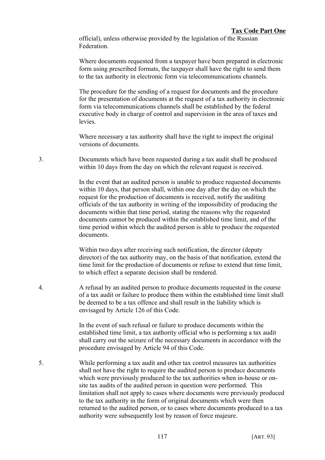official), unless otherwise provided by the legislation of the Russian Federation.

Where documents requested from a taxpayer have been prepared in electronic form using prescribed formats, the taxpayer shall have the right to send them to the tax authority in electronic form via telecommunications channels.

The procedure for the sending of a request for documents and the procedure for the presentation of documents at the request of a tax authority in electronic form via telecommunications channels shall be established by the federal executive body in charge of control and supervision in the area of taxes and **levies** 

Where necessary a tax authority shall have the right to inspect the original versions of documents.

3. Documents which have been requested during a tax audit shall be produced within 10 days from the day on which the relevant request is received.

> In the event that an audited person is unable to produce requested documents within 10 days, that person shall, within one day after the day on which the request for the production of documents is received, notify the auditing officials of the tax authority in writing of the impossibility of producing the documents within that time period, stating the reasons why the requested documents cannot be produced within the established time limit, and of the time period within which the audited person is able to produce the requested documents.

> Within two days after receiving such notification, the director (deputy director) of the tax authority may, on the basis of that notification, extend the time limit for the production of documents or refuse to extend that time limit, to which effect a separate decision shall be rendered.

4. A refusal by an audited person to produce documents requested in the course of a tax audit or failure to produce them within the established time limit shall be deemed to be a tax offence and shall result in the liability which is envisaged by Article 126 of this Code.

> In the event of such refusal or failure to produce documents within the established time limit, a tax authority official who is performing a tax audit shall carry out the seizure of the necessary documents in accordance with the procedure envisaged by Article 94 of this Code.

5. While performing a tax audit and other tax control measures tax authorities shall not have the right to require the audited person to produce documents which were previously produced to the tax authorities when in-house or onsite tax audits of the audited person in question were performed. This limitation shall not apply to cases where documents were previously produced to the tax authority in the form of original documents which were then returned to the audited person, or to cases where documents produced to a tax authority were subsequently lost by reason of force majeure.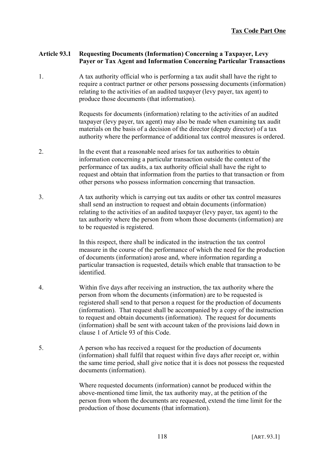# **Article 93.1 Requesting Documents (Information) Concerning a Taxpayer, Levy Payer or Tax Agent and Information Concerning Particular Transactions**

1. A tax authority official who is performing a tax audit shall have the right to require a contract partner or other persons possessing documents (information) relating to the activities of an audited taxpayer (levy payer, tax agent) to produce those documents (that information).

> Requests for documents (information) relating to the activities of an audited taxpayer (levy payer, tax agent) may also be made when examining tax audit materials on the basis of a decision of the director (deputy director) of a tax authority where the performance of additional tax control measures is ordered.

- 2. In the event that a reasonable need arises for tax authorities to obtain information concerning a particular transaction outside the context of the performance of tax audits, a tax authority official shall have the right to request and obtain that information from the parties to that transaction or from other persons who possess information concerning that transaction.
- 3. A tax authority which is carrying out tax audits or other tax control measures shall send an instruction to request and obtain documents (information) relating to the activities of an audited taxpayer (levy payer, tax agent) to the tax authority where the person from whom those documents (information) are to be requested is registered.

In this respect, there shall be indicated in the instruction the tax control measure in the course of the performance of which the need for the production of documents (information) arose and, where information regarding a particular transaction is requested, details which enable that transaction to be identified.

- 4. Within five days after receiving an instruction, the tax authority where the person from whom the documents (information) are to be requested is registered shall send to that person a request for the production of documents (information). That request shall be accompanied by a copy of the instruction to request and obtain documents (information). The request for documents (information) shall be sent with account taken of the provisions laid down in clause 1 of Article 93 of this Code.
- 5. A person who has received a request for the production of documents (information) shall fulfil that request within five days after receipt or, within the same time period, shall give notice that it is does not possess the requested documents (information).

Where requested documents (information) cannot be produced within the above-mentioned time limit, the tax authority may, at the petition of the person from whom the documents are requested, extend the time limit for the production of those documents (that information).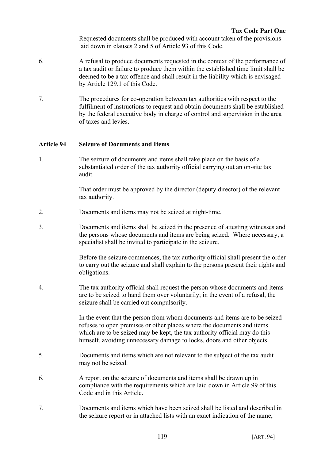Requested documents shall be produced with account taken of the provisions laid down in clauses 2 and 5 of Article 93 of this Code.

- 6. A refusal to produce documents requested in the context of the performance of a tax audit or failure to produce them within the established time limit shall be deemed to be a tax offence and shall result in the liability which is envisaged by Article 129.1 of this Code.
- 7. The procedures for co-operation between tax authorities with respect to the fulfilment of instructions to request and obtain documents shall be established by the federal executive body in charge of control and supervision in the area of taxes and levies.

# **Article 94 Seizure of Documents and Items**

1. The seizure of documents and items shall take place on the basis of a substantiated order of the tax authority official carrying out an on-site tax audit.

> That order must be approved by the director (deputy director) of the relevant tax authority.

- 2. Documents and items may not be seized at night-time.
- 3. Documents and items shall be seized in the presence of attesting witnesses and the persons whose documents and items are being seized. Where necessary, a specialist shall be invited to participate in the seizure.

Before the seizure commences, the tax authority official shall present the order to carry out the seizure and shall explain to the persons present their rights and obligations.

4. The tax authority official shall request the person whose documents and items are to be seized to hand them over voluntarily; in the event of a refusal, the seizure shall be carried out compulsorily.

> In the event that the person from whom documents and items are to be seized refuses to open premises or other places where the documents and items which are to be seized may be kept, the tax authority official may do this himself, avoiding unnecessary damage to locks, doors and other objects.

- 5. Documents and items which are not relevant to the subject of the tax audit may not be seized.
- 6. A report on the seizure of documents and items shall be drawn up in compliance with the requirements which are laid down in Article 99 of this Code and in this Article.
- 7. Documents and items which have been seized shall be listed and described in the seizure report or in attached lists with an exact indication of the name,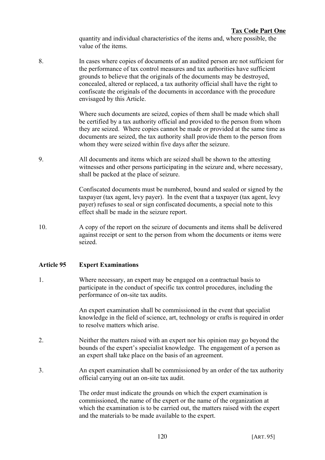quantity and individual characteristics of the items and, where possible, the value of the items.

8. In cases where copies of documents of an audited person are not sufficient for the performance of tax control measures and tax authorities have sufficient grounds to believe that the originals of the documents may be destroyed, concealed, altered or replaced, a tax authority official shall have the right to confiscate the originals of the documents in accordance with the procedure envisaged by this Article.

> Where such documents are seized, copies of them shall be made which shall be certified by a tax authority official and provided to the person from whom they are seized. Where copies cannot be made or provided at the same time as documents are seized, the tax authority shall provide them to the person from whom they were seized within five days after the seizure.

9. All documents and items which are seized shall be shown to the attesting witnesses and other persons participating in the seizure and, where necessary, shall be packed at the place of seizure.

> Confiscated documents must be numbered, bound and sealed or signed by the taxpayer (tax agent, levy payer). In the event that a taxpayer (tax agent, levy payer) refuses to seal or sign confiscated documents, a special note to this effect shall be made in the seizure report.

10. A copy of the report on the seizure of documents and items shall be delivered against receipt or sent to the person from whom the documents or items were seized.

#### **Article 95 Expert Examinations**

1. Where necessary, an expert may be engaged on a contractual basis to participate in the conduct of specific tax control procedures, including the performance of on-site tax audits.

> An expert examination shall be commissioned in the event that specialist knowledge in the field of science, art, technology or crafts is required in order to resolve matters which arise.

- 2. Neither the matters raised with an expert nor his opinion may go beyond the bounds of the expert's specialist knowledge. The engagement of a person as an expert shall take place on the basis of an agreement.
- 3. An expert examination shall be commissioned by an order of the tax authority official carrying out an on-site tax audit.

The order must indicate the grounds on which the expert examination is commissioned, the name of the expert or the name of the organization at which the examination is to be carried out, the matters raised with the expert and the materials to be made available to the expert.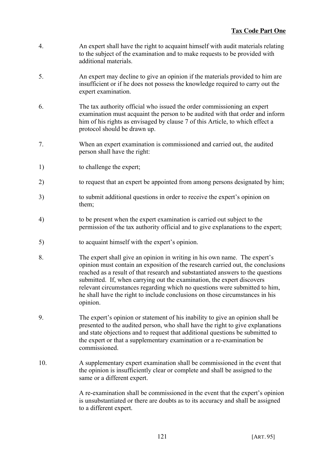- 4. An expert shall have the right to acquaint himself with audit materials relating to the subject of the examination and to make requests to be provided with additional materials.
- 5. An expert may decline to give an opinion if the materials provided to him are insufficient or if he does not possess the knowledge required to carry out the expert examination.
- 6. The tax authority official who issued the order commissioning an expert examination must acquaint the person to be audited with that order and inform him of his rights as envisaged by clause 7 of this Article, to which effect a protocol should be drawn up.
- 7. When an expert examination is commissioned and carried out, the audited person shall have the right:
- 1) to challenge the expert;
- 2) to request that an expert be appointed from among persons designated by him;
- 3) to submit additional questions in order to receive the expert's opinion on them;
- 4) to be present when the expert examination is carried out subject to the permission of the tax authority official and to give explanations to the expert;
- 5) to acquaint himself with the expert's opinion.
- 8. The expert shall give an opinion in writing in his own name. The expert's opinion must contain an exposition of the research carried out, the conclusions reached as a result of that research and substantiated answers to the questions submitted. If, when carrying out the examination, the expert discovers relevant circumstances regarding which no questions were submitted to him, he shall have the right to include conclusions on those circumstances in his opinion.
- 9. The expert's opinion or statement of his inability to give an opinion shall be presented to the audited person, who shall have the right to give explanations and state objections and to request that additional questions be submitted to the expert or that a supplementary examination or a re-examination be commissioned.
- 10. A supplementary expert examination shall be commissioned in the event that the opinion is insufficiently clear or complete and shall be assigned to the same or a different expert.

A re-examination shall be commissioned in the event that the expert's opinion is unsubstantiated or there are doubts as to its accuracy and shall be assigned to a different expert.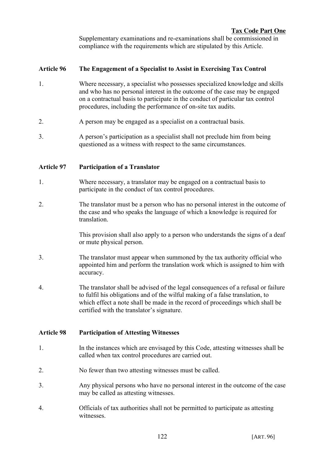Supplementary examinations and re-examinations shall be commissioned in compliance with the requirements which are stipulated by this Article.

# **Article 96 The Engagement of a Specialist to Assist in Exercising Tax Control**

- 1. Where necessary, a specialist who possesses specialized knowledge and skills and who has no personal interest in the outcome of the case may be engaged on a contractual basis to participate in the conduct of particular tax control procedures, including the performance of on-site tax audits.
- 2. A person may be engaged as a specialist on a contractual basis.
- 3. A person's participation as a specialist shall not preclude him from being questioned as a witness with respect to the same circumstances.

# **Article 97 Participation of a Translator**

- 1. Where necessary, a translator may be engaged on a contractual basis to participate in the conduct of tax control procedures.
- 2. The translator must be a person who has no personal interest in the outcome of the case and who speaks the language of which a knowledge is required for translation.

This provision shall also apply to a person who understands the signs of a deaf or mute physical person.

- 3. The translator must appear when summoned by the tax authority official who appointed him and perform the translation work which is assigned to him with accuracy.
- 4. The translator shall be advised of the legal consequences of a refusal or failure to fulfil his obligations and of the wilful making of a false translation, to which effect a note shall be made in the record of proceedings which shall be certified with the translator's signature.

# **Article 98 Participation of Attesting Witnesses**

- 1. In the instances which are envisaged by this Code, attesting witnesses shall be called when tax control procedures are carried out.
- 2. No fewer than two attesting witnesses must be called.
- 3. Any physical persons who have no personal interest in the outcome of the case may be called as attesting witnesses.
- 4. Officials of tax authorities shall not be permitted to participate as attesting witnesses.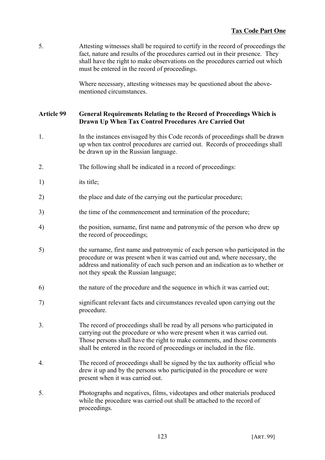5. Attesting witnesses shall be required to certify in the record of proceedings the fact, nature and results of the procedures carried out in their presence. They shall have the right to make observations on the procedures carried out which must be entered in the record of proceedings.

> Where necessary, attesting witnesses may be questioned about the abovementioned circumstances.

### **Article 99 General Requirements Relating to the Record of Proceedings Which is Drawn Up When Tax Control Procedures Are Carried Out**

- 1. In the instances envisaged by this Code records of proceedings shall be drawn up when tax control procedures are carried out. Records of proceedings shall be drawn up in the Russian language.
- 2. The following shall be indicated in a record of proceedings:
- 1) its title;
- 2) the place and date of the carrying out the particular procedure;
- 3) the time of the commencement and termination of the procedure;
- 4) the position, surname, first name and patronymic of the person who drew up the record of proceedings;
- 5) the surname, first name and patronymic of each person who participated in the procedure or was present when it was carried out and, where necessary, the address and nationality of each such person and an indication as to whether or not they speak the Russian language;
- 6) the nature of the procedure and the sequence in which it was carried out;
- 7) significant relevant facts and circumstances revealed upon carrying out the procedure.
- 3. The record of proceedings shall be read by all persons who participated in carrying out the procedure or who were present when it was carried out. Those persons shall have the right to make comments, and those comments shall be entered in the record of proceedings or included in the file.
- 4. The record of proceedings shall be signed by the tax authority official who drew it up and by the persons who participated in the procedure or were present when it was carried out.
- 5. Photographs and negatives, films, videotapes and other materials produced while the procedure was carried out shall be attached to the record of proceedings.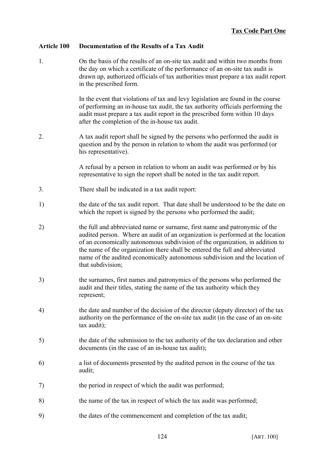# **Article 100 Documentation of the Results of a Tax Audit**

1. On the basis of the results of an on-site tax audit and within two months from the day on which a certificate of the performance of an on-site tax audit is drawn up, authorized officials of tax authorities must prepare a tax audit report in the prescribed form.

> In the event that violations of tax and levy legislation are found in the course of performing an in-house tax audit, the tax authority officials performing the audit must prepare a tax audit report in the prescribed form within 10 days after the completion of the in-house tax audit.

2. A tax audit report shall be signed by the persons who performed the audit in question and by the person in relation to whom the audit was performed (or his representative).

> A refusal by a person in relation to whom an audit was performed or by his representative to sign the report shall be noted in the tax audit report.

- 3. There shall be indicated in a tax audit report:
- 1) the date of the tax audit report. That date shall be understood to be the date on which the report is signed by the persons who performed the audit;
- 2) the full and abbreviated name or surname, first name and patronymic of the audited person. Where an audit of an organization is performed at the location of an economically autonomous subdivision of the organization, in addition to the name of the organization there shall be entered the full and abbreviated name of the audited economically autonomous subdivision and the location of that subdivision;
- 3) the surnames, first names and patronymics of the persons who performed the audit and their titles, stating the name of the tax authority which they represent;
- 4) the date and number of the decision of the director (deputy director) of the tax authority on the performance of the on-site tax audit (in the case of an on-site tax audit);
- 5) the date of the submission to the tax authority of the tax declaration and other documents (in the case of an in-house tax audit);
- 6) a list of documents presented by the audited person in the course of the tax audit;
- 7) the period in respect of which the audit was performed;
- 8) the name of the tax in respect of which the tax audit was performed;
- 9) the dates of the commencement and completion of the tax audit;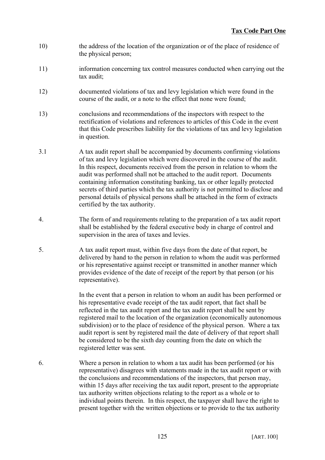- 10) the address of the location of the organization or of the place of residence of the physical person;
- 11) information concerning tax control measures conducted when carrying out the tax audit;
- 12) documented violations of tax and levy legislation which were found in the course of the audit, or a note to the effect that none were found;
- 13) conclusions and recommendations of the inspectors with respect to the rectification of violations and references to articles of this Code in the event that this Code prescribes liability for the violations of tax and levy legislation in question.
- 3.1 A tax audit report shall be accompanied by documents confirming violations of tax and levy legislation which were discovered in the course of the audit. In this respect, documents received from the person in relation to whom the audit was performed shall not be attached to the audit report. Documents containing information constituting banking, tax or other legally protected secrets of third parties which the tax authority is not permitted to disclose and personal details of physical persons shall be attached in the form of extracts certified by the tax authority.
- 4. The form of and requirements relating to the preparation of a tax audit report shall be established by the federal executive body in charge of control and supervision in the area of taxes and levies.
- 5. A tax audit report must, within five days from the date of that report, be delivered by hand to the person in relation to whom the audit was performed or his representative against receipt or transmitted in another manner which provides evidence of the date of receipt of the report by that person (or his representative).

In the event that a person in relation to whom an audit has been performed or his representative evade receipt of the tax audit report, that fact shall be reflected in the tax audit report and the tax audit report shall be sent by registered mail to the location of the organization (economically autonomous subdivision) or to the place of residence of the physical person. Where a tax audit report is sent by registered mail the date of delivery of that report shall be considered to be the sixth day counting from the date on which the registered letter was sent.

6. Where a person in relation to whom a tax audit has been performed (or his representative) disagrees with statements made in the tax audit report or with the conclusions and recommendations of the inspectors, that person may, within 15 days after receiving the tax audit report, present to the appropriate tax authority written objections relating to the report as a whole or to individual points therein. In this respect, the taxpayer shall have the right to present together with the written objections or to provide to the tax authority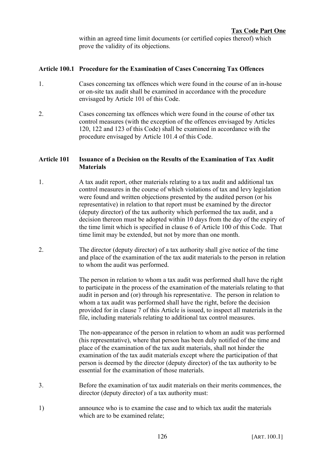within an agreed time limit documents (or certified copies thereof) which prove the validity of its objections.

### **Article 100.1 Procedure for the Examination of Cases Concerning Tax Offences**

- 1. Cases concerning tax offences which were found in the course of an in-house or on-site tax audit shall be examined in accordance with the procedure envisaged by Article 101 of this Code.
- 2. Cases concerning tax offences which were found in the course of other tax control measures (with the exception of the offences envisaged by Articles 120, 122 and 123 of this Code) shall be examined in accordance with the procedure envisaged by Article 101.4 of this Code.

### **Article 101 Issuance of a Decision on the Results of the Examination of Tax Audit Materials**

- 1. A tax audit report, other materials relating to a tax audit and additional tax control measures in the course of which violations of tax and levy legislation were found and written objections presented by the audited person (or his representative) in relation to that report must be examined by the director (deputy director) of the tax authority which performed the tax audit, and a decision thereon must be adopted within 10 days from the day of the expiry of the time limit which is specified in clause 6 of Article 100 of this Code. That time limit may be extended, but not by more than one month.
- 2. The director (deputy director) of a tax authority shall give notice of the time and place of the examination of the tax audit materials to the person in relation to whom the audit was performed.

The person in relation to whom a tax audit was performed shall have the right to participate in the process of the examination of the materials relating to that audit in person and (or) through his representative. The person in relation to whom a tax audit was performed shall have the right, before the decision provided for in clause 7 of this Article is issued, to inspect all materials in the file, including materials relating to additional tax control measures.

The non-appearance of the person in relation to whom an audit was performed (his representative), where that person has been duly notified of the time and place of the examination of the tax audit materials, shall not hinder the examination of the tax audit materials except where the participation of that person is deemed by the director (deputy director) of the tax authority to be essential for the examination of those materials.

- 3. Before the examination of tax audit materials on their merits commences, the director (deputy director) of a tax authority must:
- 1) announce who is to examine the case and to which tax audit the materials which are to be examined relate;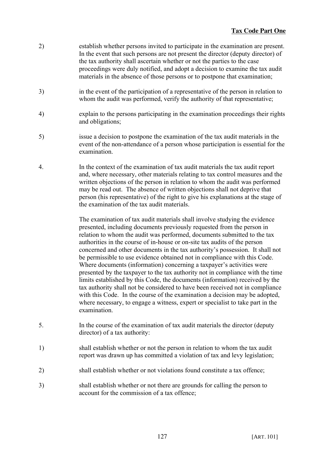- 2) establish whether persons invited to participate in the examination are present. In the event that such persons are not present the director (deputy director) of the tax authority shall ascertain whether or not the parties to the case proceedings were duly notified, and adopt a decision to examine the tax audit materials in the absence of those persons or to postpone that examination;
- 3) in the event of the participation of a representative of the person in relation to whom the audit was performed, verify the authority of that representative;
- 4) explain to the persons participating in the examination proceedings their rights and obligations;
- 5) issue a decision to postpone the examination of the tax audit materials in the event of the non-attendance of a person whose participation is essential for the examination.
- 4. In the context of the examination of tax audit materials the tax audit report and, where necessary, other materials relating to tax control measures and the written objections of the person in relation to whom the audit was performed may be read out. The absence of written objections shall not deprive that person (his representative) of the right to give his explanations at the stage of the examination of the tax audit materials.

The examination of tax audit materials shall involve studying the evidence presented, including documents previously requested from the person in relation to whom the audit was performed, documents submitted to the tax authorities in the course of in-house or on-site tax audits of the person concerned and other documents in the tax authority's possession. It shall not be permissible to use evidence obtained not in compliance with this Code. Where documents (information) concerning a taxpayer's activities were presented by the taxpayer to the tax authority not in compliance with the time limits established by this Code, the documents (information) received by the tax authority shall not be considered to have been received not in compliance with this Code. In the course of the examination a decision may be adopted, where necessary, to engage a witness, expert or specialist to take part in the examination.

- 5. In the course of the examination of tax audit materials the director (deputy director) of a tax authority:
- 1) shall establish whether or not the person in relation to whom the tax audit report was drawn up has committed a violation of tax and levy legislation;
- 2) shall establish whether or not violations found constitute a tax offence;
- 3) shall establish whether or not there are grounds for calling the person to account for the commission of a tax offence;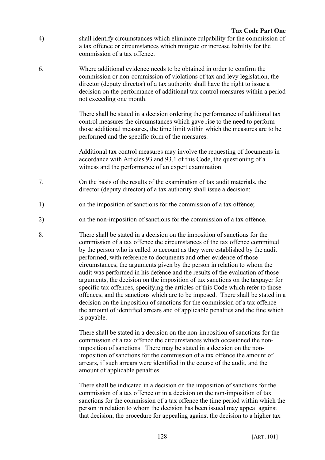- 4) shall identify circumstances which eliminate culpability for the commission of a tax offence or circumstances which mitigate or increase liability for the commission of a tax offence.
- 6. Where additional evidence needs to be obtained in order to confirm the commission or non-commission of violations of tax and levy legislation, the director (deputy director) of a tax authority shall have the right to issue a decision on the performance of additional tax control measures within a period not exceeding one month.

There shall be stated in a decision ordering the performance of additional tax control measures the circumstances which gave rise to the need to perform those additional measures, the time limit within which the measures are to be performed and the specific form of the measures.

Additional tax control measures may involve the requesting of documents in accordance with Articles 93 and 93.1 of this Code, the questioning of a witness and the performance of an expert examination.

- 7. On the basis of the results of the examination of tax audit materials, the director (deputy director) of a tax authority shall issue a decision:
- 1) on the imposition of sanctions for the commission of a tax offence;
- 2) on the non-imposition of sanctions for the commission of a tax offence.
- 8. There shall be stated in a decision on the imposition of sanctions for the commission of a tax offence the circumstances of the tax offence committed by the person who is called to account as they were established by the audit performed, with reference to documents and other evidence of those circumstances, the arguments given by the person in relation to whom the audit was performed in his defence and the results of the evaluation of those arguments, the decision on the imposition of tax sanctions on the taxpayer for specific tax offences, specifying the articles of this Code which refer to those offences, and the sanctions which are to be imposed. There shall be stated in a decision on the imposition of sanctions for the commission of a tax offence the amount of identified arrears and of applicable penalties and the fine which is payable.

There shall be stated in a decision on the non-imposition of sanctions for the commission of a tax offence the circumstances which occasioned the nonimposition of sanctions. There may be stated in a decision on the nonimposition of sanctions for the commission of a tax offence the amount of arrears, if such arrears were identified in the course of the audit, and the amount of applicable penalties.

There shall be indicated in a decision on the imposition of sanctions for the commission of a tax offence or in a decision on the non-imposition of tax sanctions for the commission of a tax offence the time period within which the person in relation to whom the decision has been issued may appeal against that decision, the procedure for appealing against the decision to a higher tax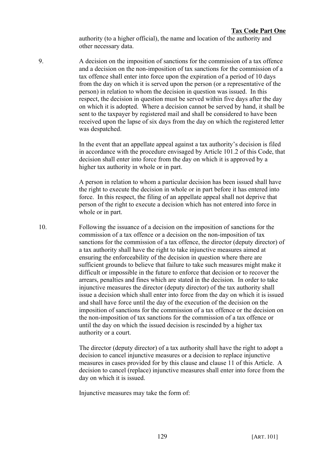authority (to a higher official), the name and location of the authority and other necessary data.

9. A decision on the imposition of sanctions for the commission of a tax offence and a decision on the non-imposition of tax sanctions for the commission of a tax offence shall enter into force upon the expiration of a period of 10 days from the day on which it is served upon the person (or a representative of the person) in relation to whom the decision in question was issued. In this respect, the decision in question must be served within five days after the day on which it is adopted. Where a decision cannot be served by hand, it shall be sent to the taxpayer by registered mail and shall be considered to have been received upon the lapse of six days from the day on which the registered letter was despatched

> In the event that an appellate appeal against a tax authority's decision is filed in accordance with the procedure envisaged by Article 101.2 of this Code, that decision shall enter into force from the day on which it is approved by a higher tax authority in whole or in part.

A person in relation to whom a particular decision has been issued shall have the right to execute the decision in whole or in part before it has entered into force. In this respect, the filing of an appellate appeal shall not deprive that person of the right to execute a decision which has not entered into force in whole or in part.

10. Following the issuance of a decision on the imposition of sanctions for the commission of a tax offence or a decision on the non-imposition of tax sanctions for the commission of a tax offence, the director (deputy director) of a tax authority shall have the right to take injunctive measures aimed at ensuring the enforceability of the decision in question where there are sufficient grounds to believe that failure to take such measures might make it difficult or impossible in the future to enforce that decision or to recover the arrears, penalties and fines which are stated in the decision. In order to take injunctive measures the director (deputy director) of the tax authority shall issue a decision which shall enter into force from the day on which it is issued and shall have force until the day of the execution of the decision on the imposition of sanctions for the commission of a tax offence or the decision on the non-imposition of tax sanctions for the commission of a tax offence or until the day on which the issued decision is rescinded by a higher tax authority or a court.

> The director (deputy director) of a tax authority shall have the right to adopt a decision to cancel injunctive measures or a decision to replace injunctive measures in cases provided for by this clause and clause 11 of this Article. A decision to cancel (replace) injunctive measures shall enter into force from the day on which it is issued.

Injunctive measures may take the form of: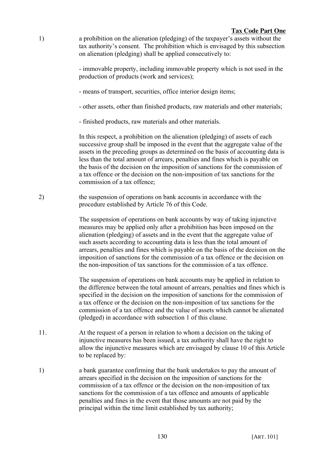1) a prohibition on the alienation (pledging) of the taxpayer's assets without the tax authority's consent. The prohibition which is envisaged by this subsection on alienation (pledging) shall be applied consecutively to:

> - immovable property, including immovable property which is not used in the production of products (work and services);

- means of transport, securities, office interior design items;
- other assets, other than finished products, raw materials and other materials;
- finished products, raw materials and other materials.

In this respect, a prohibition on the alienation (pledging) of assets of each successive group shall be imposed in the event that the aggregate value of the assets in the preceding groups as determined on the basis of accounting data is less than the total amount of arrears, penalties and fines which is payable on the basis of the decision on the imposition of sanctions for the commission of a tax offence or the decision on the non-imposition of tax sanctions for the commission of a tax offence;

2) the suspension of operations on bank accounts in accordance with the procedure established by Article 76 of this Code.

> The suspension of operations on bank accounts by way of taking injunctive measures may be applied only after a prohibition has been imposed on the alienation (pledging) of assets and in the event that the aggregate value of such assets according to accounting data is less than the total amount of arrears, penalties and fines which is payable on the basis of the decision on the imposition of sanctions for the commission of a tax offence or the decision on the non-imposition of tax sanctions for the commission of a tax offence.

> The suspension of operations on bank accounts may be applied in relation to the difference between the total amount of arrears, penalties and fines which is specified in the decision on the imposition of sanctions for the commission of a tax offence or the decision on the non-imposition of tax sanctions for the commission of a tax offence and the value of assets which cannot be alienated (pledged) in accordance with subsection 1 of this clause.

- 11. At the request of a person in relation to whom a decision on the taking of injunctive measures has been issued, a tax authority shall have the right to allow the injunctive measures which are envisaged by clause 10 of this Article to be replaced by:
- 1) a bank guarantee confirming that the bank undertakes to pay the amount of arrears specified in the decision on the imposition of sanctions for the commission of a tax offence or the decision on the non-imposition of tax sanctions for the commission of a tax offence and amounts of applicable penalties and fines in the event that those amounts are not paid by the principal within the time limit established by tax authority;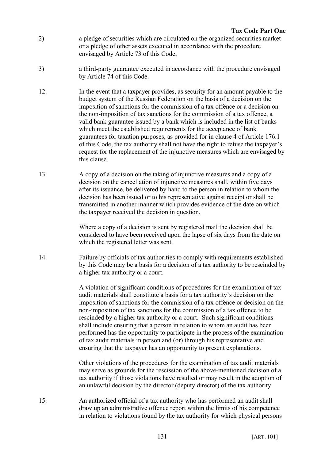- 2) a pledge of securities which are circulated on the organized securities market or a pledge of other assets executed in accordance with the procedure envisaged by Article 73 of this Code;
- 3) a third-party guarantee executed in accordance with the procedure envisaged by Article 74 of this Code.
- 12. In the event that a taxpayer provides, as security for an amount payable to the budget system of the Russian Federation on the basis of a decision on the imposition of sanctions for the commission of a tax offence or a decision on the non-imposition of tax sanctions for the commission of a tax offence, a valid bank guarantee issued by a bank which is included in the list of banks which meet the established requirements for the acceptance of bank guarantees for taxation purposes, as provided for in clause 4 of Article 176.1 of this Code, the tax authority shall not have the right to refuse the taxpayer's request for the replacement of the injunctive measures which are envisaged by this clause.
- 13. A copy of a decision on the taking of injunctive measures and a copy of a decision on the cancellation of injunctive measures shall, within five days after its issuance, be delivered by hand to the person in relation to whom the decision has been issued or to his representative against receipt or shall be transmitted in another manner which provides evidence of the date on which the taxpayer received the decision in question.

Where a copy of a decision is sent by registered mail the decision shall be considered to have been received upon the lapse of six days from the date on which the registered letter was sent.

14. Failure by officials of tax authorities to comply with requirements established by this Code may be a basis for a decision of a tax authority to be rescinded by a higher tax authority or a court.

> A violation of significant conditions of procedures for the examination of tax audit materials shall constitute a basis for a tax authority's decision on the imposition of sanctions for the commission of a tax offence or decision on the non-imposition of tax sanctions for the commission of a tax offence to be rescinded by a higher tax authority or a court. Such significant conditions shall include ensuring that a person in relation to whom an audit has been performed has the opportunity to participate in the process of the examination of tax audit materials in person and (or) through his representative and ensuring that the taxpayer has an opportunity to present explanations.

> Other violations of the procedures for the examination of tax audit materials may serve as grounds for the rescission of the above-mentioned decision of a tax authority if those violations have resulted or may result in the adoption of an unlawful decision by the director (deputy director) of the tax authority.

15. An authorized official of a tax authority who has performed an audit shall draw up an administrative offence report within the limits of his competence in relation to violations found by the tax authority for which physical persons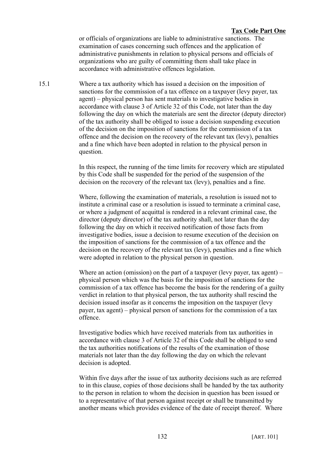#### **Tax Code Part One**

or officials of organizations are liable to administrative sanctions. The examination of cases concerning such offences and the application of administrative punishments in relation to physical persons and officials of organizations who are guilty of committing them shall take place in accordance with administrative offences legislation.

15.1 Where a tax authority which has issued a decision on the imposition of sanctions for the commission of a tax offence on a taxpayer (levy payer, tax agent) – physical person has sent materials to investigative bodies in accordance with clause 3 of Article 32 of this Code, not later than the day following the day on which the materials are sent the director (deputy director) of the tax authority shall be obliged to issue a decision suspending execution of the decision on the imposition of sanctions for the commission of a tax offence and the decision on the recovery of the relevant tax (levy), penalties and a fine which have been adopted in relation to the physical person in question.

> In this respect, the running of the time limits for recovery which are stipulated by this Code shall be suspended for the period of the suspension of the decision on the recovery of the relevant tax (levy), penalties and a fine.

Where, following the examination of materials, a resolution is issued not to institute a criminal case or a resolution is issued to terminate a criminal case, or where a judgment of acquittal is rendered in a relevant criminal case, the director (deputy director) of the tax authority shall, not later than the day following the day on which it received notification of those facts from investigative bodies, issue a decision to resume execution of the decision on the imposition of sanctions for the commission of a tax offence and the decision on the recovery of the relevant tax (levy), penalties and a fine which were adopted in relation to the physical person in question.

Where an action (omission) on the part of a taxpayer (levy payer, tax agent) – physical person which was the basis for the imposition of sanctions for the commission of a tax offence has become the basis for the rendering of a guilty verdict in relation to that physical person, the tax authority shall rescind the decision issued insofar as it concerns the imposition on the taxpayer (levy payer, tax agent) – physical person of sanctions for the commission of a tax offence.

Investigative bodies which have received materials from tax authorities in accordance with clause 3 of Article 32 of this Code shall be obliged to send the tax authorities notifications of the results of the examination of those materials not later than the day following the day on which the relevant decision is adopted.

Within five days after the issue of tax authority decisions such as are referred to in this clause, copies of those decisions shall be handed by the tax authority to the person in relation to whom the decision in question has been issued or to a representative of that person against receipt or shall be transmitted by another means which provides evidence of the date of receipt thereof. Where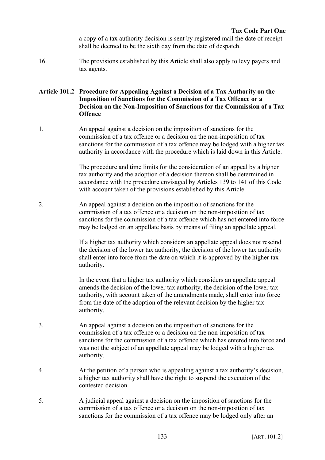a copy of a tax authority decision is sent by registered mail the date of receipt shall be deemed to be the sixth day from the date of despatch.

16. The provisions established by this Article shall also apply to levy payers and tax agents.

### **Article 101.2 Procedure for Appealing Against a Decision of a Tax Authority on the Imposition of Sanctions for the Commission of a Tax Offence or a Decision on the Non-Imposition of Sanctions for the Commission of a Tax Offence**

1. An appeal against a decision on the imposition of sanctions for the commission of a tax offence or a decision on the non-imposition of tax sanctions for the commission of a tax offence may be lodged with a higher tax authority in accordance with the procedure which is laid down in this Article.

> The procedure and time limits for the consideration of an appeal by a higher tax authority and the adoption of a decision thereon shall be determined in accordance with the procedure envisaged by Articles 139 to 141 of this Code with account taken of the provisions established by this Article.

2. An appeal against a decision on the imposition of sanctions for the commission of a tax offence or a decision on the non-imposition of tax sanctions for the commission of a tax offence which has not entered into force may be lodged on an appellate basis by means of filing an appellate appeal.

> If a higher tax authority which considers an appellate appeal does not rescind the decision of the lower tax authority, the decision of the lower tax authority shall enter into force from the date on which it is approved by the higher tax authority.

> In the event that a higher tax authority which considers an appellate appeal amends the decision of the lower tax authority, the decision of the lower tax authority, with account taken of the amendments made, shall enter into force from the date of the adoption of the relevant decision by the higher tax authority.

- 3. An appeal against a decision on the imposition of sanctions for the commission of a tax offence or a decision on the non-imposition of tax sanctions for the commission of a tax offence which has entered into force and was not the subject of an appellate appeal may be lodged with a higher tax authority.
- 4. At the petition of a person who is appealing against a tax authority's decision, a higher tax authority shall have the right to suspend the execution of the contested decision.
- 5. A judicial appeal against a decision on the imposition of sanctions for the commission of a tax offence or a decision on the non-imposition of tax sanctions for the commission of a tax offence may be lodged only after an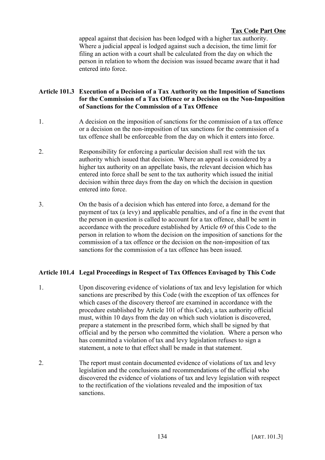#### **Tax Code Part One**

appeal against that decision has been lodged with a higher tax authority. Where a judicial appeal is lodged against such a decision, the time limit for filing an action with a court shall be calculated from the day on which the person in relation to whom the decision was issued became aware that it had entered into force.

### **Article 101.3 Execution of a Decision of a Tax Authority on the Imposition of Sanctions for the Commission of a Tax Offence or a Decision on the Non-Imposition of Sanctions for the Commission of a Tax Offence**

- 1. A decision on the imposition of sanctions for the commission of a tax offence or a decision on the non-imposition of tax sanctions for the commission of a tax offence shall be enforceable from the day on which it enters into force.
- 2. Responsibility for enforcing a particular decision shall rest with the tax authority which issued that decision. Where an appeal is considered by a higher tax authority on an appellate basis, the relevant decision which has entered into force shall be sent to the tax authority which issued the initial decision within three days from the day on which the decision in question entered into force.
- 3. On the basis of a decision which has entered into force, a demand for the payment of tax (a levy) and applicable penalties, and of a fine in the event that the person in question is called to account for a tax offence, shall be sent in accordance with the procedure established by Article 69 of this Code to the person in relation to whom the decision on the imposition of sanctions for the commission of a tax offence or the decision on the non-imposition of tax sanctions for the commission of a tax offence has been issued.

#### **Article 101.4 Legal Proceedings in Respect of Tax Offences Envisaged by This Code**

- 1. Upon discovering evidence of violations of tax and levy legislation for which sanctions are prescribed by this Code (with the exception of tax offences for which cases of the discovery thereof are examined in accordance with the procedure established by Article 101 of this Code), a tax authority official must, within 10 days from the day on which such violation is discovered, prepare a statement in the prescribed form, which shall be signed by that official and by the person who committed the violation. Where a person who has committed a violation of tax and levy legislation refuses to sign a statement, a note to that effect shall be made in that statement.
- 2. The report must contain documented evidence of violations of tax and levy legislation and the conclusions and recommendations of the official who discovered the evidence of violations of tax and levy legislation with respect to the rectification of the violations revealed and the imposition of tax sanctions.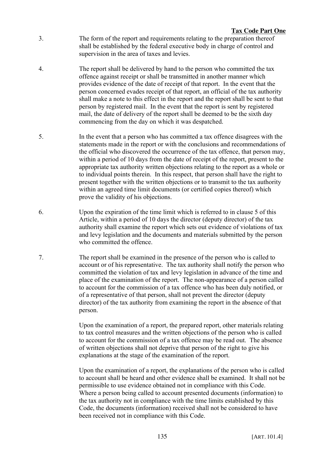- 3. The form of the report and requirements relating to the preparation thereof shall be established by the federal executive body in charge of control and supervision in the area of taxes and levies.
- 4. The report shall be delivered by hand to the person who committed the tax offence against receipt or shall be transmitted in another manner which provides evidence of the date of receipt of that report. In the event that the person concerned evades receipt of that report, an official of the tax authority shall make a note to this effect in the report and the report shall be sent to that person by registered mail. In the event that the report is sent by registered mail, the date of delivery of the report shall be deemed to be the sixth day commencing from the day on which it was despatched.
- 5. In the event that a person who has committed a tax offence disagrees with the statements made in the report or with the conclusions and recommendations of the official who discovered the occurrence of the tax offence, that person may, within a period of 10 days from the date of receipt of the report, present to the appropriate tax authority written objections relating to the report as a whole or to individual points therein. In this respect, that person shall have the right to present together with the written objections or to transmit to the tax authority within an agreed time limit documents (or certified copies thereof) which prove the validity of his objections.
- 6. Upon the expiration of the time limit which is referred to in clause 5 of this Article, within a period of 10 days the director (deputy director) of the tax authority shall examine the report which sets out evidence of violations of tax and levy legislation and the documents and materials submitted by the person who committed the offence.
- 7. The report shall be examined in the presence of the person who is called to account or of his representative. The tax authority shall notify the person who committed the violation of tax and levy legislation in advance of the time and place of the examination of the report. The non-appearance of a person called to account for the commission of a tax offence who has been duly notified, or of a representative of that person, shall not prevent the director (deputy director) of the tax authority from examining the report in the absence of that person.

Upon the examination of a report, the prepared report, other materials relating to tax control measures and the written objections of the person who is called to account for the commission of a tax offence may be read out. The absence of written objections shall not deprive that person of the right to give his explanations at the stage of the examination of the report.

Upon the examination of a report, the explanations of the person who is called to account shall be heard and other evidence shall be examined. It shall not be permissible to use evidence obtained not in compliance with this Code. Where a person being called to account presented documents (information) to the tax authority not in compliance with the time limits established by this Code, the documents (information) received shall not be considered to have been received not in compliance with this Code.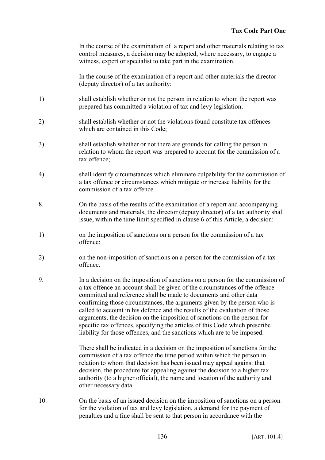In the course of the examination of a report and other materials relating to tax control measures, a decision may be adopted, where necessary, to engage a witness, expert or specialist to take part in the examination.

In the course of the examination of a report and other materials the director (deputy director) of a tax authority:

- 1) shall establish whether or not the person in relation to whom the report was prepared has committed a violation of tax and levy legislation;
- 2) shall establish whether or not the violations found constitute tax offences which are contained in this Code<sup>-</sup>
- 3) shall establish whether or not there are grounds for calling the person in relation to whom the report was prepared to account for the commission of a tax offence;
- 4) shall identify circumstances which eliminate culpability for the commission of a tax offence or circumstances which mitigate or increase liability for the commission of a tax offence.
- 8. On the basis of the results of the examination of a report and accompanying documents and materials, the director (deputy director) of a tax authority shall issue, within the time limit specified in clause 6 of this Article, a decision:
- 1) on the imposition of sanctions on a person for the commission of a tax offence;
- 2) on the non-imposition of sanctions on a person for the commission of a tax offence.
- 9. In a decision on the imposition of sanctions on a person for the commission of a tax offence an account shall be given of the circumstances of the offence committed and reference shall be made to documents and other data confirming those circumstances, the arguments given by the person who is called to account in his defence and the results of the evaluation of those arguments, the decision on the imposition of sanctions on the person for specific tax offences, specifying the articles of this Code which prescribe liability for those offences, and the sanctions which are to be imposed.

There shall be indicated in a decision on the imposition of sanctions for the commission of a tax offence the time period within which the person in relation to whom that decision has been issued may appeal against that decision, the procedure for appealing against the decision to a higher tax authority (to a higher official), the name and location of the authority and other necessary data.

10. On the basis of an issued decision on the imposition of sanctions on a person for the violation of tax and levy legislation, a demand for the payment of penalties and a fine shall be sent to that person in accordance with the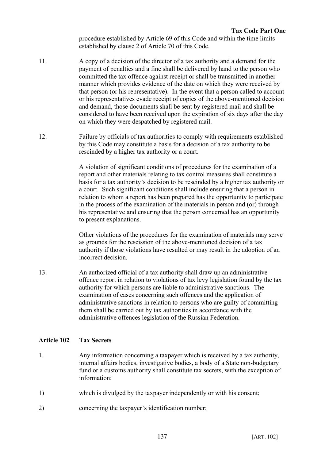procedure established by Article 69 of this Code and within the time limits established by clause 2 of Article 70 of this Code.

- 11. A copy of a decision of the director of a tax authority and a demand for the payment of penalties and a fine shall be delivered by hand to the person who committed the tax offence against receipt or shall be transmitted in another manner which provides evidence of the date on which they were received by that person (or his representative). In the event that a person called to account or his representatives evade receipt of copies of the above-mentioned decision and demand, those documents shall be sent by registered mail and shall be considered to have been received upon the expiration of six days after the day on which they were despatched by registered mail.
- 12. Failure by officials of tax authorities to comply with requirements established by this Code may constitute a basis for a decision of a tax authority to be rescinded by a higher tax authority or a court.

A violation of significant conditions of procedures for the examination of a report and other materials relating to tax control measures shall constitute a basis for a tax authority's decision to be rescinded by a higher tax authority or a court. Such significant conditions shall include ensuring that a person in relation to whom a report has been prepared has the opportunity to participate in the process of the examination of the materials in person and (or) through his representative and ensuring that the person concerned has an opportunity to present explanations.

Other violations of the procedures for the examination of materials may serve as grounds for the rescission of the above-mentioned decision of a tax authority if those violations have resulted or may result in the adoption of an incorrect decision.

13. An authorized official of a tax authority shall draw up an administrative offence report in relation to violations of tax levy legislation found by the tax authority for which persons are liable to administrative sanctions. The examination of cases concerning such offences and the application of administrative sanctions in relation to persons who are guilty of committing them shall be carried out by tax authorities in accordance with the administrative offences legislation of the Russian Federation.

# **Article 102 Tax Secrets**

- 1. Any information concerning a taxpayer which is received by a tax authority, internal affairs bodies, investigative bodies, a body of a State non-budgetary fund or a customs authority shall constitute tax secrets, with the exception of information:
- 1) which is divulged by the taxpayer independently or with his consent;
- 2) concerning the taxpayer's identification number;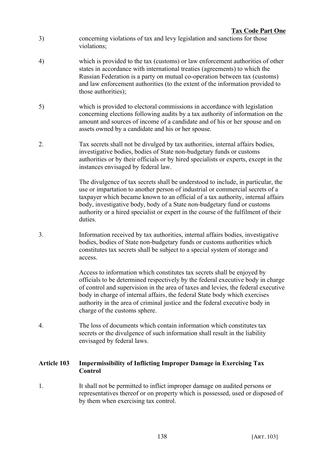- 3) concerning violations of tax and levy legislation and sanctions for those violations;
- 4) which is provided to the tax (customs) or law enforcement authorities of other states in accordance with international treaties (agreements) to which the Russian Federation is a party on mutual co-operation between tax (customs) and law enforcement authorities (to the extent of the information provided to those authorities);
- 5) which is provided to electoral commissions in accordance with legislation concerning elections following audits by a tax authority of information on the amount and sources of income of a candidate and of his or her spouse and on assets owned by a candidate and his or her spouse.
- 2. Tax secrets shall not be divulged by tax authorities, internal affairs bodies, investigative bodies, bodies of State non-budgetary funds or customs authorities or by their officials or by hired specialists or experts, except in the instances envisaged by federal law.

The divulgence of tax secrets shall be understood to include, in particular, the use or impartation to another person of industrial or commercial secrets of a taxpayer which became known to an official of a tax authority, internal affairs body, investigative body, body of a State non-budgetary fund or customs authority or a hired specialist or expert in the course of the fulfilment of their duties.

3. Information received by tax authorities, internal affairs bodies, investigative bodies, bodies of State non-budgetary funds or customs authorities which constitutes tax secrets shall be subject to a special system of storage and access.

> Access to information which constitutes tax secrets shall be enjoyed by officials to be determined respectively by the federal executive body in charge of control and supervision in the area of taxes and levies, the federal executive body in charge of internal affairs, the federal State body which exercises authority in the area of criminal justice and the federal executive body in charge of the customs sphere.

4. The loss of documents which contain information which constitutes tax secrets or the divulgence of such information shall result in the liability envisaged by federal laws.

# **Article 103 Impermissibility of Inflicting Improper Damage in Exercising Tax Control**

1. It shall not be permitted to inflict improper damage on audited persons or representatives thereof or on property which is possessed, used or disposed of by them when exercising tax control.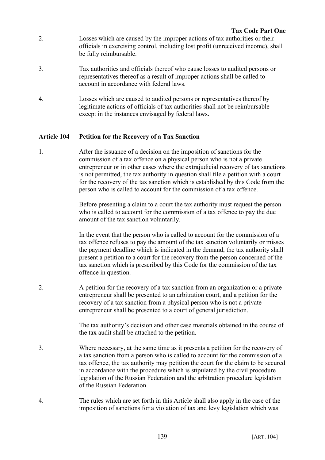- 2. Losses which are caused by the improper actions of tax authorities or their officials in exercising control, including lost profit (unreceived income), shall be fully reimbursable.
- 3. Tax authorities and officials thereof who cause losses to audited persons or representatives thereof as a result of improper actions shall be called to account in accordance with federal laws.
- 4. Losses which are caused to audited persons or representatives thereof by legitimate actions of officials of tax authorities shall not be reimbursable except in the instances envisaged by federal laws.

# **Article 104 Petition for the Recovery of a Tax Sanction**

1. After the issuance of a decision on the imposition of sanctions for the commission of a tax offence on a physical person who is not a private entrepreneur or in other cases where the extrajudicial recovery of tax sanctions is not permitted, the tax authority in question shall file a petition with a court for the recovery of the tax sanction which is established by this Code from the person who is called to account for the commission of a tax offence.

> Before presenting a claim to a court the tax authority must request the person who is called to account for the commission of a tax offence to pay the due amount of the tax sanction voluntarily.

In the event that the person who is called to account for the commission of a tax offence refuses to pay the amount of the tax sanction voluntarily or misses the payment deadline which is indicated in the demand, the tax authority shall present a petition to a court for the recovery from the person concerned of the tax sanction which is prescribed by this Code for the commission of the tax offence in question.

2. A petition for the recovery of a tax sanction from an organization or a private entrepreneur shall be presented to an arbitration court, and a petition for the recovery of a tax sanction from a physical person who is not a private entrepreneur shall be presented to a court of general jurisdiction.

> The tax authority's decision and other case materials obtained in the course of the tax audit shall be attached to the petition.

- 3. Where necessary, at the same time as it presents a petition for the recovery of a tax sanction from a person who is called to account for the commission of a tax offence, the tax authority may petition the court for the claim to be secured in accordance with the procedure which is stipulated by the civil procedure legislation of the Russian Federation and the arbitration procedure legislation of the Russian Federation.
- 4. The rules which are set forth in this Article shall also apply in the case of the imposition of sanctions for a violation of tax and levy legislation which was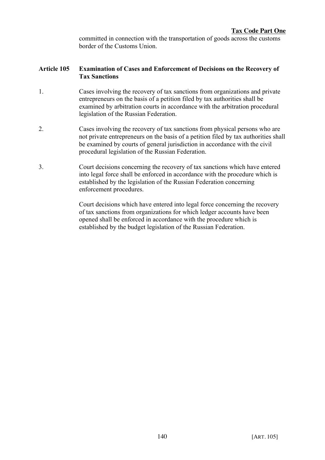committed in connection with the transportation of goods across the customs border of the Customs Union.

### **Article 105 Examination of Cases and Enforcement of Decisions on the Recovery of Tax Sanctions**

- 1. Cases involving the recovery of tax sanctions from organizations and private entrepreneurs on the basis of a petition filed by tax authorities shall be examined by arbitration courts in accordance with the arbitration procedural legislation of the Russian Federation.
- 2. Cases involving the recovery of tax sanctions from physical persons who are not private entrepreneurs on the basis of a petition filed by tax authorities shall be examined by courts of general jurisdiction in accordance with the civil procedural legislation of the Russian Federation.
- 3. Court decisions concerning the recovery of tax sanctions which have entered into legal force shall be enforced in accordance with the procedure which is established by the legislation of the Russian Federation concerning enforcement procedures.

Court decisions which have entered into legal force concerning the recovery of tax sanctions from organizations for which ledger accounts have been opened shall be enforced in accordance with the procedure which is established by the budget legislation of the Russian Federation.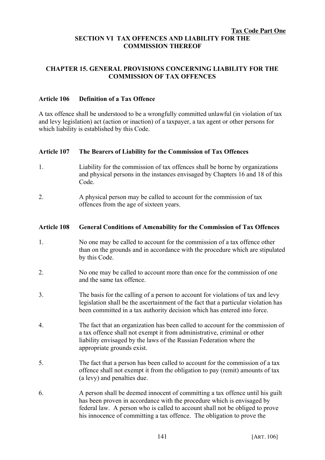#### **Tax Code Part One SECTION VI TAX OFFENCES AND LIABILITY FOR THE COMMISSION THEREOF**

# **CHAPTER 15. GENERAL PROVISIONS CONCERNING LIABILITY FOR THE COMMISSION OF TAX OFFENCES**

### **Article 106 Definition of a Tax Offence**

A tax offence shall be understood to be a wrongfully committed unlawful (in violation of tax and levy legislation) act (action or inaction) of a taxpayer, a tax agent or other persons for which liability is established by this Code.

### **Article 107 The Bearers of Liability for the Commission of Tax Offences**

- 1. Liability for the commission of tax offences shall be borne by organizations and physical persons in the instances envisaged by Chapters 16 and 18 of this Code.
- 2. A physical person may be called to account for the commission of tax offences from the age of sixteen years.

### **Article 108 General Conditions of Amenability for the Commission of Tax Offences**

- 1. No one may be called to account for the commission of a tax offence other than on the grounds and in accordance with the procedure which are stipulated by this Code.
- 2. No one may be called to account more than once for the commission of one and the same tax offence.
- 3. The basis for the calling of a person to account for violations of tax and levy legislation shall be the ascertainment of the fact that a particular violation has been committed in a tax authority decision which has entered into force.
- 4. The fact that an organization has been called to account for the commission of a tax offence shall not exempt it from administrative, criminal or other liability envisaged by the laws of the Russian Federation where the appropriate grounds exist.
- 5. The fact that a person has been called to account for the commission of a tax offence shall not exempt it from the obligation to pay (remit) amounts of tax (a levy) and penalties due.
- 6. A person shall be deemed innocent of committing a tax offence until his guilt has been proven in accordance with the procedure which is envisaged by federal law. A person who is called to account shall not be obliged to prove his innocence of committing a tax offence. The obligation to prove the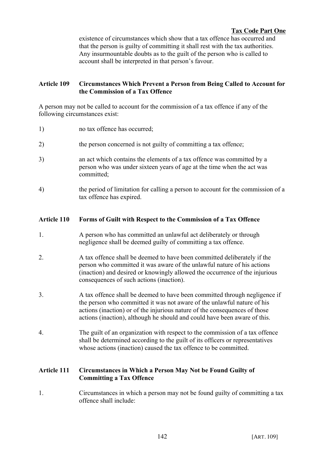existence of circumstances which show that a tax offence has occurred and that the person is guilty of committing it shall rest with the tax authorities. Any insurmountable doubts as to the guilt of the person who is called to account shall be interpreted in that person's favour.

# **Article 109 Circumstances Which Prevent a Person from Being Called to Account for the Commission of a Tax Offence**

A person may not be called to account for the commission of a tax offence if any of the following circumstances exist:

- 1) no tax offence has occurred
- 2) the person concerned is not guilty of committing a tax offence;
- 3) an act which contains the elements of a tax offence was committed by a person who was under sixteen years of age at the time when the act was committed;
- 4) the period of limitation for calling a person to account for the commission of a tax offence has expired.

# **Article 110 Forms of Guilt with Respect to the Commission of a Tax Offence**

- 1. A person who has committed an unlawful act deliberately or through negligence shall be deemed guilty of committing a tax offence.
- 2. A tax offence shall be deemed to have been committed deliberately if the person who committed it was aware of the unlawful nature of his actions (inaction) and desired or knowingly allowed the occurrence of the injurious consequences of such actions (inaction).
- 3. A tax offence shall be deemed to have been committed through negligence if the person who committed it was not aware of the unlawful nature of his actions (inaction) or of the injurious nature of the consequences of those actions (inaction), although he should and could have been aware of this.
- 4. The guilt of an organization with respect to the commission of a tax offence shall be determined according to the guilt of its officers or representatives whose actions (inaction) caused the tax offence to be committed.

# **Article 111 Circumstances in Which a Person May Not be Found Guilty of Committing a Tax Offence**

1. Circumstances in which a person may not be found guilty of committing a tax offence shall include: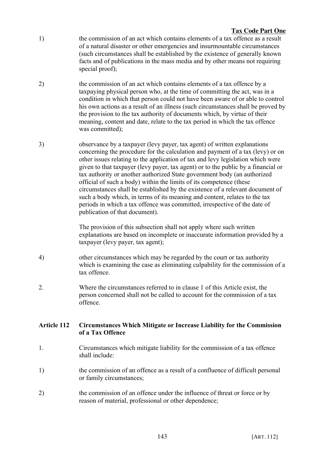### **Tax Code Part One**

- 1) the commission of an act which contains elements of a tax offence as a result of a natural disaster or other emergencies and insurmountable circumstances (such circumstances shall be established by the existence of generally known facts and of publications in the mass media and by other means not requiring special proof);
- 2) the commission of an act which contains elements of a tax offence by a taxpaying physical person who, at the time of committing the act, was in a condition in which that person could not have been aware of or able to control his own actions as a result of an illness (such circumstances shall be proved by the provision to the tax authority of documents which, by virtue of their meaning, content and date, relate to the tax period in which the tax offence was committed).
- 3) observance by a taxpayer (levy payer, tax agent) of written explanations concerning the procedure for the calculation and payment of a tax (levy) or on other issues relating to the application of tax and levy legislation which were given to that taxpayer (levy payer, tax agent) or to the public by a financial or tax authority or another authorized State government body (an authorized official of such a body) within the limits of its competence (these circumstances shall be established by the existence of a relevant document of such a body which, in terms of its meaning and content, relates to the tax periods in which a tax offence was committed, irrespective of the date of publication of that document).

The provision of this subsection shall not apply where such written explanations are based on incomplete or inaccurate information provided by a taxpayer (levy payer, tax agent);

- 4) other circumstances which may be regarded by the court or tax authority which is examining the case as eliminating culpability for the commission of a tax offence.
- 2. Where the circumstances referred to in clause 1 of this Article exist, the person concerned shall not be called to account for the commission of a tax offence.

# **Article 112 Circumstances Which Mitigate or Increase Liability for the Commission of a Tax Offence**

- 1. Circumstances which mitigate liability for the commission of a tax offence shall include:
- 1) the commission of an offence as a result of a confluence of difficult personal or family circumstances;
- 2) the commission of an offence under the influence of threat or force or by reason of material, professional or other dependence;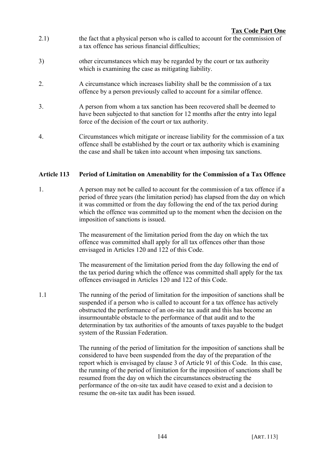- 2.1) the fact that a physical person who is called to account for the commission of a tax offence has serious financial difficulties;
- 3) other circumstances which may be regarded by the court or tax authority which is examining the case as mitigating liability.
- 2. A circumstance which increases liability shall be the commission of a tax offence by a person previously called to account for a similar offence.
- 3. A person from whom a tax sanction has been recovered shall be deemed to have been subjected to that sanction for 12 months after the entry into legal force of the decision of the court or tax authority.
- 4. Circumstances which mitigate or increase liability for the commission of a tax offence shall be established by the court or tax authority which is examining the case and shall be taken into account when imposing tax sanctions.

# **Article 113 Period of Limitation on Amenability for the Commission of a Tax Offence**

1. A person may not be called to account for the commission of a tax offence if a period of three years (the limitation period) has elapsed from the day on which it was committed or from the day following the end of the tax period during which the offence was committed up to the moment when the decision on the imposition of sanctions is issued.

> The measurement of the limitation period from the day on which the tax offence was committed shall apply for all tax offences other than those envisaged in Articles 120 and 122 of this Code.

The measurement of the limitation period from the day following the end of the tax period during which the offence was committed shall apply for the tax offences envisaged in Articles 120 and 122 of this Code.

1.1 The running of the period of limitation for the imposition of sanctions shall be suspended if a person who is called to account for a tax offence has actively obstructed the performance of an on-site tax audit and this has become an insurmountable obstacle to the performance of that audit and to the determination by tax authorities of the amounts of taxes payable to the budget system of the Russian Federation.

> The running of the period of limitation for the imposition of sanctions shall be considered to have been suspended from the day of the preparation of the report which is envisaged by clause 3 of Article 91 of this Code. In this case, the running of the period of limitation for the imposition of sanctions shall be resumed from the day on which the circumstances obstructing the performance of the on-site tax audit have ceased to exist and a decision to resume the on-site tax audit has been issued.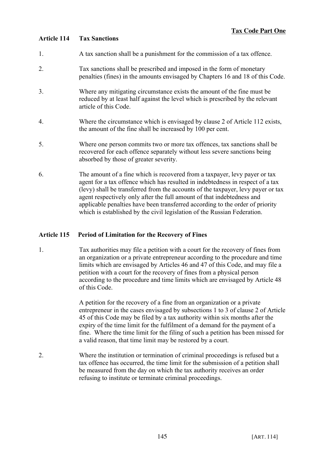# **Article 114 Tax Sanctions**

- 1. A tax sanction shall be a punishment for the commission of a tax offence.
- 2. Tax sanctions shall be prescribed and imposed in the form of monetary penalties (fines) in the amounts envisaged by Chapters 16 and 18 of this Code.
- 3. Where any mitigating circumstance exists the amount of the fine must be reduced by at least half against the level which is prescribed by the relevant article of this Code.
- 4. Where the circumstance which is envisaged by clause 2 of Article 112 exists, the amount of the fine shall be increased by 100 per cent.
- 5. Where one person commits two or more tax offences, tax sanctions shall be recovered for each offence separately without less severe sanctions being absorbed by those of greater severity.
- 6. The amount of a fine which is recovered from a taxpayer, levy payer or tax agent for a tax offence which has resulted in indebtedness in respect of a tax (levy) shall be transferred from the accounts of the taxpayer, levy payer or tax agent respectively only after the full amount of that indebtedness and applicable penalties have been transferred according to the order of priority which is established by the civil legislation of the Russian Federation.

# **Article 115 Period of Limitation for the Recovery of Fines**

1. Tax authorities may file a petition with a court for the recovery of fines from an organization or a private entrepreneur according to the procedure and time limits which are envisaged by Articles 46 and 47 of this Code, and may file a petition with a court for the recovery of fines from a physical person according to the procedure and time limits which are envisaged by Article 48 of this Code.

> A petition for the recovery of a fine from an organization or a private entrepreneur in the cases envisaged by subsections 1 to 3 of clause 2 of Article 45 of this Code may be filed by a tax authority within six months after the expiry of the time limit for the fulfilment of a demand for the payment of a fine. Where the time limit for the filing of such a petition has been missed for a valid reason, that time limit may be restored by a court.

2. Where the institution or termination of criminal proceedings is refused but a tax offence has occurred, the time limit for the submission of a petition shall be measured from the day on which the tax authority receives an order refusing to institute or terminate criminal proceedings.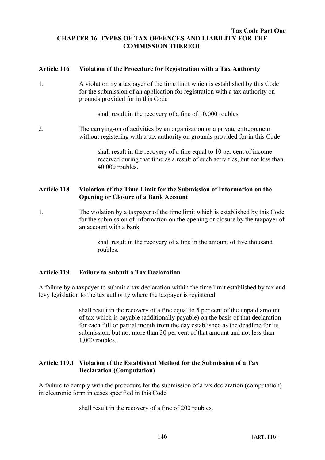#### **Tax Code Part One CHAPTER 16. TYPES OF TAX OFFENCES AND LIABILITY FOR THE COMMISSION THEREOF**

### **Article 116 Violation of the Procedure for Registration with a Tax Authority**

1. A violation by a taxpayer of the time limit which is established by this Code for the submission of an application for registration with a tax authority on grounds provided for in this Code

shall result in the recovery of a fine of 10,000 roubles.

2. The carrying-on of activities by an organization or a private entrepreneur without registering with a tax authority on grounds provided for in this Code

> shall result in the recovery of a fine equal to 10 per cent of income received during that time as a result of such activities, but not less than 40,000 roubles.

### **Article 118 Violation of the Time Limit for the Submission of Information on the Opening or Closure of a Bank Account**

1. The violation by a taxpayer of the time limit which is established by this Code for the submission of information on the opening or closure by the taxpayer of an account with a bank

> shall result in the recovery of a fine in the amount of five thousand roubles.

# **Article 119 Failure to Submit a Tax Declaration**

A failure by a taxpayer to submit a tax declaration within the time limit established by tax and levy legislation to the tax authority where the taxpayer is registered

> shall result in the recovery of a fine equal to 5 per cent of the unpaid amount of tax which is payable (additionally payable) on the basis of that declaration for each full or partial month from the day established as the deadline for its submission, but not more than 30 per cent of that amount and not less than 1,000 roubles.

### **Article 119.1 Violation of the Established Method for the Submission of a Tax Declaration (Computation)**

A failure to comply with the procedure for the submission of a tax declaration (computation) in electronic form in cases specified in this Code

shall result in the recovery of a fine of 200 roubles.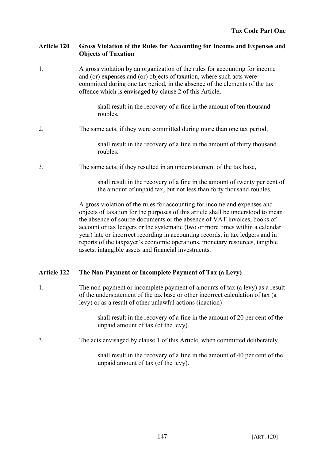# **Article 120 Gross Violation of the Rules for Accounting for Income and Expenses and Objects of Taxation**

1. A gross violation by an organization of the rules for accounting for income and (or) expenses and (or) objects of taxation, where such acts were committed during one tax period, in the absence of the elements of the tax offence which is envisaged by clause 2 of this Article,

> shall result in the recovery of a fine in the amount of ten thousand roubles.

### 2. The same acts, if they were committed during more than one tax period,

shall result in the recovery of a fine in the amount of thirty thousand roubles.

3. The same acts, if they resulted in an understatement of the tax base,

shall result in the recovery of a fine in the amount of twenty per cent of the amount of unpaid tax, but not less than forty thousand roubles.

A gross violation of the rules for accounting for income and expenses and objects of taxation for the purposes of this article shall be understood to mean the absence of source documents or the absence of VAT invoices, books of account or tax ledgers or the systematic (two or more times within a calendar year) late or incorrect recording in accounting records, in tax ledgers and in reports of the taxpayer's economic operations, monetary resources, tangible assets, intangible assets and financial investments.

# **Article 122 The Non-Payment or Incomplete Payment of Tax (a Levy)**

1. The non-payment or incomplete payment of amounts of tax (a levy) as a result of the understatement of the tax base or other incorrect calculation of tax (a levy) or as a result of other unlawful actions (inaction)

> shall result in the recovery of a fine in the amount of 20 per cent of the unpaid amount of tax (of the levy).

3. The acts envisaged by clause 1 of this Article, when committed deliberately,

shall result in the recovery of a fine in the amount of 40 per cent of the unpaid amount of tax (of the levy).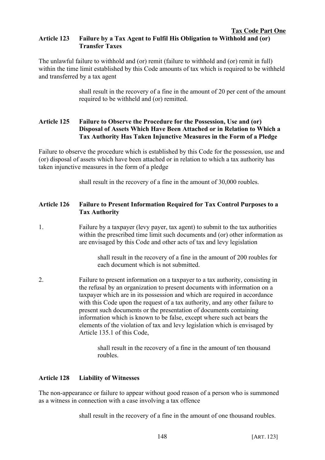#### **Tax Code Part One Article 123 Failure by a Tax Agent to Fulfil His Obligation to Withhold and (or) Transfer Taxes**

The unlawful failure to withhold and (or) remit (failure to withhold and (or) remit in full) within the time limit established by this Code amounts of tax which is required to be withheld and transferred by a tax agent

> shall result in the recovery of a fine in the amount of 20 per cent of the amount required to be withheld and (or) remitted.

# **Article 125 Failure to Observe the Procedure for the Possession, Use and (or) Disposal of Assets Which Have Been Attached or in Relation to Which a Tax Authority Has Taken Injunctive Measures in the Form of a Pledge**

Failure to observe the procedure which is established by this Code for the possession, use and (or) disposal of assets which have been attached or in relation to which a tax authority has taken injunctive measures in the form of a pledge

shall result in the recovery of a fine in the amount of 30,000 roubles.

# **Article 126 Failure to Present Information Required for Tax Control Purposes to a Tax Authority**

1. Failure by a taxpayer (levy payer, tax agent) to submit to the tax authorities within the prescribed time limit such documents and (or) other information as are envisaged by this Code and other acts of tax and levy legislation

> shall result in the recovery of a fine in the amount of 200 roubles for each document which is not submitted.

2. Failure to present information on a taxpayer to a tax authority, consisting in the refusal by an organization to present documents with information on a taxpayer which are in its possession and which are required in accordance with this Code upon the request of a tax authority, and any other failure to present such documents or the presentation of documents containing information which is known to be false, except where such act bears the elements of the violation of tax and levy legislation which is envisaged by Article 135.1 of this Code,

> shall result in the recovery of a fine in the amount of ten thousand roubles.

# **Article 128 Liability of Witnesses**

The non-appearance or failure to appear without good reason of a person who is summoned as a witness in connection with a case involving a tax offence

shall result in the recovery of a fine in the amount of one thousand roubles.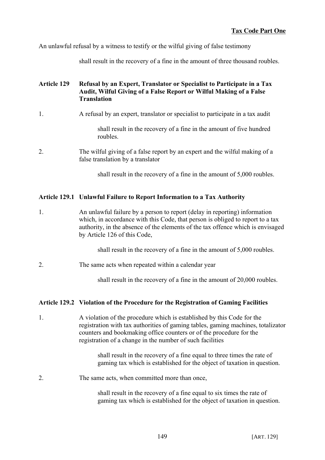An unlawful refusal by a witness to testify or the wilful giving of false testimony

shall result in the recovery of a fine in the amount of three thousand roubles.

## **Article 129 Refusal by an Expert, Translator or Specialist to Participate in a Tax Audit, Wilful Giving of a False Report or Wilful Making of a False Translation**

1. A refusal by an expert, translator or specialist to participate in a tax audit

shall result in the recovery of a fine in the amount of five hundred roubles.

2. The wilful giving of a false report by an expert and the wilful making of a false translation by a translator

shall result in the recovery of a fine in the amount of 5,000 roubles.

# **Article 129.1 Unlawful Failure to Report Information to a Tax Authority**

1. An unlawful failure by a person to report (delay in reporting) information which, in accordance with this Code, that person is obliged to report to a tax authority, in the absence of the elements of the tax offence which is envisaged by Article 126 of this Code,

shall result in the recovery of a fine in the amount of 5,000 roubles.

2. The same acts when repeated within a calendar year

shall result in the recovery of a fine in the amount of 20,000 roubles.

# **Article 129.2 Violation of the Procedure for the Registration of Gaming Facilities**

1. A violation of the procedure which is established by this Code for the registration with tax authorities of gaming tables, gaming machines, totalizator counters and bookmaking office counters or of the procedure for the registration of a change in the number of such facilities

> shall result in the recovery of a fine equal to three times the rate of gaming tax which is established for the object of taxation in question.

2. The same acts, when committed more than once,

shall result in the recovery of a fine equal to six times the rate of gaming tax which is established for the object of taxation in question.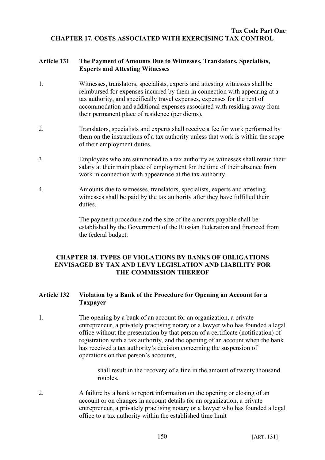### **Tax Code Part One CHAPTER 17. COSTS ASSOCIATED WITH EXERCISING TAX CONTROL**

### **Article 131 The Payment of Amounts Due to Witnesses, Translators, Specialists, Experts and Attesting Witnesses**

- 1. Witnesses, translators, specialists, experts and attesting witnesses shall be reimbursed for expenses incurred by them in connection with appearing at a tax authority, and specifically travel expenses, expenses for the rent of accommodation and additional expenses associated with residing away from their permanent place of residence (per diems).
- 2. Translators, specialists and experts shall receive a fee for work performed by them on the instructions of a tax authority unless that work is within the scope of their employment duties.
- 3. Employees who are summoned to a tax authority as witnesses shall retain their salary at their main place of employment for the time of their absence from work in connection with appearance at the tax authority.
- 4. Amounts due to witnesses, translators, specialists, experts and attesting witnesses shall be paid by the tax authority after they have fulfilled their duties.

The payment procedure and the size of the amounts payable shall be established by the Government of the Russian Federation and financed from the federal budget.

### **CHAPTER 18. TYPES OF VIOLATIONS BY BANKS OF OBLIGATIONS ENVISAGED BY TAX AND LEVY LEGISLATION AND LIABILITY FOR THE COMMISSION THEREOF**

# **Article 132 Violation by a Bank of the Procedure for Opening an Account for a Taxpayer**

1. The opening by a bank of an account for an organization, a private entrepreneur, a privately practising notary or a lawyer who has founded a legal office without the presentation by that person of a certificate (notification) of registration with a tax authority, and the opening of an account when the bank has received a tax authority's decision concerning the suspension of operations on that person's accounts,

> shall result in the recovery of a fine in the amount of twenty thousand roubles.

2. A failure by a bank to report information on the opening or closing of an account or on changes in account details for an organization, a private entrepreneur, a privately practising notary or a lawyer who has founded a legal office to a tax authority within the established time limit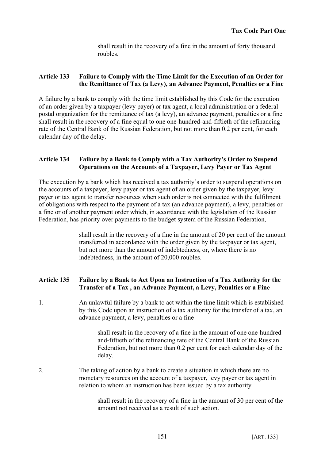shall result in the recovery of a fine in the amount of forty thousand roubles.

### **Article 133 Failure to Comply with the Time Limit for the Execution of an Order for the Remittance of Tax (a Levy), an Advance Payment, Penalties or a Fine**

A failure by a bank to comply with the time limit established by this Code for the execution of an order given by a taxpayer (levy payer) or tax agent, a local administration or a federal postal organization for the remittance of tax (a levy), an advance payment, penalties or a fine shall result in the recovery of a fine equal to one one-hundred-and-fiftieth of the refinancing rate of the Central Bank of the Russian Federation, but not more than 0.2 per cent, for each calendar day of the delay.

# **Article 134 Failure by a Bank to Comply with a Tax Authority's Order to Suspend Operations on the Accounts of a Taxpayer, Levy Payer or Tax Agent**

The execution by a bank which has received a tax authority's order to suspend operations on the accounts of a taxpayer, levy payer or tax agent of an order given by the taxpayer, levy payer or tax agent to transfer resources when such order is not connected with the fulfilment of obligations with respect to the payment of a tax (an advance payment), a levy, penalties or a fine or of another payment order which, in accordance with the legislation of the Russian Federation, has priority over payments to the budget system of the Russian Federation,

> shall result in the recovery of a fine in the amount of 20 per cent of the amount transferred in accordance with the order given by the taxpayer or tax agent, but not more than the amount of indebtedness, or, where there is no indebtedness, in the amount of 20,000 roubles.

# **Article 135 Failure by a Bank to Act Upon an Instruction of a Tax Authority for the Transfer of a Tax , an Advance Payment, a Levy, Penalties or a Fine**

1. An unlawful failure by a bank to act within the time limit which is established by this Code upon an instruction of a tax authority for the transfer of a tax, an advance payment, a levy, penalties or a fine

> shall result in the recovery of a fine in the amount of one one-hundredand-fiftieth of the refinancing rate of the Central Bank of the Russian Federation, but not more than 0.2 per cent for each calendar day of the delay.

2. The taking of action by a bank to create a situation in which there are no monetary resources on the account of a taxpayer, levy payer or tax agent in relation to whom an instruction has been issued by a tax authority

> shall result in the recovery of a fine in the amount of 30 per cent of the amount not received as a result of such action.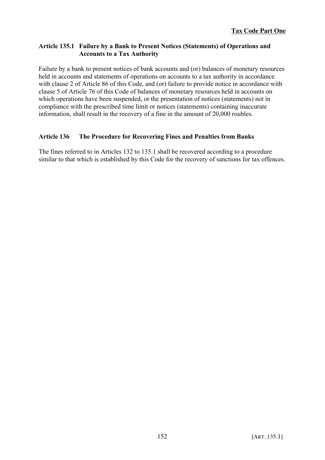# **Article 135.1 Failure by a Bank to Present Notices (Statements) of Operations and Accounts to a Tax Authority**

Failure by a bank to present notices of bank accounts and (or) balances of monetary resources held in accounts and statements of operations on accounts to a tax authority in accordance with clause 2 of Article 86 of this Code, and (or) failure to provide notice in accordance with clause 5 of Article 76 of this Code of balances of monetary resources held in accounts on which operations have been suspended, or the presentation of notices (statements) not in compliance with the prescribed time limit or notices (statements) containing inaccurate information, shall result in the recovery of a fine in the amount of 20,000 roubles.

# **Article 136 The Procedure for Recovering Fines and Penalties from Banks**

The fines referred to in Articles 132 to 135.1 shall be recovered according to a procedure similar to that which is established by this Code for the recovery of sanctions for tax offences.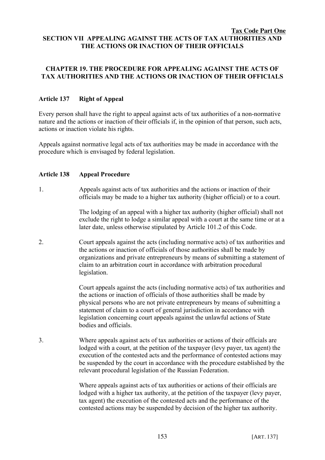#### **Tax Code Part One SECTION VII APPEALING AGAINST THE ACTS OF TAX AUTHORITIES AND THE ACTIONS OR INACTION OF THEIR OFFICIALS**

# **CHAPTER 19. THE PROCEDURE FOR APPEALING AGAINST THE ACTS OF TAX AUTHORITIES AND THE ACTIONS OR INACTION OF THEIR OFFICIALS**

# **Article 137 Right of Appeal**

Every person shall have the right to appeal against acts of tax authorities of a non-normative nature and the actions or inaction of their officials if, in the opinion of that person, such acts, actions or inaction violate his rights.

Appeals against normative legal acts of tax authorities may be made in accordance with the procedure which is envisaged by federal legislation.

### **Article 138 Appeal Procedure**

1. Appeals against acts of tax authorities and the actions or inaction of their officials may be made to a higher tax authority (higher official) or to a court.

> The lodging of an appeal with a higher tax authority (higher official) shall not exclude the right to lodge a similar appeal with a court at the same time or at a later date, unless otherwise stipulated by Article 101.2 of this Code.

2. Court appeals against the acts (including normative acts) of tax authorities and the actions or inaction of officials of those authorities shall be made by organizations and private entrepreneurs by means of submitting a statement of claim to an arbitration court in accordance with arbitration procedural legislation.

> Court appeals against the acts (including normative acts) of tax authorities and the actions or inaction of officials of those authorities shall be made by physical persons who are not private entrepreneurs by means of submitting a statement of claim to a court of general jurisdiction in accordance with legislation concerning court appeals against the unlawful actions of State bodies and officials.

3. Where appeals against acts of tax authorities or actions of their officials are lodged with a court, at the petition of the taxpayer (levy payer, tax agent) the execution of the contested acts and the performance of contested actions may be suspended by the court in accordance with the procedure established by the relevant procedural legislation of the Russian Federation.

> Where appeals against acts of tax authorities or actions of their officials are lodged with a higher tax authority, at the petition of the taxpayer (levy payer, tax agent) the execution of the contested acts and the performance of the contested actions may be suspended by decision of the higher tax authority.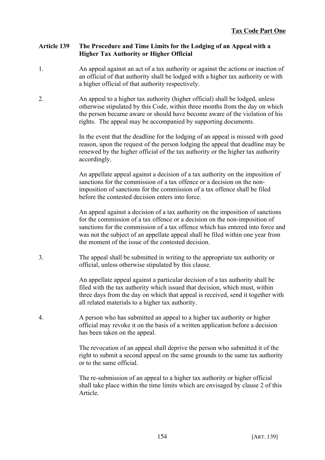### **Article 139 The Procedure and Time Limits for the Lodging of an Appeal with a Higher Tax Authority or Higher Official**

- 1. An appeal against an act of a tax authority or against the actions or inaction of an official of that authority shall be lodged with a higher tax authority or with a higher official of that authority respectively.
- 2. An appeal to a higher tax authority (higher official) shall be lodged, unless otherwise stipulated by this Code, within three months from the day on which the person became aware or should have become aware of the violation of his rights. The appeal may be accompanied by supporting documents.

In the event that the deadline for the lodging of an appeal is missed with good reason, upon the request of the person lodging the appeal that deadline may be renewed by the higher official of the tax authority or the higher tax authority accordingly.

An appellate appeal against a decision of a tax authority on the imposition of sanctions for the commission of a tax offence or a decision on the nonimposition of sanctions for the commission of a tax offence shall be filed before the contested decision enters into force.

An appeal against a decision of a tax authority on the imposition of sanctions for the commission of a tax offence or a decision on the non-imposition of sanctions for the commission of a tax offence which has entered into force and was not the subject of an appellate appeal shall be filed within one year from the moment of the issue of the contested decision.

3. The appeal shall be submitted in writing to the appropriate tax authority or official, unless otherwise stipulated by this clause.

> An appellate appeal against a particular decision of a tax authority shall be filed with the tax authority which issued that decision, which must, within three days from the day on which that appeal is received, send it together with all related materials to a higher tax authority.

4. A person who has submitted an appeal to a higher tax authority or higher official may revoke it on the basis of a written application before a decision has been taken on the appeal.

> The revocation of an appeal shall deprive the person who submitted it of the right to submit a second appeal on the same grounds to the same tax authority or to the same official.

> The re-submission of an appeal to a higher tax authority or higher official shall take place within the time limits which are envisaged by clause 2 of this Article.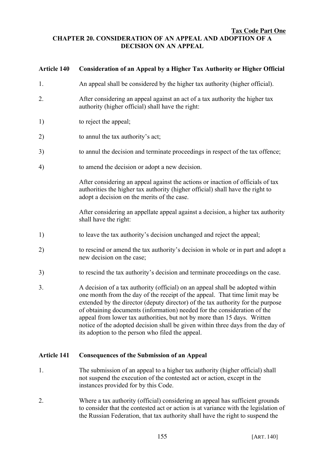#### **Tax Code Part One CHAPTER 20. CONSIDERATION OF AN APPEAL AND ADOPTION OF A DECISION ON AN APPEAL**

### **Article 140 Consideration of an Appeal by a Higher Tax Authority or Higher Official**

- 1. An appeal shall be considered by the higher tax authority (higher official).
- 2. After considering an appeal against an act of a tax authority the higher tax authority (higher official) shall have the right:
- 1) to reject the appeal;
- 2) to annul the tax authority's act;
- 3) to annul the decision and terminate proceedings in respect of the tax offence;
- 4) to amend the decision or adopt a new decision.

After considering an appeal against the actions or inaction of officials of tax authorities the higher tax authority (higher official) shall have the right to adopt a decision on the merits of the case.

After considering an appellate appeal against a decision, a higher tax authority shall have the right:

- 1) to leave the tax authority's decision unchanged and reject the appeal;
- 2) to rescind or amend the tax authority's decision in whole or in part and adopt a new decision on the case;
- 3) to rescind the tax authority's decision and terminate proceedings on the case.
- 3. A decision of a tax authority (official) on an appeal shall be adopted within one month from the day of the receipt of the appeal. That time limit may be extended by the director (deputy director) of the tax authority for the purpose of obtaining documents (information) needed for the consideration of the appeal from lower tax authorities, but not by more than 15 days. Written notice of the adopted decision shall be given within three days from the day of its adoption to the person who filed the appeal.

#### **Article 141 Consequences of the Submission of an Appeal**

- 1. The submission of an appeal to a higher tax authority (higher official) shall not suspend the execution of the contested act or action, except in the instances provided for by this Code.
- 2. Where a tax authority (official) considering an appeal has sufficient grounds to consider that the contested act or action is at variance with the legislation of the Russian Federation, that tax authority shall have the right to suspend the